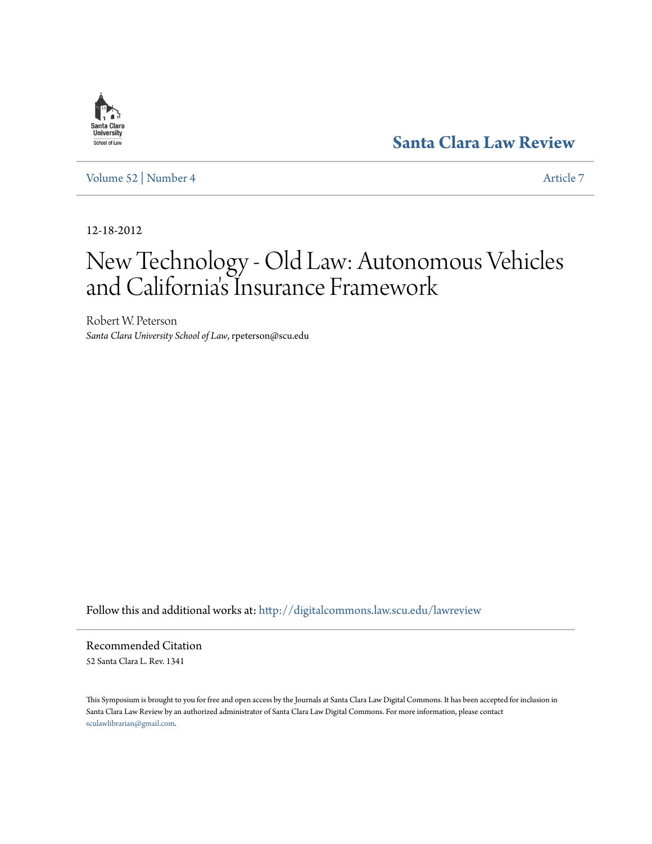# **[Santa Clara Law Review](http://digitalcommons.law.scu.edu/lawreview?utm_source=digitalcommons.law.scu.edu%2Flawreview%2Fvol52%2Fiss4%2F7&utm_medium=PDF&utm_campaign=PDFCoverPages)**

[Volume 52](http://digitalcommons.law.scu.edu/lawreview/vol52?utm_source=digitalcommons.law.scu.edu%2Flawreview%2Fvol52%2Fiss4%2F7&utm_medium=PDF&utm_campaign=PDFCoverPages) | [Number 4](http://digitalcommons.law.scu.edu/lawreview/vol52/iss4?utm_source=digitalcommons.law.scu.edu%2Flawreview%2Fvol52%2Fiss4%2F7&utm_medium=PDF&utm_campaign=PDFCoverPages) [Article 7](http://digitalcommons.law.scu.edu/lawreview/vol52/iss4/7?utm_source=digitalcommons.law.scu.edu%2Flawreview%2Fvol52%2Fiss4%2F7&utm_medium=PDF&utm_campaign=PDFCoverPages)

12-18-2012

# New Technology - Old Law: Autonomous Vehicles and California 's Insurance Framework

Robert W. Peterson *Santa Clara University School of Law*, rpeterson@scu.edu

Follow this and additional works at: [http://digitalcommons.law.scu.edu/lawreview](http://digitalcommons.law.scu.edu/lawreview?utm_source=digitalcommons.law.scu.edu%2Flawreview%2Fvol52%2Fiss4%2F7&utm_medium=PDF&utm_campaign=PDFCoverPages)

Recommended Citation 52 Santa Clara L. Rev. 1341

This Symposium is brought to you for free and open access by the Journals at Santa Clara Law Digital Commons. It has been accepted for inclusion in Santa Clara Law Review by an authorized administrator of Santa Clara Law Digital Commons. For more information, please contact [sculawlibrarian@gmail.com](mailto:sculawlibrarian@gmail.com).

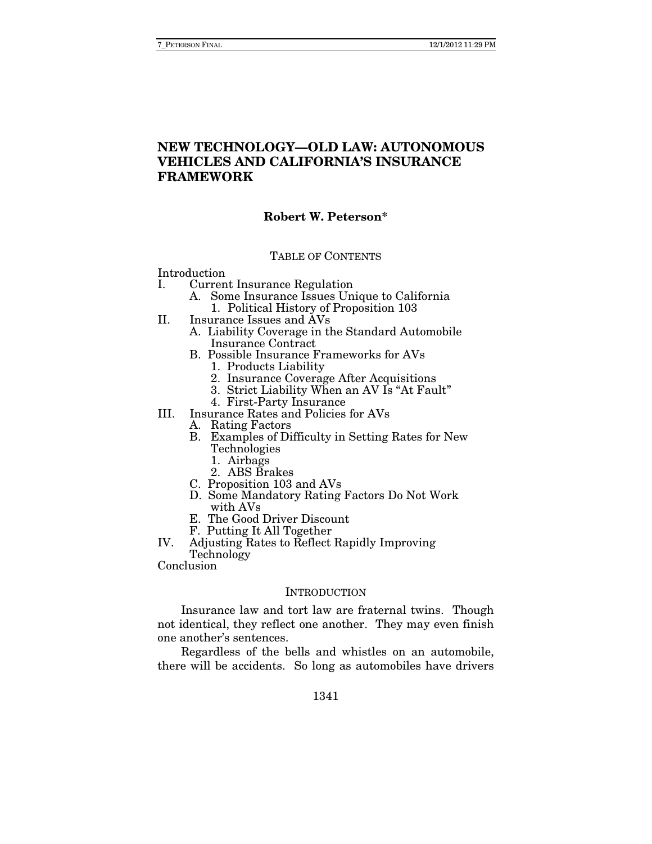## **NEW TECHNOLOGY—OLD LAW: AUTONOMOUS VEHICLES AND CALIFORNIA'S INSURANCE FRAMEWORK**

#### **Robert W. Peterson\***

#### TABLE OF CONTENTS

Introduction

- I. Current Insurance Regulation
	- A. Some Insurance Issues Unique to California 1. Political History of Proposition 103
- II. Insurance Issues and AVs
	- A. Liability Coverage in the Standard Automobile Insurance Contract
	- B. Possible Insurance Frameworks for AVs
		- 1. Products Liability
		- 2. Insurance Coverage After Acquisitions
		- 3. Strict Liability When an AV Is "At Fault"
		- 4. First-Party Insurance
- III. Insurance Rates and Policies for AVs
	- A. Rating Factors
	- B. Examples of Difficulty in Setting Rates for New Technologies
		- 1. Airbags
		- 2. ABS Brakes
	- C. Proposition 103 and AVs
	- D. Some Mandatory Rating Factors Do Not Work with AVs
	- E. The Good Driver Discount
	- F. Putting It All Together
- IV. Adjusting Rates to Reflect Rapidly Improving
	- Technology

Conclusion

#### **INTRODUCTION**

Insurance law and tort law are fraternal twins. Though not identical, they reflect one another. They may even finish one another's sentences.

Regardless of the bells and whistles on an automobile, there will be accidents. So long as automobiles have drivers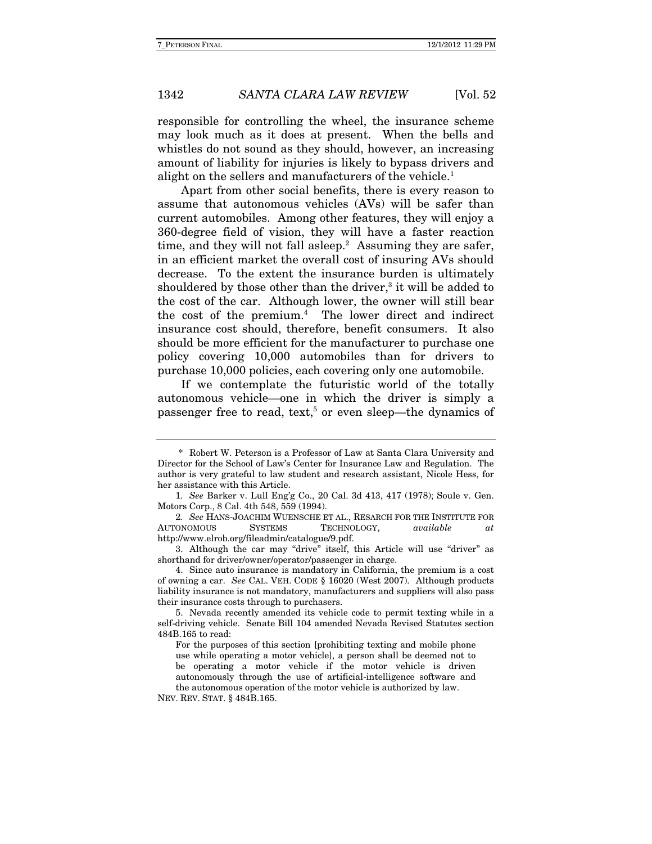responsible for controlling the wheel, the insurance scheme may look much as it does at present. When the bells and whistles do not sound as they should, however, an increasing amount of liability for injuries is likely to bypass drivers and alight on the sellers and manufacturers of the vehicle.<sup>1</sup>

Apart from other social benefits, there is every reason to assume that autonomous vehicles (AVs) will be safer than current automobiles. Among other features, they will enjoy a 360-degree field of vision, they will have a faster reaction time, and they will not fall asleep.<sup>2</sup> Assuming they are safer, in an efficient market the overall cost of insuring AVs should decrease. To the extent the insurance burden is ultimately shouldered by those other than the driver,<sup>3</sup> it will be added to the cost of the car. Although lower, the owner will still bear the cost of the premium.4 The lower direct and indirect insurance cost should, therefore, benefit consumers. It also should be more efficient for the manufacturer to purchase one policy covering 10,000 automobiles than for drivers to purchase 10,000 policies, each covering only one automobile.

If we contemplate the futuristic world of the totally autonomous vehicle—one in which the driver is simply a passenger free to read, text,<sup>5</sup> or even sleep—the dynamics of

<sup>\*</sup> Robert W. Peterson is a Professor of Law at Santa Clara University and Director for the School of Law's Center for Insurance Law and Regulation. The author is very grateful to law student and research assistant, Nicole Hess, for her assistance with this Article.

<sup>1</sup>. See Barker v. Lull Eng'g Co., 20 Cal. 3d 413, 417 (1978); Soule v. Gen. Motors Corp., 8 Cal. 4th 548, 559 (1994).

<sup>2</sup>. See HANS-JOACHIM WUENSCHE ET AL., RESARCH FOR THE INSTITUTE FOR AUTONOMOUS SYSTEMS TECHNOLOGY, available at http://www.elrob.org/fileadmin/catalogue/9.pdf.

 <sup>3.</sup> Although the car may "drive" itself, this Article will use "driver" as shorthand for driver/owner/operator/passenger in charge.

 <sup>4.</sup> Since auto insurance is mandatory in California, the premium is a cost of owning a car. See CAL. VEH. CODE § 16020 (West 2007). Although products liability insurance is not mandatory, manufacturers and suppliers will also pass their insurance costs through to purchasers.

 <sup>5.</sup> Nevada recently amended its vehicle code to permit texting while in a self-driving vehicle. Senate Bill 104 amended Nevada Revised Statutes section 484B.165 to read:

For the purposes of this section [prohibiting texting and mobile phone use while operating a motor vehicle], a person shall be deemed not to be operating a motor vehicle if the motor vehicle is driven autonomously through the use of artificial-intelligence software and the autonomous operation of the motor vehicle is authorized by law.

NEV. REV. STAT. § 484B.165.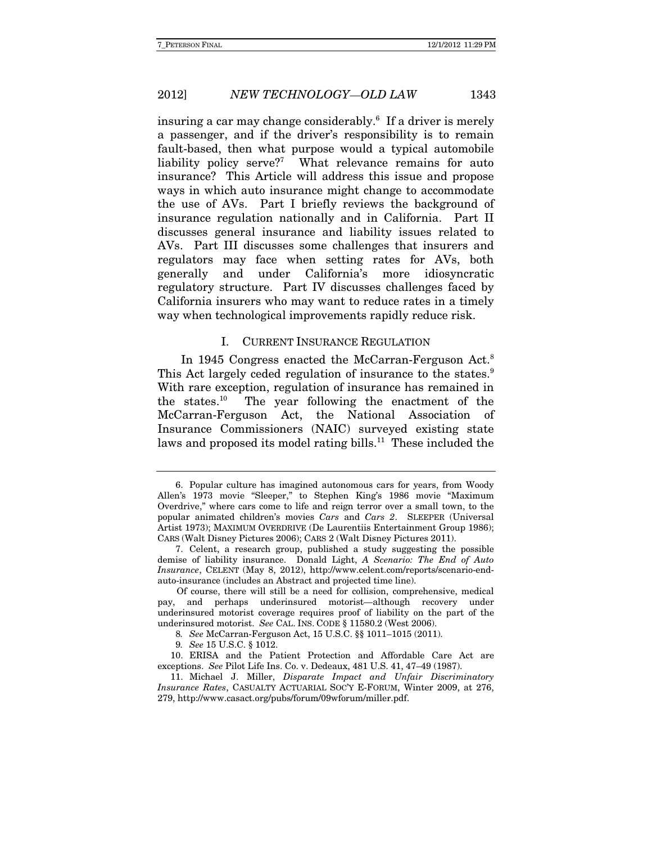insuring a car may change considerably.6 If a driver is merely a passenger, and if the driver's responsibility is to remain fault-based, then what purpose would a typical automobile liability policy serve?<sup>7</sup> What relevance remains for auto insurance? This Article will address this issue and propose ways in which auto insurance might change to accommodate the use of AVs. Part I briefly reviews the background of insurance regulation nationally and in California. Part II discusses general insurance and liability issues related to AVs. Part III discusses some challenges that insurers and regulators may face when setting rates for AVs, both generally and under California's more idiosyncratic regulatory structure. Part IV discusses challenges faced by California insurers who may want to reduce rates in a timely way when technological improvements rapidly reduce risk.

#### I. CURRENT INSURANCE REGULATION

In 1945 Congress enacted the McCarran-Ferguson Act.<sup>8</sup> This Act largely ceded regulation of insurance to the states.<sup>9</sup> With rare exception, regulation of insurance has remained in the states.10 The year following the enactment of the McCarran-Ferguson Act, the National Association of Insurance Commissioners (NAIC) surveyed existing state laws and proposed its model rating bills.<sup>11</sup> These included the

 <sup>6.</sup> Popular culture has imagined autonomous cars for years, from Woody Allen's 1973 movie "Sleeper," to Stephen King's 1986 movie "Maximum Overdrive," where cars come to life and reign terror over a small town, to the popular animated children's movies Cars and Cars 2. SLEEPER (Universal Artist 1973); MAXIMUM OVERDRIVE (De Laurentiis Entertainment Group 1986); CARS (Walt Disney Pictures 2006); CARS 2 (Walt Disney Pictures 2011).

 <sup>7.</sup> Celent, a research group, published a study suggesting the possible demise of liability insurance. Donald Light, A Scenario: The End of Auto Insurance, CELENT (May 8, 2012), http://www.celent.com/reports/scenario-endauto-insurance (includes an Abstract and projected time line).

Of course, there will still be a need for collision, comprehensive, medical pay, and perhaps underinsured motorist—although recovery under underinsured motorist coverage requires proof of liability on the part of the underinsured motorist. See CAL. INS. CODE § 11580.2 (West 2006).

<sup>8</sup>. See McCarran-Ferguson Act, 15 U.S.C. §§ 1011–1015 (2011).

<sup>9</sup>. See 15 U.S.C. § 1012.

 <sup>10.</sup> ERISA and the Patient Protection and Affordable Care Act are exceptions. See Pilot Life Ins. Co. v. Dedeaux, 481 U.S. 41, 47–49 (1987).

 <sup>11.</sup> Michael J. Miller, Disparate Impact and Unfair Discriminatory Insurance Rates, CASUALTY ACTUARIAL SOC'Y E-FORUM, Winter 2009, at 276, 279, http://www.casact.org/pubs/forum/09wforum/miller.pdf.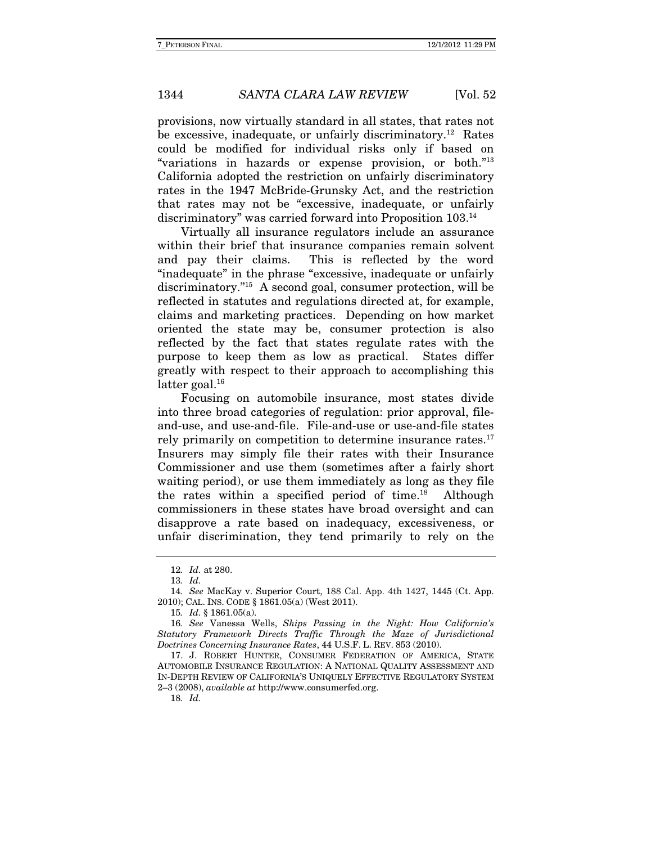provisions, now virtually standard in all states, that rates not be excessive, inadequate, or unfairly discriminatory.<sup>12</sup> Rates could be modified for individual risks only if based on "variations in hazards or expense provision, or both."13 California adopted the restriction on unfairly discriminatory rates in the 1947 McBride-Grunsky Act, and the restriction that rates may not be "excessive, inadequate, or unfairly discriminatory" was carried forward into Proposition 103.14

Virtually all insurance regulators include an assurance within their brief that insurance companies remain solvent and pay their claims. This is reflected by the word "inadequate" in the phrase "excessive, inadequate or unfairly discriminatory."15 A second goal, consumer protection, will be reflected in statutes and regulations directed at, for example, claims and marketing practices. Depending on how market oriented the state may be, consumer protection is also reflected by the fact that states regulate rates with the purpose to keep them as low as practical. States differ greatly with respect to their approach to accomplishing this latter goal. $16$ 

Focusing on automobile insurance, most states divide into three broad categories of regulation: prior approval, fileand-use, and use-and-file. File-and-use or use-and-file states rely primarily on competition to determine insurance rates.<sup>17</sup> Insurers may simply file their rates with their Insurance Commissioner and use them (sometimes after a fairly short waiting period), or use them immediately as long as they file the rates within a specified period of time.<sup>18</sup> Although commissioners in these states have broad oversight and can disapprove a rate based on inadequacy, excessiveness, or unfair discrimination, they tend primarily to rely on the

18. Id.

<sup>12</sup>. Id. at 280.

<sup>13</sup>. Id.

<sup>14</sup>. See MacKay v. Superior Court, 188 Cal. App. 4th 1427, 1445 (Ct. App. 2010); CAL. INS. CODE § 1861.05(a) (West 2011).

<sup>15</sup>. Id. § 1861.05(a).

<sup>16</sup>. See Vanessa Wells, Ships Passing in the Night: How California's Statutory Framework Directs Traffic Through the Maze of Jurisdictional Doctrines Concerning Insurance Rates, 44 U.S.F. L. REV. 853 (2010).

 <sup>17.</sup> J. ROBERT HUNTER, CONSUMER FEDERATION OF AMERICA, STATE AUTOMOBILE INSURANCE REGULATION: A NATIONAL QUALITY ASSESSMENT AND IN-DEPTH REVIEW OF CALIFORNIA'S UNIQUELY EFFECTIVE REGULATORY SYSTEM 2–3 (2008), available at http://www.consumerfed.org.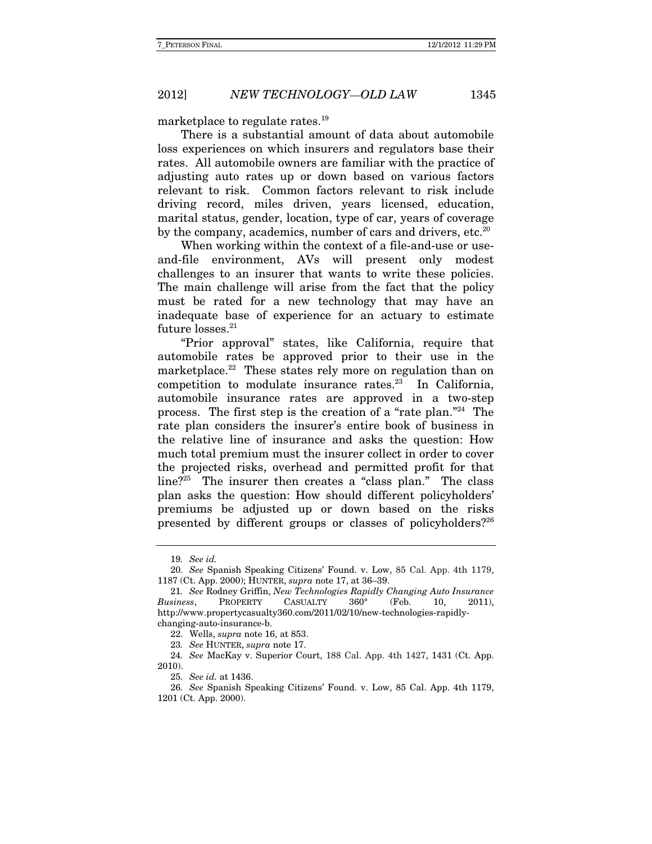marketplace to regulate rates.<sup>19</sup>

There is a substantial amount of data about automobile loss experiences on which insurers and regulators base their rates. All automobile owners are familiar with the practice of adjusting auto rates up or down based on various factors relevant to risk. Common factors relevant to risk include driving record, miles driven, years licensed, education, marital status, gender, location, type of car, years of coverage by the company, academics, number of cars and drivers, etc.<sup>20</sup>

When working within the context of a file-and-use or useand-file environment, AVs will present only modest challenges to an insurer that wants to write these policies. The main challenge will arise from the fact that the policy must be rated for a new technology that may have an inadequate base of experience for an actuary to estimate future losses.<sup>21</sup>

"Prior approval" states, like California, require that automobile rates be approved prior to their use in the marketplace.<sup>22</sup> These states rely more on regulation than on competition to modulate insurance rates. $23$  In California, automobile insurance rates are approved in a two-step process. The first step is the creation of a "rate plan."24 The rate plan considers the insurer's entire book of business in the relative line of insurance and asks the question: How much total premium must the insurer collect in order to cover the projected risks, overhead and permitted profit for that line?25 The insurer then creates a "class plan." The class plan asks the question: How should different policyholders' premiums be adjusted up or down based on the risks presented by different groups or classes of policyholders?26

<sup>19</sup>. See id.

<sup>20</sup>. See Spanish Speaking Citizens' Found. v. Low, 85 Cal. App. 4th 1179, 1187 (Ct. App. 2000); HUNTER, supra note 17, at 36–39.

<sup>21</sup>. See Rodney Griffin, New Technologies Rapidly Changing Auto Insurance Business, PROPERTY CASUALTY 360° (Feb. 10, 2011), http://www.propertycasualty360.com/2011/02/10/new-technologies-rapidlychanging-auto-insurance-b.

 <sup>22.</sup> Wells, supra note 16, at 853.

<sup>23</sup>. See HUNTER, supra note 17.

<sup>24</sup>. See MacKay v. Superior Court, 188 Cal. App. 4th 1427, 1431 (Ct. App. 2010).

<sup>25</sup>. See id. at 1436.

<sup>26</sup>. See Spanish Speaking Citizens' Found. v. Low, 85 Cal. App. 4th 1179, 1201 (Ct. App. 2000).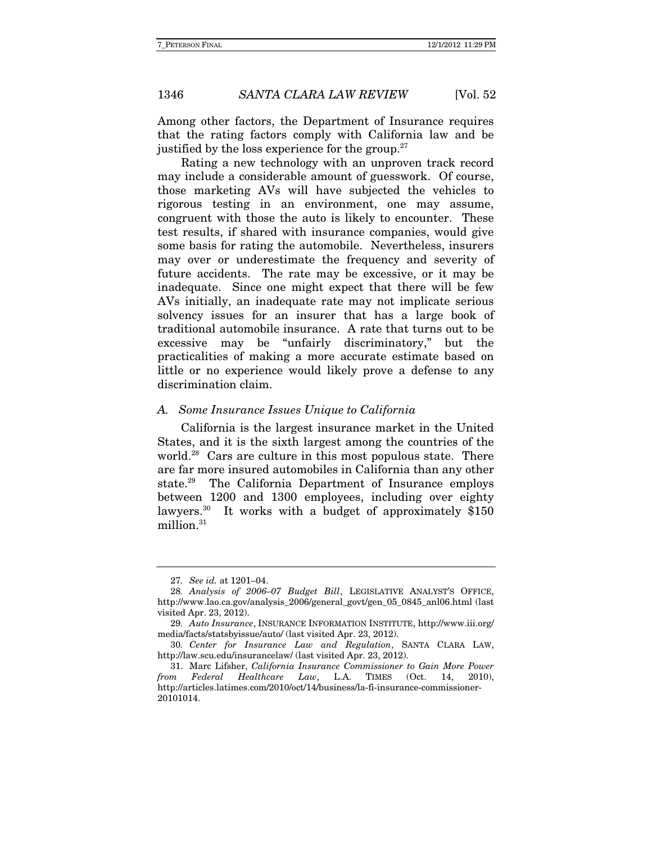Among other factors, the Department of Insurance requires that the rating factors comply with California law and be justified by the loss experience for the group. $27$ 

Rating a new technology with an unproven track record may include a considerable amount of guesswork. Of course, those marketing AVs will have subjected the vehicles to rigorous testing in an environment, one may assume, congruent with those the auto is likely to encounter. These test results, if shared with insurance companies, would give some basis for rating the automobile. Nevertheless, insurers may over or underestimate the frequency and severity of future accidents. The rate may be excessive, or it may be inadequate. Since one might expect that there will be few AVs initially, an inadequate rate may not implicate serious solvency issues for an insurer that has a large book of traditional automobile insurance. A rate that turns out to be excessive may be "unfairly discriminatory," but the practicalities of making a more accurate estimate based on little or no experience would likely prove a defense to any discrimination claim.

#### A. Some Insurance Issues Unique to California

California is the largest insurance market in the United States, and it is the sixth largest among the countries of the world.<sup>28</sup> Cars are culture in this most populous state. There are far more insured automobiles in California than any other state.29 The California Department of Insurance employs between 1200 and 1300 employees, including over eighty lawyers.<sup>30</sup> It works with a budget of approximately \$150 million.<sup>31</sup>

<sup>27</sup>. See id. at 1201–04.

<sup>28</sup>. Analysis of 2006–07 Budget Bill, LEGISLATIVE ANALYST'S OFFICE, http://www.lao.ca.gov/analysis\_2006/general\_govt/gen\_05\_0845\_anl06.html (last visited Apr. 23, 2012).

<sup>29</sup>. Auto Insurance, INSURANCE INFORMATION INSTITUTE, http://www.iii.org/ media/facts/statsbyissue/auto/ (last visited Apr. 23, 2012).

<sup>30</sup>. Center for Insurance Law and Regulation, SANTA CLARA LAW, http://law.scu.edu/insurancelaw/ (last visited Apr. 23, 2012).

 <sup>31.</sup> Marc Lifsher, California Insurance Commissioner to Gain More Power from Federal Healthcare Law, L.A. TIMES (Oct. 14, 2010), http://articles.latimes.com/2010/oct/14/business/la-fi-insurance-commissioner-20101014.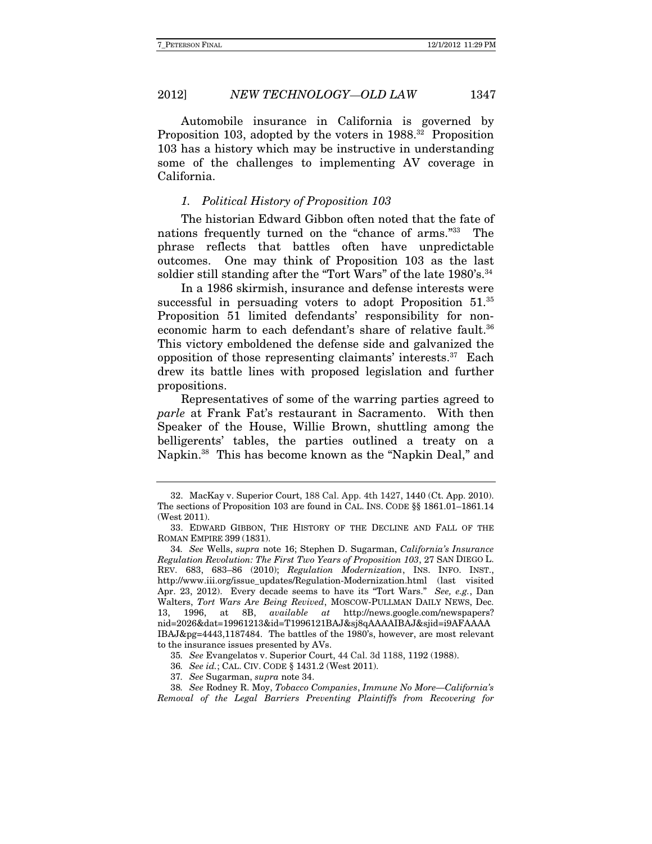Automobile insurance in California is governed by Proposition 103, adopted by the voters in 1988.<sup>32</sup> Proposition 103 has a history which may be instructive in understanding some of the challenges to implementing AV coverage in California.

#### 1. Political History of Proposition 103

 The historian Edward Gibbon often noted that the fate of nations frequently turned on the "chance of arms."33 The phrase reflects that battles often have unpredictable outcomes. One may think of Proposition 103 as the last soldier still standing after the "Tort Wars" of the late 1980's.<sup>34</sup>

In a 1986 skirmish, insurance and defense interests were successful in persuading voters to adopt Proposition 51.<sup>35</sup> Proposition 51 limited defendants' responsibility for noneconomic harm to each defendant's share of relative fault.<sup>36</sup> This victory emboldened the defense side and galvanized the opposition of those representing claimants' interests.37 Each drew its battle lines with proposed legislation and further propositions.

Representatives of some of the warring parties agreed to parle at Frank Fat's restaurant in Sacramento. With then Speaker of the House, Willie Brown, shuttling among the belligerents' tables, the parties outlined a treaty on a Napkin.38 This has become known as the "Napkin Deal," and

 <sup>32.</sup> MacKay v. Superior Court, 188 Cal. App. 4th 1427, 1440 (Ct. App. 2010). The sections of Proposition 103 are found in CAL. INS. CODE §§ 1861.01–1861.14 (West 2011).

 <sup>33.</sup> EDWARD GIBBON, THE HISTORY OF THE DECLINE AND FALL OF THE ROMAN EMPIRE 399 (1831).

<sup>34</sup>. See Wells, supra note 16; Stephen D. Sugarman, California's Insurance Regulation Revolution: The First Two Years of Proposition 103, 27 SAN DIEGO L. REV. 683, 683–86 (2010); Regulation Modernization, INS. INFO. INST., http://www.iii.org/issue\_updates/Regulation-Modernization.html (last visited Apr. 23, 2012). Every decade seems to have its "Tort Wars." See, e.g., Dan Walters, Tort Wars Are Being Revived, MOSCOW-PULLMAN DAILY NEWS, Dec. 13, 1996, at 8B, available at http://news.google.com/newspapers? nid=2026&dat=19961213&id=T1996121BAJ&sj8qAAAAIBAJ&sjid=i9AFAAAA IBAJ&pg=4443,1187484. The battles of the 1980's, however, are most relevant to the insurance issues presented by AVs.

<sup>35</sup>. See Evangelatos v. Superior Court, 44 Cal. 3d 1188, 1192 (1988).

<sup>36</sup>. See id.; CAL. CIV. CODE § 1431.2 (West 2011).

<sup>37</sup>. See Sugarman, supra note 34.

<sup>38</sup>. See Rodney R. Moy, Tobacco Companies, Immune No More—California's Removal of the Legal Barriers Preventing Plaintiffs from Recovering for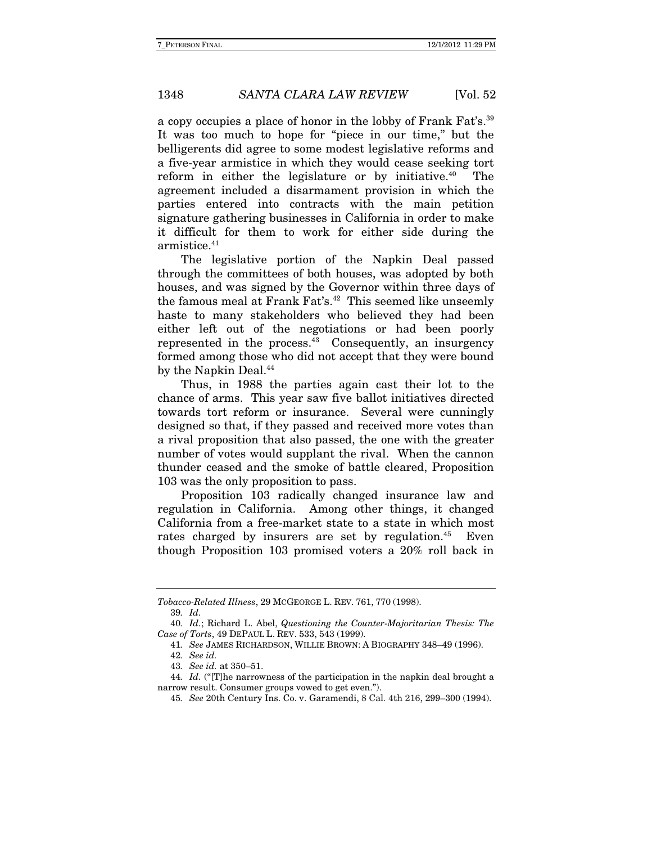a copy occupies a place of honor in the lobby of Frank Fat's.39 It was too much to hope for "piece in our time," but the belligerents did agree to some modest legislative reforms and a five-year armistice in which they would cease seeking tort reform in either the legislature or by initiative. $40$  The agreement included a disarmament provision in which the parties entered into contracts with the main petition signature gathering businesses in California in order to make it difficult for them to work for either side during the armistice.<sup>41</sup>

The legislative portion of the Napkin Deal passed through the committees of both houses, was adopted by both houses, and was signed by the Governor within three days of the famous meal at Frank Fat's.<sup>42</sup> This seemed like unseemly haste to many stakeholders who believed they had been either left out of the negotiations or had been poorly represented in the process.<sup>43</sup> Consequently, an insurgency formed among those who did not accept that they were bound by the Napkin Deal.<sup>44</sup>

Thus, in 1988 the parties again cast their lot to the chance of arms. This year saw five ballot initiatives directed towards tort reform or insurance. Several were cunningly designed so that, if they passed and received more votes than a rival proposition that also passed, the one with the greater number of votes would supplant the rival. When the cannon thunder ceased and the smoke of battle cleared, Proposition 103 was the only proposition to pass.

Proposition 103 radically changed insurance law and regulation in California. Among other things, it changed California from a free-market state to a state in which most rates charged by insurers are set by regulation.<sup>45</sup> Even though Proposition 103 promised voters a 20% roll back in

Tobacco-Related Illness, 29 MCGEORGE L. REV. 761, 770 (1998).

<sup>39</sup>. Id.

<sup>40</sup>. Id.; Richard L. Abel, Questioning the Counter-Majoritarian Thesis: The Case of Torts, 49 DEPAUL L. REV. 533, 543 (1999).

<sup>41</sup>. See JAMES RICHARDSON, WILLIE BROWN: A BIOGRAPHY 348–49 (1996).

<sup>42</sup>. See id.

<sup>43</sup>. See id. at 350–51.

<sup>44.</sup> Id. ("[T]he narrowness of the participation in the napkin deal brought a narrow result. Consumer groups vowed to get even.").

<sup>45</sup>. See 20th Century Ins. Co. v. Garamendi, 8 Cal. 4th 216, 299–300 (1994).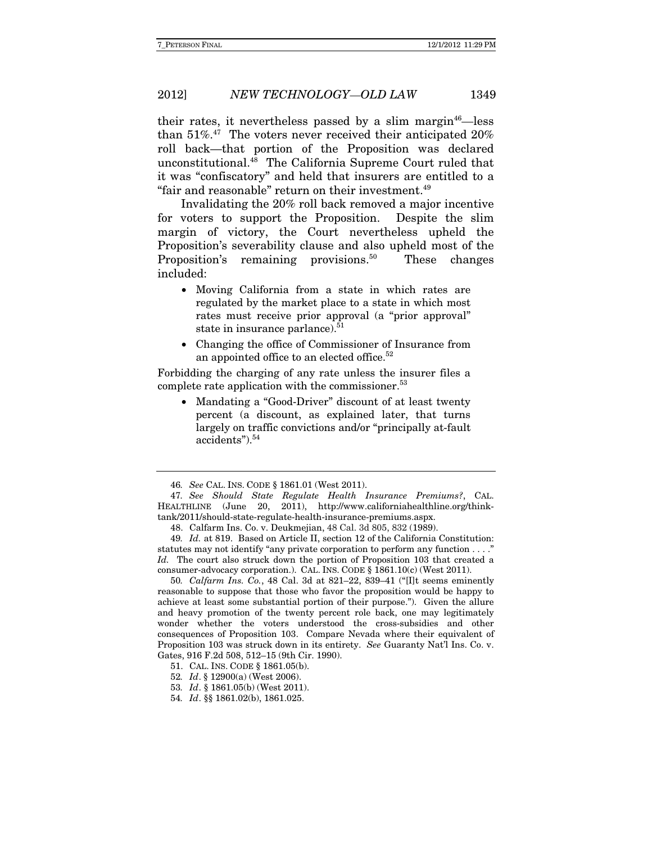their rates, it nevertheless passed by a slim margin<sup>46</sup>—less than  $51\%$ .<sup>47</sup> The voters never received their anticipated  $20\%$ roll back—that portion of the Proposition was declared unconstitutional.48 The California Supreme Court ruled that it was "confiscatory" and held that insurers are entitled to a "fair and reasonable" return on their investment.<sup>49</sup>

Invalidating the 20% roll back removed a major incentive for voters to support the Proposition. Despite the slim margin of victory, the Court nevertheless upheld the Proposition's severability clause and also upheld most of the Proposition's remaining provisions.<sup>50</sup> These changes included:

- Moving California from a state in which rates are regulated by the market place to a state in which most rates must receive prior approval (a "prior approval" state in insurance parlance).<sup>51</sup>
- Changing the office of Commissioner of Insurance from an appointed office to an elected office.<sup>52</sup>

Forbidding the charging of any rate unless the insurer files a complete rate application with the commissioner.<sup>53</sup>

 Mandating a "Good-Driver" discount of at least twenty percent (a discount, as explained later, that turns largely on traffic convictions and/or "principally at-fault accidents").<sup>54</sup>

50. Calfarm Ins. Co., 48 Cal. 3d at 821–22, 839–41 ("[I]t seems eminently reasonable to suppose that those who favor the proposition would be happy to achieve at least some substantial portion of their purpose."). Given the allure and heavy promotion of the twenty percent role back, one may legitimately wonder whether the voters understood the cross-subsidies and other consequences of Proposition 103. Compare Nevada where their equivalent of Proposition 103 was struck down in its entirety. See Guaranty Nat'l Ins. Co. v. Gates, 916 F.2d 508, 512–15 (9th Cir. 1990).

52. Id. § 12900(a) (West 2006).

<sup>46</sup>. See CAL. INS. CODE § 1861.01 (West 2011).

<sup>47</sup>. See Should State Regulate Health Insurance Premiums?, CAL. HEALTHLINE (June 20, 2011), http://www.californiahealthline.org/thinktank/2011/should-state-regulate-health-insurance-premiums.aspx.

 <sup>48.</sup> Calfarm Ins. Co. v. Deukmejian, 48 Cal. 3d 805, 832 (1989).

<sup>49</sup>. Id. at 819. Based on Article II, section 12 of the California Constitution: statutes may not identify "any private corporation to perform any function . . . ." Id. The court also struck down the portion of Proposition 103 that created a consumer-advocacy corporation.). CAL. INS. CODE § 1861.10(c) (West 2011).

 <sup>51.</sup> CAL. INS. CODE § 1861.05(b).

<sup>53</sup>. Id. § 1861.05(b) (West 2011).

<sup>54</sup>. Id. §§ 1861.02(b), 1861.025.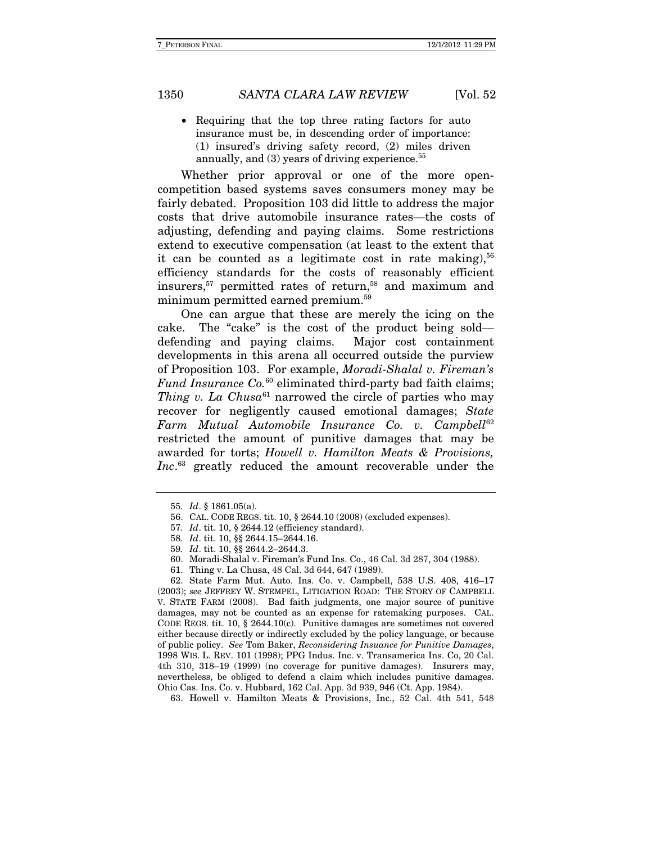• Requiring that the top three rating factors for auto insurance must be, in descending order of importance: (1) insured's driving safety record, (2) miles driven annually, and  $(3)$  years of driving experience.<sup>55</sup>

Whether prior approval or one of the more opencompetition based systems saves consumers money may be fairly debated. Proposition 103 did little to address the major costs that drive automobile insurance rates—the costs of adjusting, defending and paying claims. Some restrictions extend to executive compensation (at least to the extent that it can be counted as a legitimate cost in rate making),  $56$ efficiency standards for the costs of reasonably efficient insurers,<sup>57</sup> permitted rates of return,<sup>58</sup> and maximum and minimum permitted earned premium.59

One can argue that these are merely the icing on the cake. The "cake" is the cost of the product being sold defending and paying claims. Major cost containment developments in this arena all occurred outside the purview of Proposition 103. For example, Moradi-Shalal v. Fireman's Fund Insurance Co. $60$  eliminated third-party bad faith claims; Thing v. La Chusa<sup>61</sup> narrowed the circle of parties who may recover for negligently caused emotional damages; State  $Farm$  Mutual Automobile Insurance Co. v. Campbell<sup>62</sup> restricted the amount of punitive damages that may be awarded for torts; Howell v. Hamilton Meats & Provisions, Inc.<sup>63</sup> greatly reduced the amount recoverable under the

- 58. Id. tit. 10, §§ 2644.15–2644.16.
- 59. Id. tit. 10, §§ 2644.2–2644.3.
- 60. Moradi-Shalal v. Fireman's Fund Ins. Co., 46 Cal. 3d 287, 304 (1988).
- 61. Thing v. La Chusa, 48 Cal. 3d 644, 647 (1989).

 62. State Farm Mut. Auto. Ins. Co. v. Campbell, 538 U.S. 408, 416–17 (2003); see JEFFREY W. STEMPEL, LITIGATION ROAD: THE STORY OF CAMPBELL V. STATE FARM (2008). Bad faith judgments, one major source of punitive damages, may not be counted as an expense for ratemaking purposes. CAL. CODE REGS. tit. 10,  $\S$  2644.10(c). Punitive damages are sometimes not covered either because directly or indirectly excluded by the policy language, or because of public policy. See Tom Baker, Reconsidering Insuance for Punitive Damages, 1998 WIS. L. REV. 101 (1998); PPG Indus. Inc. v. Transamerica Ins. Co, 20 Cal. 4th 310, 318–19 (1999) (no coverage for punitive damages). Insurers may, nevertheless, be obliged to defend a claim which includes punitive damages. Ohio Cas. Ins. Co. v. Hubbard, 162 Cal. App. 3d 939, 946 (Ct. App. 1984).

63. Howell v. Hamilton Meats & Provisions, Inc., 52 Cal. 4th 541, 548

<sup>55</sup>. Id. § 1861.05(a).

 <sup>56.</sup> CAL. CODE REGS. tit. 10, § 2644.10 (2008) (excluded expenses).

<sup>57</sup>. Id. tit. 10, § 2644.12 (efficiency standard).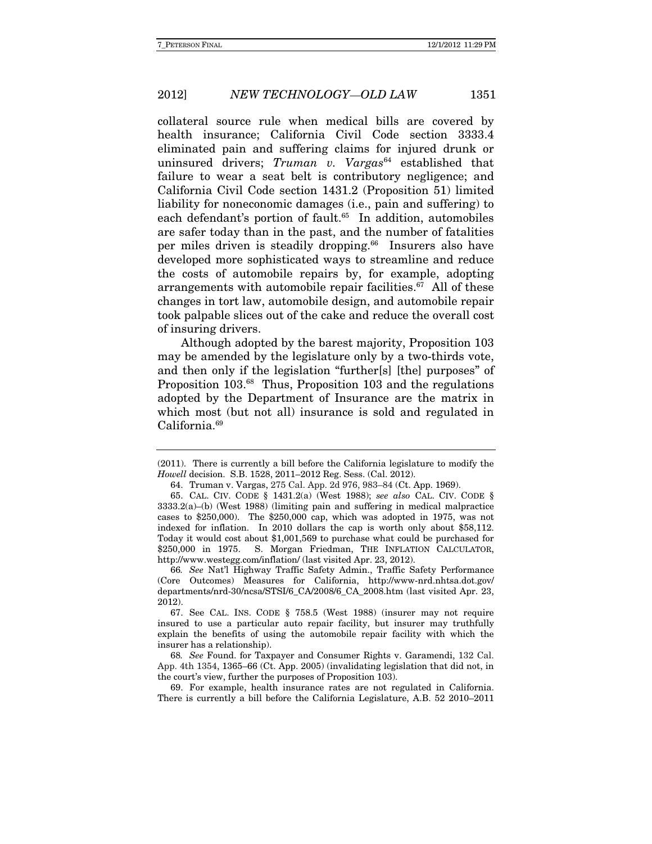collateral source rule when medical bills are covered by health insurance; California Civil Code section 3333.4 eliminated pain and suffering claims for injured drunk or uninsured drivers;  $Truman$  v.  $Vargas^{64}$  established that failure to wear a seat belt is contributory negligence; and California Civil Code section 1431.2 (Proposition 51) limited liability for noneconomic damages (i.e., pain and suffering) to each defendant's portion of fault.<sup>65</sup> In addition, automobiles are safer today than in the past, and the number of fatalities per miles driven is steadily dropping.<sup>66</sup> Insurers also have developed more sophisticated ways to streamline and reduce the costs of automobile repairs by, for example, adopting arrangements with automobile repair facilities. $67$  All of these changes in tort law, automobile design, and automobile repair took palpable slices out of the cake and reduce the overall cost of insuring drivers.

Although adopted by the barest majority, Proposition 103 may be amended by the legislature only by a two-thirds vote, and then only if the legislation "further[s] [the] purposes" of Proposition 103.68 Thus, Proposition 103 and the regulations adopted by the Department of Insurance are the matrix in which most (but not all) insurance is sold and regulated in California.69

 69. For example, health insurance rates are not regulated in California. There is currently a bill before the California Legislature, A.B. 52 2010–2011

<sup>(2011).</sup> There is currently a bill before the California legislature to modify the Howell decision. S.B. 1528, 2011–2012 Reg. Sess. (Cal. 2012).

 <sup>64.</sup> Truman v. Vargas, 275 Cal. App. 2d 976, 983–84 (Ct. App. 1969).

 <sup>65.</sup> CAL. CIV. CODE § 1431.2(a) (West 1988); see also CAL. CIV. CODE §  $3333.2(a)$ –(b) (West 1988) (limiting pain and suffering in medical malpractice cases to \$250,000). The \$250,000 cap, which was adopted in 1975, was not indexed for inflation. In 2010 dollars the cap is worth only about \$58,112. Today it would cost about \$1,001,569 to purchase what could be purchased for \$250,000 in 1975. S. Morgan Friedman, THE INFLATION CALCULATOR, http://www.westegg.com/inflation/ (last visited Apr. 23, 2012).

<sup>66</sup>. See Nat'l Highway Traffic Safety Admin., Traffic Safety Performance (Core Outcomes) Measures for California, http://www-nrd.nhtsa.dot.gov/ departments/nrd-30/ncsa/STSI/6\_CA/2008/6\_CA\_2008.htm (last visited Apr. 23, 2012).

 <sup>67.</sup> See CAL. INS. CODE § 758.5 (West 1988) (insurer may not require insured to use a particular auto repair facility, but insurer may truthfully explain the benefits of using the automobile repair facility with which the insurer has a relationship).

<sup>68</sup>. See Found. for Taxpayer and Consumer Rights v. Garamendi, 132 Cal. App. 4th 1354, 1365–66 (Ct. App. 2005) (invalidating legislation that did not, in the court's view, further the purposes of Proposition 103).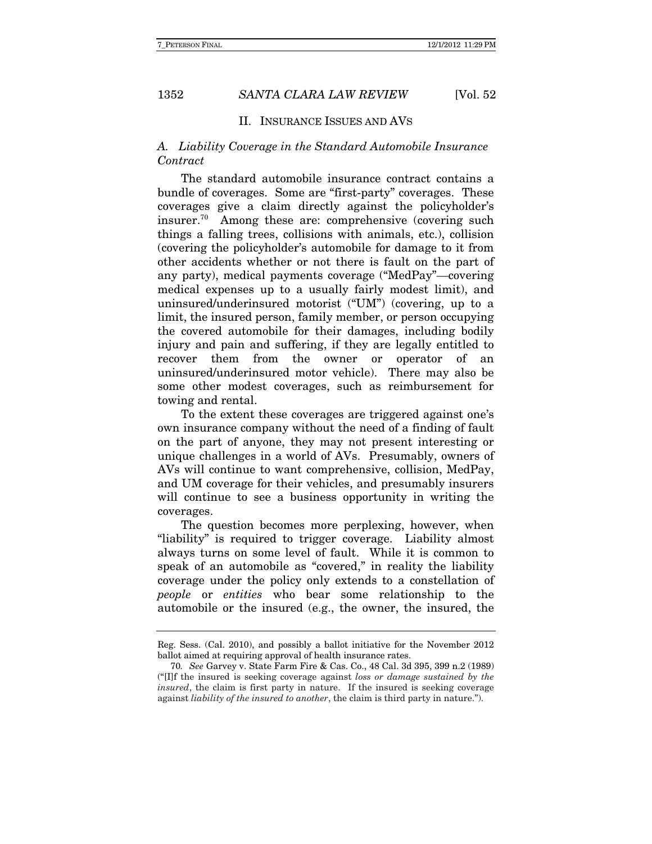#### II. INSURANCE ISSUES AND AVS

### A. Liability Coverage in the Standard Automobile Insurance Contract

The standard automobile insurance contract contains a bundle of coverages. Some are "first-party" coverages. These coverages give a claim directly against the policyholder's insurer.70 Among these are: comprehensive (covering such things a falling trees, collisions with animals, etc.), collision (covering the policyholder's automobile for damage to it from other accidents whether or not there is fault on the part of any party), medical payments coverage ("MedPay"—covering medical expenses up to a usually fairly modest limit), and uninsured/underinsured motorist ("UM") (covering, up to a limit, the insured person, family member, or person occupying the covered automobile for their damages, including bodily injury and pain and suffering, if they are legally entitled to recover them from the owner or operator of an uninsured/underinsured motor vehicle). There may also be some other modest coverages, such as reimbursement for towing and rental.

To the extent these coverages are triggered against one's own insurance company without the need of a finding of fault on the part of anyone, they may not present interesting or unique challenges in a world of AVs. Presumably, owners of AVs will continue to want comprehensive, collision, MedPay, and UM coverage for their vehicles, and presumably insurers will continue to see a business opportunity in writing the coverages.

The question becomes more perplexing, however, when "liability" is required to trigger coverage. Liability almost always turns on some level of fault. While it is common to speak of an automobile as "covered," in reality the liability coverage under the policy only extends to a constellation of people or entities who bear some relationship to the automobile or the insured (e.g., the owner, the insured, the

Reg. Sess. (Cal. 2010), and possibly a ballot initiative for the November 2012 ballot aimed at requiring approval of health insurance rates.

<sup>70</sup>. See Garvey v. State Farm Fire & Cas. Co., 48 Cal. 3d 395, 399 n.2 (1989) (" $[If the\;*insertance* is seeking coverage against *loss* or *damage* sustained by the$ insured, the claim is first party in nature. If the insured is seeking coverage against liability of the insured to another, the claim is third party in nature.").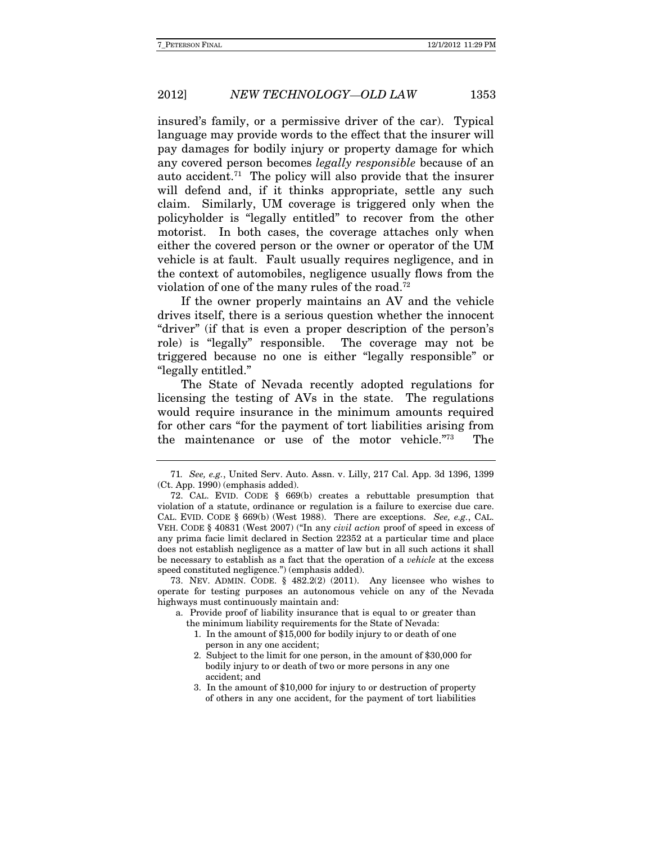insured's family, or a permissive driver of the car). Typical language may provide words to the effect that the insurer will pay damages for bodily injury or property damage for which any covered person becomes legally responsible because of an auto accident.71 The policy will also provide that the insurer will defend and, if it thinks appropriate, settle any such claim. Similarly, UM coverage is triggered only when the policyholder is "legally entitled" to recover from the other motorist. In both cases, the coverage attaches only when either the covered person or the owner or operator of the UM vehicle is at fault. Fault usually requires negligence, and in the context of automobiles, negligence usually flows from the violation of one of the many rules of the road.<sup>72</sup>

 If the owner properly maintains an AV and the vehicle drives itself, there is a serious question whether the innocent "driver" (if that is even a proper description of the person's role) is "legally" responsible. The coverage may not be triggered because no one is either "legally responsible" or "legally entitled."

The State of Nevada recently adopted regulations for licensing the testing of AVs in the state. The regulations would require insurance in the minimum amounts required for other cars "for the payment of tort liabilities arising from the maintenance or use of the motor vehicle."73 The

 73. NEV. ADMIN. CODE. § 482.2(2) (2011). Any licensee who wishes to operate for testing purposes an autonomous vehicle on any of the Nevada highways must continuously maintain and:

a. Provide proof of liability insurance that is equal to or greater than the minimum liability requirements for the State of Nevada:

- 1. In the amount of \$15,000 for bodily injury to or death of one person in any one accident;
- 2. Subject to the limit for one person, in the amount of \$30,000 for bodily injury to or death of two or more persons in any one accident; and
- 3. In the amount of \$10,000 for injury to or destruction of property of others in any one accident, for the payment of tort liabilities

<sup>71</sup>. See, e.g., United Serv. Auto. Assn. v. Lilly, 217 Cal. App. 3d 1396, 1399 (Ct. App. 1990) (emphasis added).

 <sup>72.</sup> CAL. EVID. CODE § 669(b) creates a rebuttable presumption that violation of a statute, ordinance or regulation is a failure to exercise due care. CAL. EVID. CODE  $\S$  669(b) (West 1988). There are exceptions. See, e.g., CAL. VEH. CODE § 40831 (West 2007) ("In any civil action proof of speed in excess of any prima facie limit declared in Section 22352 at a particular time and place does not establish negligence as a matter of law but in all such actions it shall be necessary to establish as a fact that the operation of a vehicle at the excess speed constituted negligence.") (emphasis added).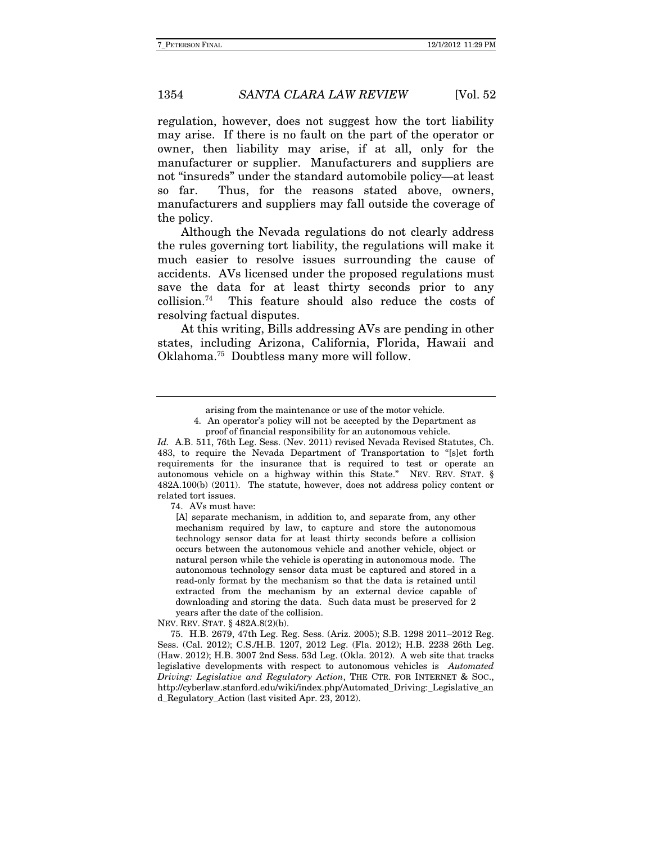regulation, however, does not suggest how the tort liability may arise. If there is no fault on the part of the operator or owner, then liability may arise, if at all, only for the manufacturer or supplier. Manufacturers and suppliers are not "insureds" under the standard automobile policy—at least so far. Thus, for the reasons stated above, owners, manufacturers and suppliers may fall outside the coverage of the policy.

Although the Nevada regulations do not clearly address the rules governing tort liability, the regulations will make it much easier to resolve issues surrounding the cause of accidents. AVs licensed under the proposed regulations must save the data for at least thirty seconds prior to any collision.74 This feature should also reduce the costs of resolving factual disputes.

At this writing, Bills addressing AVs are pending in other states, including Arizona, California, Florida, Hawaii and Oklahoma.75 Doubtless many more will follow.

74. AVs must have:

[A] separate mechanism, in addition to, and separate from, any other mechanism required by law, to capture and store the autonomous technology sensor data for at least thirty seconds before a collision occurs between the autonomous vehicle and another vehicle, object or natural person while the vehicle is operating in autonomous mode. The autonomous technology sensor data must be captured and stored in a read-only format by the mechanism so that the data is retained until extracted from the mechanism by an external device capable of downloading and storing the data. Such data must be preserved for 2 years after the date of the collision.

NEV. REV. STAT. § 482A.8(2)(b).

 75. H.B. 2679, 47th Leg. Reg. Sess. (Ariz. 2005); S.B. 1298 2011–2012 Reg. Sess. (Cal. 2012); C.S./H.B. 1207, 2012 Leg. (Fla. 2012); H.B. 2238 26th Leg. (Haw. 2012); H.B. 3007 2nd Sess. 53d Leg. (Okla. 2012). A web site that tracks legislative developments with respect to autonomous vehicles is Automated Driving: Legislative and Regulatory Action, THE CTR. FOR INTERNET & SOC., http://cyberlaw.stanford.edu/wiki/index.php/Automated\_Driving:\_Legislative\_an d\_Regulatory\_Action (last visited Apr. 23, 2012).

arising from the maintenance or use of the motor vehicle.

<sup>4.</sup> An operator's policy will not be accepted by the Department as proof of financial responsibility for an autonomous vehicle.

Id. A.B. 511, 76th Leg. Sess. (Nev. 2011) revised Nevada Revised Statutes, Ch. 483, to require the Nevada Department of Transportation to "[s]et forth requirements for the insurance that is required to test or operate an autonomous vehicle on a highway within this State." NEV. REV. STAT. § 482A.100(b) (2011). The statute, however, does not address policy content or related tort issues.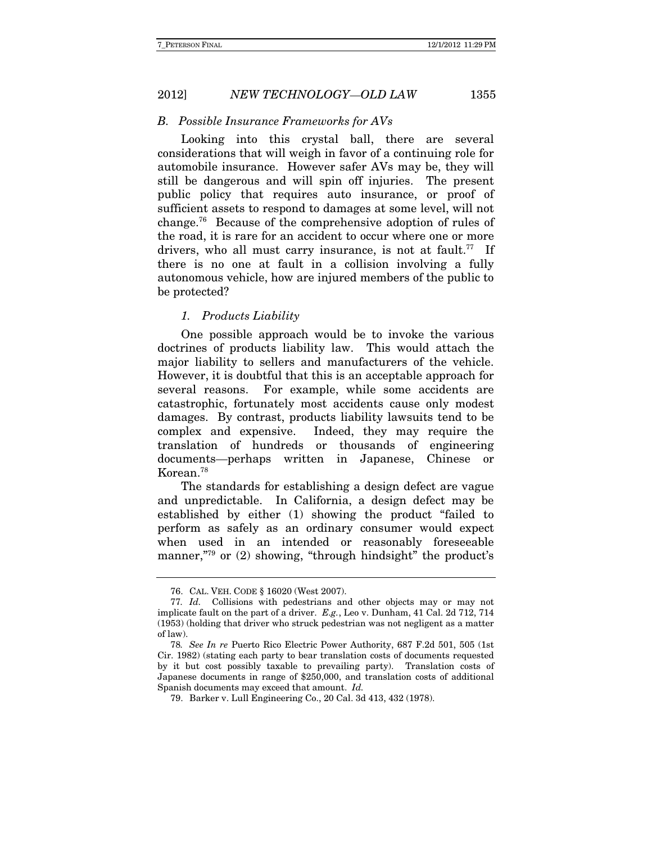B. Possible Insurance Frameworks for AVs

Looking into this crystal ball, there are several considerations that will weigh in favor of a continuing role for automobile insurance. However safer AVs may be, they will still be dangerous and will spin off injuries. The present public policy that requires auto insurance, or proof of sufficient assets to respond to damages at some level, will not change.76 Because of the comprehensive adoption of rules of the road, it is rare for an accident to occur where one or more drivers, who all must carry insurance, is not at fault.<sup>77</sup> If there is no one at fault in a collision involving a fully autonomous vehicle, how are injured members of the public to be protected?

#### 1. Products Liability

One possible approach would be to invoke the various doctrines of products liability law. This would attach the major liability to sellers and manufacturers of the vehicle. However, it is doubtful that this is an acceptable approach for several reasons. For example, while some accidents are catastrophic, fortunately most accidents cause only modest damages. By contrast, products liability lawsuits tend to be complex and expensive. Indeed, they may require the translation of hundreds or thousands of engineering documents—perhaps written in Japanese, Chinese or Korean.78

The standards for establishing a design defect are vague and unpredictable. In California, a design defect may be established by either (1) showing the product "failed to perform as safely as an ordinary consumer would expect when used in an intended or reasonably foreseeable manner,<sup>"79</sup> or (2) showing, "through hindsight" the product's

 <sup>76.</sup> CAL. VEH. CODE § 16020 (West 2007).

<sup>77</sup>. Id. Collisions with pedestrians and other objects may or may not implicate fault on the part of a driver. E.g., Leo v. Dunham, 41 Cal. 2d 712, 714 (1953) (holding that driver who struck pedestrian was not negligent as a matter of law).

<sup>78</sup>. See In re Puerto Rico Electric Power Authority, 687 F.2d 501, 505 (1st Cir. 1982) (stating each party to bear translation costs of documents requested by it but cost possibly taxable to prevailing party). Translation costs of Japanese documents in range of \$250,000, and translation costs of additional Spanish documents may exceed that amount. Id.

 <sup>79.</sup> Barker v. Lull Engineering Co., 20 Cal. 3d 413, 432 (1978).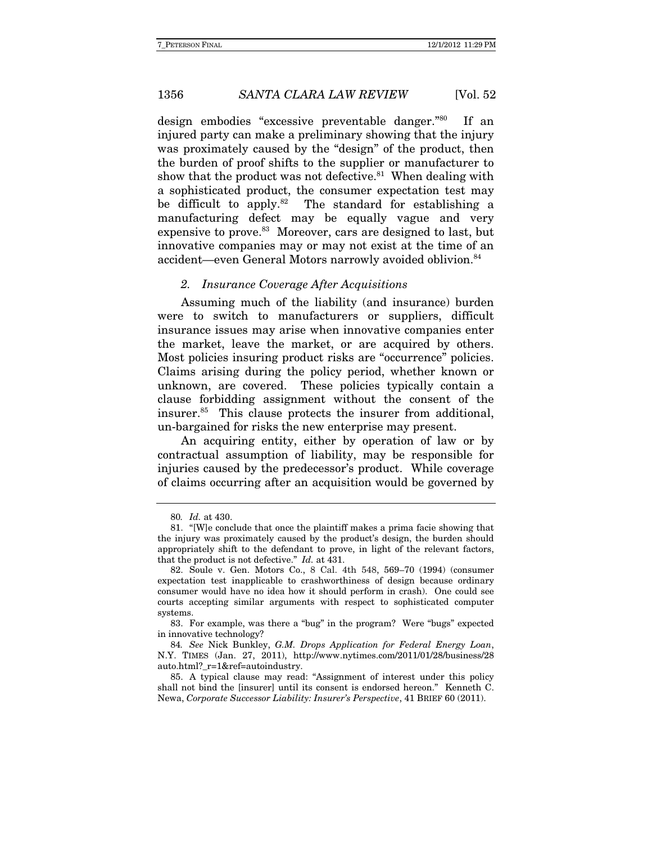design embodies "excessive preventable danger."80 If an injured party can make a preliminary showing that the injury was proximately caused by the "design" of the product, then the burden of proof shifts to the supplier or manufacturer to show that the product was not defective. $81$  When dealing with a sophisticated product, the consumer expectation test may be difficult to apply.<sup>82</sup> The standard for establishing a manufacturing defect may be equally vague and very expensive to prove.<sup>83</sup> Moreover, cars are designed to last, but innovative companies may or may not exist at the time of an accident—even General Motors narrowly avoided oblivion.<sup>84</sup>

#### 2. Insurance Coverage After Acquisitions

Assuming much of the liability (and insurance) burden were to switch to manufacturers or suppliers, difficult insurance issues may arise when innovative companies enter the market, leave the market, or are acquired by others. Most policies insuring product risks are "occurrence" policies. Claims arising during the policy period, whether known or unknown, are covered. These policies typically contain a clause forbidding assignment without the consent of the insurer.85 This clause protects the insurer from additional, un-bargained for risks the new enterprise may present.

An acquiring entity, either by operation of law or by contractual assumption of liability, may be responsible for injuries caused by the predecessor's product. While coverage of claims occurring after an acquisition would be governed by

<sup>80</sup>. Id. at 430.

 <sup>81. &</sup>quot;[W]e conclude that once the plaintiff makes a prima facie showing that the injury was proximately caused by the product's design, the burden should appropriately shift to the defendant to prove, in light of the relevant factors, that the product is not defective." Id. at 431.

 <sup>82.</sup> Soule v. Gen. Motors Co., 8 Cal. 4th 548, 569–70 (1994) (consumer expectation test inapplicable to crashworthiness of design because ordinary consumer would have no idea how it should perform in crash). One could see courts accepting similar arguments with respect to sophisticated computer systems.

 <sup>83.</sup> For example, was there a "bug" in the program? Were "bugs" expected in innovative technology?

<sup>84</sup>. See Nick Bunkley, G.M. Drops Application for Federal Energy Loan, N.Y. TIMES (Jan. 27, 2011), http://www.nytimes.com/2011/01/28/business/28 auto.html? r=1&ref=autoindustry.

 <sup>85.</sup> A typical clause may read: "Assignment of interest under this policy shall not bind the [insurer] until its consent is endorsed hereon." Kenneth C. Newa, Corporate Successor Liability: Insurer's Perspective, 41 BRIEF 60 (2011).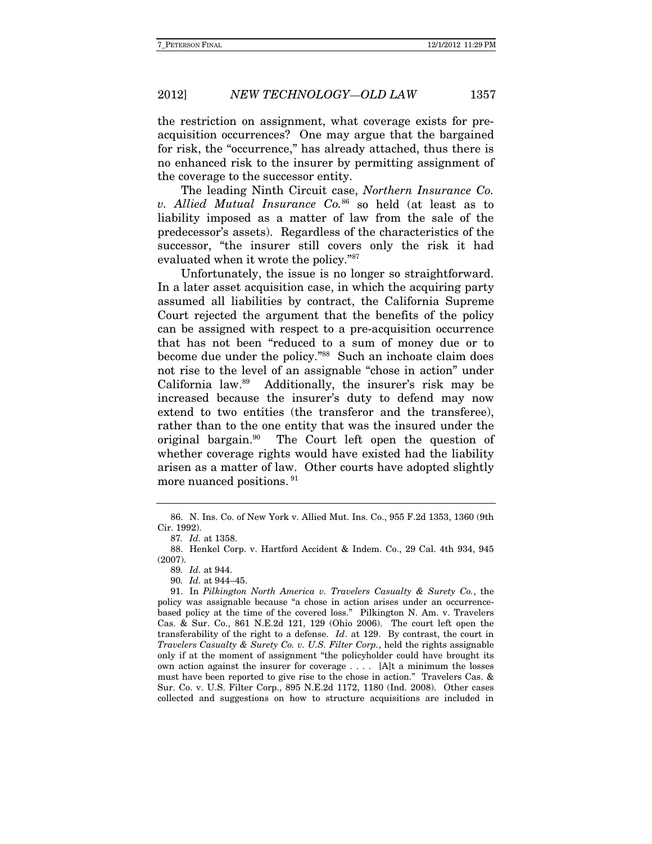the restriction on assignment, what coverage exists for preacquisition occurrences? One may argue that the bargained for risk, the "occurrence," has already attached, thus there is no enhanced risk to the insurer by permitting assignment of the coverage to the successor entity.

The leading Ninth Circuit case, Northern Insurance Co. v. Allied Mutual Insurance  $Co^{86}$  so held (at least as to liability imposed as a matter of law from the sale of the predecessor's assets). Regardless of the characteristics of the successor, "the insurer still covers only the risk it had evaluated when it wrote the policy."87

Unfortunately, the issue is no longer so straightforward. In a later asset acquisition case, in which the acquiring party assumed all liabilities by contract, the California Supreme Court rejected the argument that the benefits of the policy can be assigned with respect to a pre-acquisition occurrence that has not been "reduced to a sum of money due or to become due under the policy."88 Such an inchoate claim does not rise to the level of an assignable "chose in action" under California law.89 Additionally, the insurer's risk may be increased because the insurer's duty to defend may now extend to two entities (the transferor and the transferee), rather than to the one entity that was the insured under the original bargain.90 The Court left open the question of whether coverage rights would have existed had the liability arisen as a matter of law. Other courts have adopted slightly more nuanced positions. 91

 <sup>86.</sup> N. Ins. Co. of New York v. Allied Mut. Ins. Co., 955 F.2d 1353, 1360 (9th Cir. 1992).

<sup>87</sup>. Id. at 1358.

 <sup>88.</sup> Henkel Corp. v. Hartford Accident & Indem. Co., 29 Cal. 4th 934, 945 (2007).

<sup>89</sup>. Id. at 944.

<sup>90</sup>. Id. at 944–45.

 <sup>91.</sup> In Pilkington North America v. Travelers Casualty & Surety Co., the policy was assignable because "a chose in action arises under an occurrencebased policy at the time of the covered loss." Pilkington N. Am. v. Travelers Cas. & Sur. Co., 861 N.E.2d 121, 129 (Ohio 2006). The court left open the transferability of the right to a defense. Id. at 129. By contrast, the court in Travelers Casualty & Surety Co. v. U.S. Filter Corp., held the rights assignable only if at the moment of assignment "the policyholder could have brought its own action against the insurer for coverage . . . . [A]t a minimum the losses must have been reported to give rise to the chose in action." Travelers Cas. & Sur. Co. v. U.S. Filter Corp., 895 N.E.2d 1172, 1180 (Ind. 2008). Other cases collected and suggestions on how to structure acquisitions are included in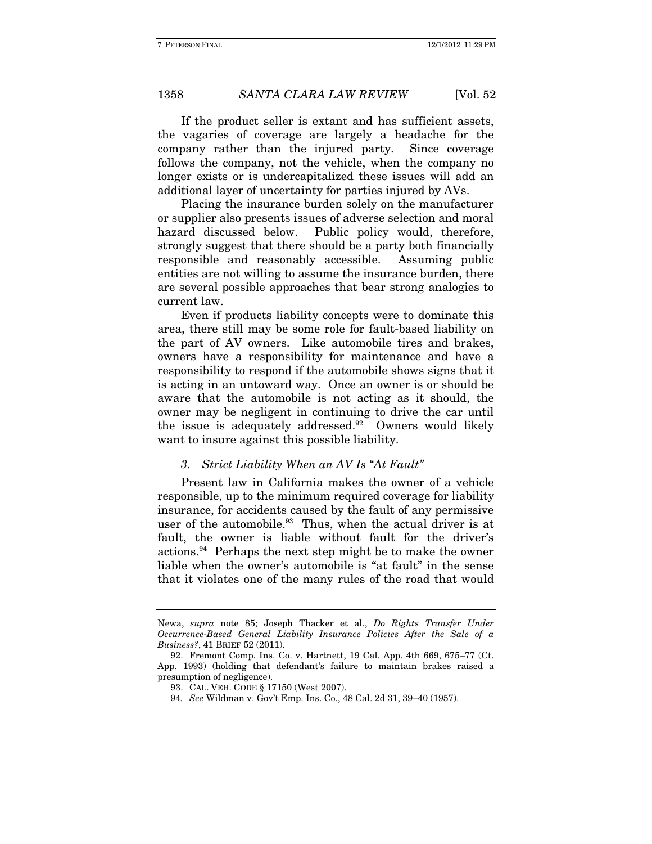If the product seller is extant and has sufficient assets, the vagaries of coverage are largely a headache for the company rather than the injured party. Since coverage follows the company, not the vehicle, when the company no longer exists or is undercapitalized these issues will add an additional layer of uncertainty for parties injured by AVs.

Placing the insurance burden solely on the manufacturer or supplier also presents issues of adverse selection and moral hazard discussed below. Public policy would, therefore, strongly suggest that there should be a party both financially responsible and reasonably accessible. Assuming public entities are not willing to assume the insurance burden, there are several possible approaches that bear strong analogies to current law.

 Even if products liability concepts were to dominate this area, there still may be some role for fault-based liability on the part of AV owners. Like automobile tires and brakes, owners have a responsibility for maintenance and have a responsibility to respond if the automobile shows signs that it is acting in an untoward way. Once an owner is or should be aware that the automobile is not acting as it should, the owner may be negligent in continuing to drive the car until the issue is adequately addressed. $92$  Owners would likely want to insure against this possible liability.

#### 3. Strict Liability When an AV Is "At Fault"

Present law in California makes the owner of a vehicle responsible, up to the minimum required coverage for liability insurance, for accidents caused by the fault of any permissive user of the automobile. $93$  Thus, when the actual driver is at fault, the owner is liable without fault for the driver's actions.94 Perhaps the next step might be to make the owner liable when the owner's automobile is "at fault" in the sense that it violates one of the many rules of the road that would

Newa, supra note 85; Joseph Thacker et al., Do Rights Transfer Under Occurrence-Based General Liability Insurance Policies After the Sale of a Business?, 41 BRIEF 52 (2011).

 <sup>92.</sup> Fremont Comp. Ins. Co. v. Hartnett, 19 Cal. App. 4th 669, 675–77 (Ct. App. 1993) (holding that defendant's failure to maintain brakes raised a presumption of negligence).

 <sup>93.</sup> CAL. VEH. CODE § 17150 (West 2007).

<sup>94</sup>. See Wildman v. Gov't Emp. Ins. Co., 48 Cal. 2d 31, 39–40 (1957).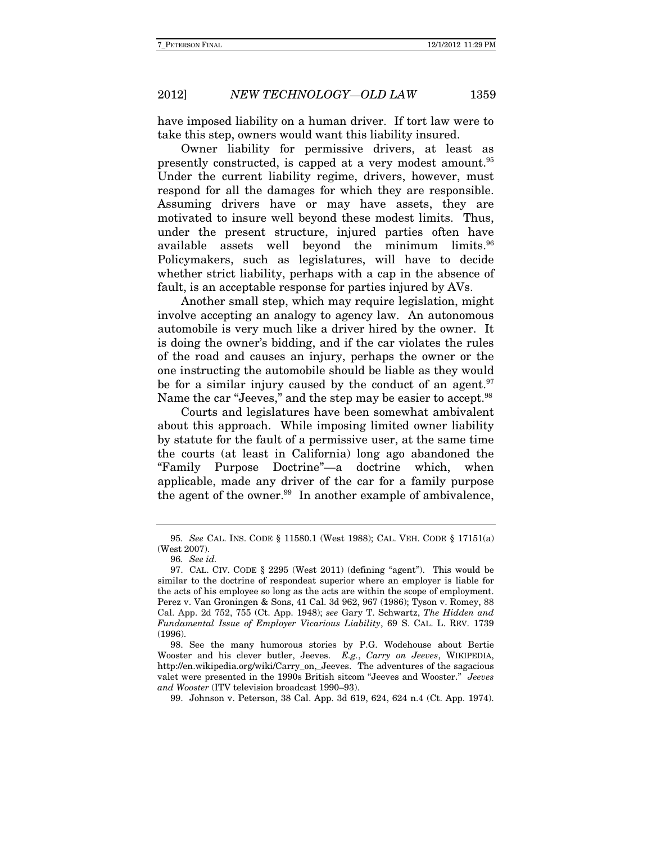have imposed liability on a human driver. If tort law were to take this step, owners would want this liability insured.

Owner liability for permissive drivers, at least as presently constructed, is capped at a very modest amount.95 Under the current liability regime, drivers, however, must respond for all the damages for which they are responsible. Assuming drivers have or may have assets, they are motivated to insure well beyond these modest limits. Thus, under the present structure, injured parties often have available assets well beyond the minimum limits.<sup>96</sup> Policymakers, such as legislatures, will have to decide whether strict liability, perhaps with a cap in the absence of fault, is an acceptable response for parties injured by AVs.

Another small step, which may require legislation, might involve accepting an analogy to agency law. An autonomous automobile is very much like a driver hired by the owner. It is doing the owner's bidding, and if the car violates the rules of the road and causes an injury, perhaps the owner or the one instructing the automobile should be liable as they would be for a similar injury caused by the conduct of an agent.<sup>97</sup> Name the car "Jeeves," and the step may be easier to accept.<sup>98</sup>

Courts and legislatures have been somewhat ambivalent about this approach. While imposing limited owner liability by statute for the fault of a permissive user, at the same time the courts (at least in California) long ago abandoned the "Family Purpose Doctrine"—a doctrine which, when applicable, made any driver of the car for a family purpose the agent of the owner. $99$  In another example of ambivalence,

<sup>95</sup>. See CAL. INS. CODE § 11580.1 (West 1988); CAL. VEH. CODE § 17151(a) (West 2007).

<sup>96</sup>. See id.

 <sup>97.</sup> CAL. CIV. CODE § 2295 (West 2011) (defining "agent"). This would be similar to the doctrine of respondeat superior where an employer is liable for the acts of his employee so long as the acts are within the scope of employment. Perez v. Van Groningen & Sons, 41 Cal. 3d 962, 967 (1986); Tyson v. Romey, 88 Cal. App. 2d 752, 755 (Ct. App. 1948); see Gary T. Schwartz, The Hidden and Fundamental Issue of Employer Vicarious Liability, 69 S. CAL. L. REV. 1739 (1996).

 <sup>98.</sup> See the many humorous stories by P.G. Wodehouse about Bertie Wooster and his clever butler, Jeeves. E.g., Carry on Jeeves, WIKIPEDIA, http://en.wikipedia.org/wiki/Carry\_on,\_Jeeves. The adventures of the sagacious valet were presented in the 1990s British sitcom "Jeeves and Wooster." Jeeves and Wooster (ITV television broadcast 1990–93).

 <sup>99.</sup> Johnson v. Peterson, 38 Cal. App. 3d 619, 624, 624 n.4 (Ct. App. 1974).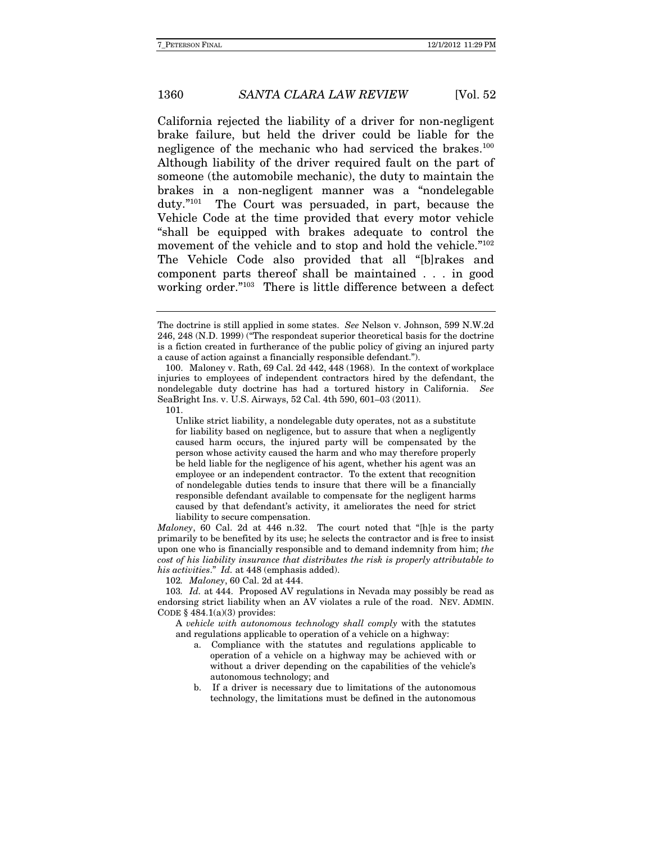California rejected the liability of a driver for non-negligent brake failure, but held the driver could be liable for the negligence of the mechanic who had serviced the brakes.<sup>100</sup> Although liability of the driver required fault on the part of someone (the automobile mechanic), the duty to maintain the brakes in a non-negligent manner was a "nondelegable duty."101 The Court was persuaded, in part, because the Vehicle Code at the time provided that every motor vehicle "shall be equipped with brakes adequate to control the movement of the vehicle and to stop and hold the vehicle."<sup>102</sup> The Vehicle Code also provided that all "[b]rakes and component parts thereof shall be maintained . . . in good working order."103 There is little difference between a defect

 100. Maloney v. Rath, 69 Cal. 2d 442, 448 (1968). In the context of workplace injuries to employees of independent contractors hired by the defendant, the nondelegable duty doctrine has had a tortured history in California. See SeaBright Ins. v. U.S. Airways, 52 Cal. 4th 590, 601–03 (2011). 101.

Maloney, 60 Cal. 2d at 446 n.32. The court noted that "[h]e is the party primarily to be benefited by its use; he selects the contractor and is free to insist upon one who is financially responsible and to demand indemnity from him; the cost of his liability insurance that distributes the risk is properly attributable to his activities." Id. at 448 (emphasis added).

102. Maloney, 60 Cal. 2d at 444.

103. Id. at 444. Proposed AV regulations in Nevada may possibly be read as endorsing strict liability when an AV violates a rule of the road. NEV. ADMIN. CODE  $§$  484.1(a)(3) provides:

A vehicle with autonomous technology shall comply with the statutes and regulations applicable to operation of a vehicle on a highway:

- a. Compliance with the statutes and regulations applicable to operation of a vehicle on a highway may be achieved with or without a driver depending on the capabilities of the vehicle's autonomous technology; and
- b. If a driver is necessary due to limitations of the autonomous technology, the limitations must be defined in the autonomous

The doctrine is still applied in some states. See Nelson v. Johnson, 599 N.W.2d 246, 248 (N.D. 1999) ("The respondeat superior theoretical basis for the doctrine is a fiction created in furtherance of the public policy of giving an injured party a cause of action against a financially responsible defendant.").

Unlike strict liability, a nondelegable duty operates, not as a substitute for liability based on negligence, but to assure that when a negligently caused harm occurs, the injured party will be compensated by the person whose activity caused the harm and who may therefore properly be held liable for the negligence of his agent, whether his agent was an employee or an independent contractor. To the extent that recognition of nondelegable duties tends to insure that there will be a financially responsible defendant available to compensate for the negligent harms caused by that defendant's activity, it ameliorates the need for strict liability to secure compensation.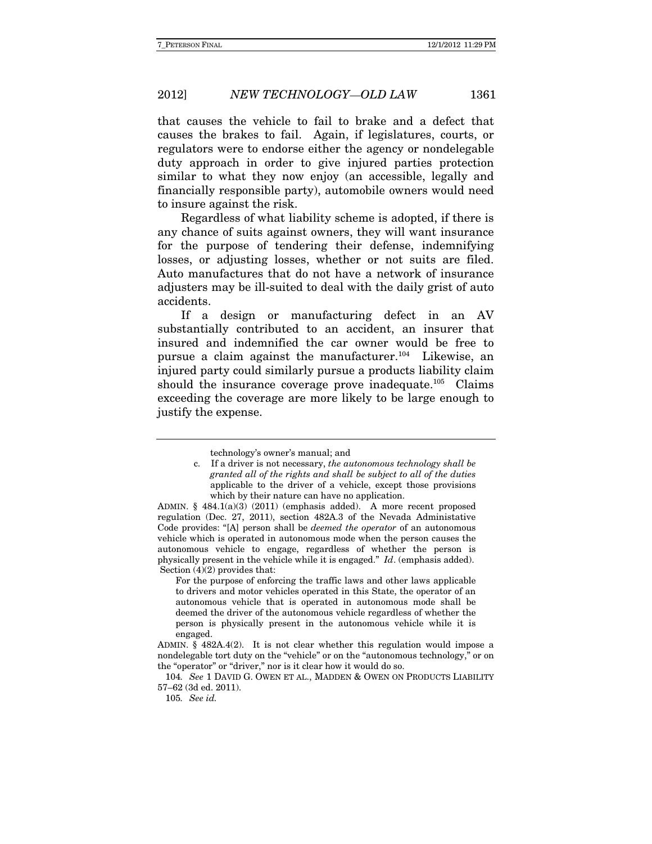that causes the vehicle to fail to brake and a defect that causes the brakes to fail. Again, if legislatures, courts, or regulators were to endorse either the agency or nondelegable duty approach in order to give injured parties protection similar to what they now enjoy (an accessible, legally and financially responsible party), automobile owners would need to insure against the risk.

Regardless of what liability scheme is adopted, if there is any chance of suits against owners, they will want insurance for the purpose of tendering their defense, indemnifying losses, or adjusting losses, whether or not suits are filed. Auto manufactures that do not have a network of insurance adjusters may be ill-suited to deal with the daily grist of auto accidents.

If a design or manufacturing defect in an AV substantially contributed to an accident, an insurer that insured and indemnified the car owner would be free to pursue a claim against the manufacturer.<sup>104</sup> Likewise, an injured party could similarly pursue a products liability claim should the insurance coverage prove inadequate.<sup>105</sup> Claims exceeding the coverage are more likely to be large enough to justify the expense.

ADMIN. § 484.1(a)(3) (2011) (emphasis added). A more recent proposed regulation (Dec. 27, 2011), section 482A.3 of the Nevada Administative Code provides: "[A] person shall be deemed the operator of an autonomous vehicle which is operated in autonomous mode when the person causes the autonomous vehicle to engage, regardless of whether the person is physically present in the vehicle while it is engaged." Id. (emphasis added). Section  $(4)(2)$  provides that:

For the purpose of enforcing the traffic laws and other laws applicable to drivers and motor vehicles operated in this State, the operator of an autonomous vehicle that is operated in autonomous mode shall be deemed the driver of the autonomous vehicle regardless of whether the person is physically present in the autonomous vehicle while it is engaged.

technology's owner's manual; and

c. If a driver is not necessary, the autonomous technology shall be granted all of the rights and shall be subject to all of the duties applicable to the driver of a vehicle, except those provisions which by their nature can have no application.

ADMIN. § 482A.4(2). It is not clear whether this regulation would impose a nondelegable tort duty on the "vehicle" or on the "autonomous technology," or on the "operator" or "driver," nor is it clear how it would do so.

<sup>104</sup>. See 1 DAVID G. OWEN ET AL., MADDEN & OWEN ON PRODUCTS LIABILITY 57–62 (3d ed. 2011).

<sup>105</sup>. See id.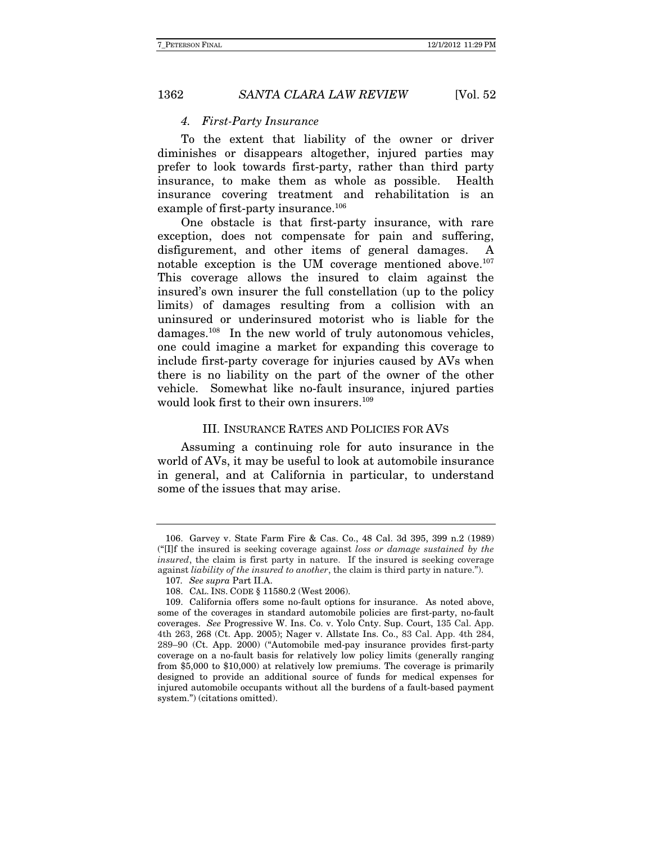#### 4. First-Party Insurance

To the extent that liability of the owner or driver diminishes or disappears altogether, injured parties may prefer to look towards first-party, rather than third party insurance, to make them as whole as possible. Health insurance covering treatment and rehabilitation is an example of first-party insurance.<sup>106</sup>

One obstacle is that first-party insurance, with rare exception, does not compensate for pain and suffering, disfigurement, and other items of general damages. A notable exception is the UM coverage mentioned above.107 This coverage allows the insured to claim against the insured's own insurer the full constellation (up to the policy limits) of damages resulting from a collision with an uninsured or underinsured motorist who is liable for the damages.108 In the new world of truly autonomous vehicles, one could imagine a market for expanding this coverage to include first-party coverage for injuries caused by AVs when there is no liability on the part of the owner of the other vehicle. Somewhat like no-fault insurance, injured parties would look first to their own insurers.<sup>109</sup>

#### III. INSURANCE RATES AND POLICIES FOR AVS

Assuming a continuing role for auto insurance in the world of AVs, it may be useful to look at automobile insurance in general, and at California in particular, to understand some of the issues that may arise.

 <sup>106.</sup> Garvey v. State Farm Fire & Cas. Co., 48 Cal. 3d 395, 399 n.2 (1989)  $("II]$ f the insured is seeking coverage against loss or damage sustained by the insured, the claim is first party in nature. If the insured is seeking coverage against liability of the insured to another, the claim is third party in nature.").

<sup>107</sup>. See supra Part II.A.

 <sup>108.</sup> CAL. INS. CODE § 11580.2 (West 2006).

 <sup>109.</sup> California offers some no-fault options for insurance. As noted above, some of the coverages in standard automobile policies are first-party, no-fault coverages. See Progressive W. Ins. Co. v. Yolo Cnty. Sup. Court, 135 Cal. App. 4th 263, 268 (Ct. App. 2005); Nager v. Allstate Ins. Co., 83 Cal. App. 4th 284, 289–90 (Ct. App. 2000) ("Automobile med-pay insurance provides first-party coverage on a no-fault basis for relatively low policy limits (generally ranging from \$5,000 to \$10,000) at relatively low premiums. The coverage is primarily designed to provide an additional source of funds for medical expenses for injured automobile occupants without all the burdens of a fault-based payment system.") (citations omitted).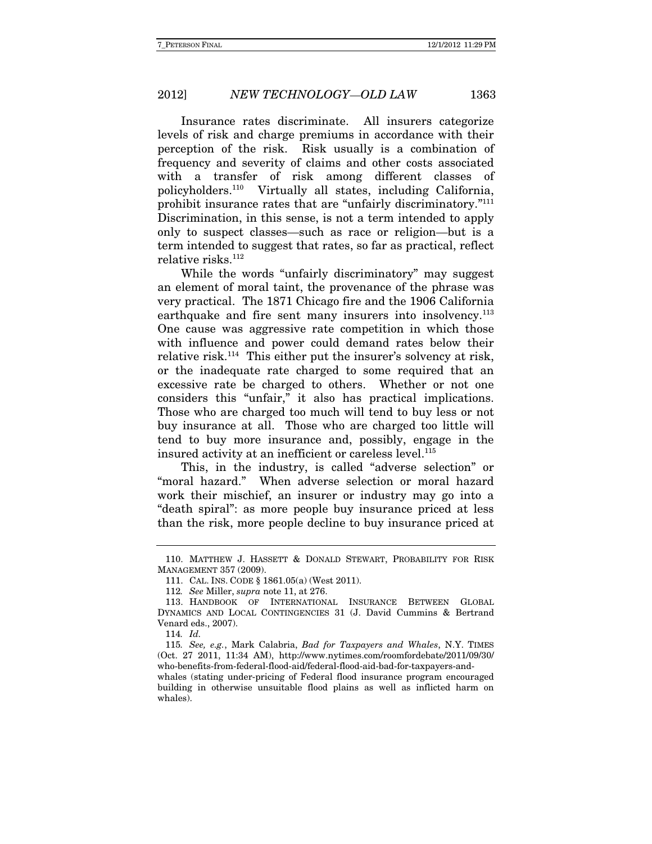Insurance rates discriminate. All insurers categorize levels of risk and charge premiums in accordance with their perception of the risk. Risk usually is a combination of frequency and severity of claims and other costs associated with a transfer of risk among different classes of policyholders.110 Virtually all states, including California, prohibit insurance rates that are "unfairly discriminatory."111 Discrimination, in this sense, is not a term intended to apply only to suspect classes—such as race or religion—but is a term intended to suggest that rates, so far as practical, reflect relative risks.<sup>112</sup>

While the words "unfairly discriminatory" may suggest an element of moral taint, the provenance of the phrase was very practical. The 1871 Chicago fire and the 1906 California earthquake and fire sent many insurers into insolvency.<sup>113</sup> One cause was aggressive rate competition in which those with influence and power could demand rates below their relative risk.114 This either put the insurer's solvency at risk, or the inadequate rate charged to some required that an excessive rate be charged to others. Whether or not one considers this "unfair," it also has practical implications. Those who are charged too much will tend to buy less or not buy insurance at all. Those who are charged too little will tend to buy more insurance and, possibly, engage in the insured activity at an inefficient or careless level.<sup>115</sup>

This, in the industry, is called "adverse selection" or "moral hazard." When adverse selection or moral hazard work their mischief, an insurer or industry may go into a "death spiral": as more people buy insurance priced at less than the risk, more people decline to buy insurance priced at

 <sup>110.</sup> MATTHEW J. HASSETT & DONALD STEWART, PROBABILITY FOR RISK MANAGEMENT 357 (2009).

 <sup>111.</sup> CAL. INS. CODE § 1861.05(a) (West 2011).

<sup>112</sup>. See Miller, supra note 11, at 276.

 <sup>113.</sup> HANDBOOK OF INTERNATIONAL INSURANCE BETWEEN GLOBAL DYNAMICS AND LOCAL CONTINGENCIES 31 (J. David Cummins & Bertrand Venard eds., 2007).

<sup>114</sup>. Id.

<sup>115</sup>. See, e.g., Mark Calabria, Bad for Taxpayers and Whales, N.Y. TIMES (Oct. 27 2011, 11:34 AM), http://www.nytimes.com/roomfordebate/2011/09/30/ who-benefits-from-federal-flood-aid/federal-flood-aid-bad-for-taxpayers-and-

whales (stating under-pricing of Federal flood insurance program encouraged building in otherwise unsuitable flood plains as well as inflicted harm on whales).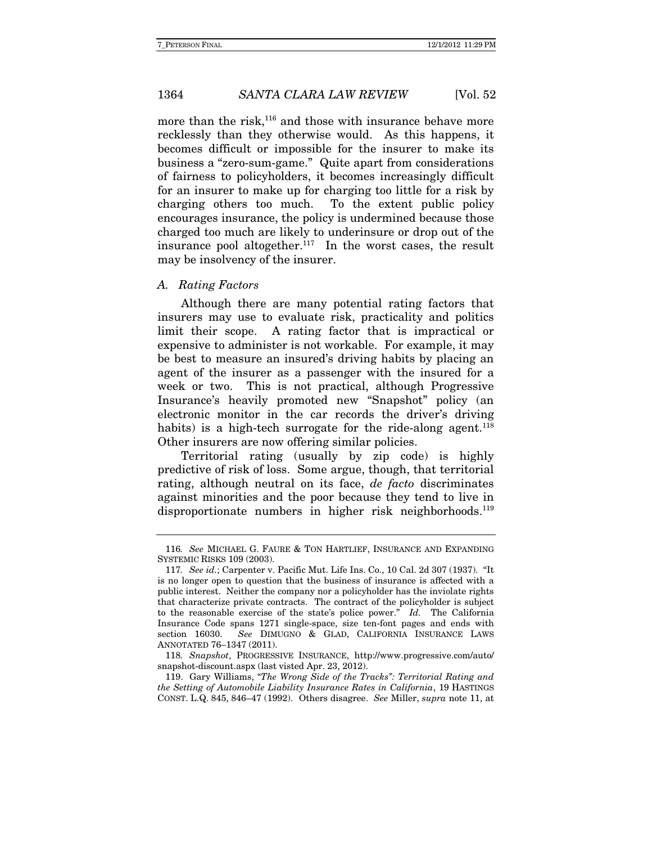more than the risk, $116$  and those with insurance behave more recklessly than they otherwise would. As this happens, it becomes difficult or impossible for the insurer to make its business a "zero-sum-game." Quite apart from considerations of fairness to policyholders, it becomes increasingly difficult for an insurer to make up for charging too little for a risk by charging others too much. To the extent public policy encourages insurance, the policy is undermined because those charged too much are likely to underinsure or drop out of the insurance pool altogether. $117$  In the worst cases, the result may be insolvency of the insurer.

#### A. Rating Factors

 Although there are many potential rating factors that insurers may use to evaluate risk, practicality and politics limit their scope. A rating factor that is impractical or expensive to administer is not workable. For example, it may be best to measure an insured's driving habits by placing an agent of the insurer as a passenger with the insured for a week or two. This is not practical, although Progressive Insurance's heavily promoted new "Snapshot" policy (an electronic monitor in the car records the driver's driving habits) is a high-tech surrogate for the ride-along agent.<sup>118</sup> Other insurers are now offering similar policies.

 Territorial rating (usually by zip code) is highly predictive of risk of loss. Some argue, though, that territorial rating, although neutral on its face, *de facto* discriminates against minorities and the poor because they tend to live in disproportionate numbers in higher risk neighborhoods.<sup>119</sup>

 119. Gary Williams, "The Wrong Side of the Tracks": Territorial Rating and the Setting of Automobile Liability Insurance Rates in California, 19 HASTINGS CONST. L.Q. 845, 846–47 (1992).Others disagree. See Miller, supra note 11, at

<sup>116</sup>. See MICHAEL G. FAURE & TON HARTLIEF, INSURANCE AND EXPANDING SYSTEMIC RISKS 109 (2003).

<sup>117</sup>. See id.; Carpenter v. Pacific Mut. Life Ins. Co., 10 Cal. 2d 307 (1937). "It is no longer open to question that the business of insurance is affected with a public interest. Neither the company nor a policyholder has the inviolate rights that characterize private contracts. The contract of the policyholder is subject to the reasonable exercise of the state's police power." Id. The California Insurance Code spans 1271 single-space, size ten-font pages and ends with section 16030. See DIMUGNO & GLAD, CALIFORNIA INSURANCE LAWS ANNOTATED 76–1347 (2011).

<sup>118</sup>. Snapshot, PROGRESSIVE INSURANCE, http://www.progressive.com/auto/ snapshot-discount.aspx (last visted Apr. 23, 2012).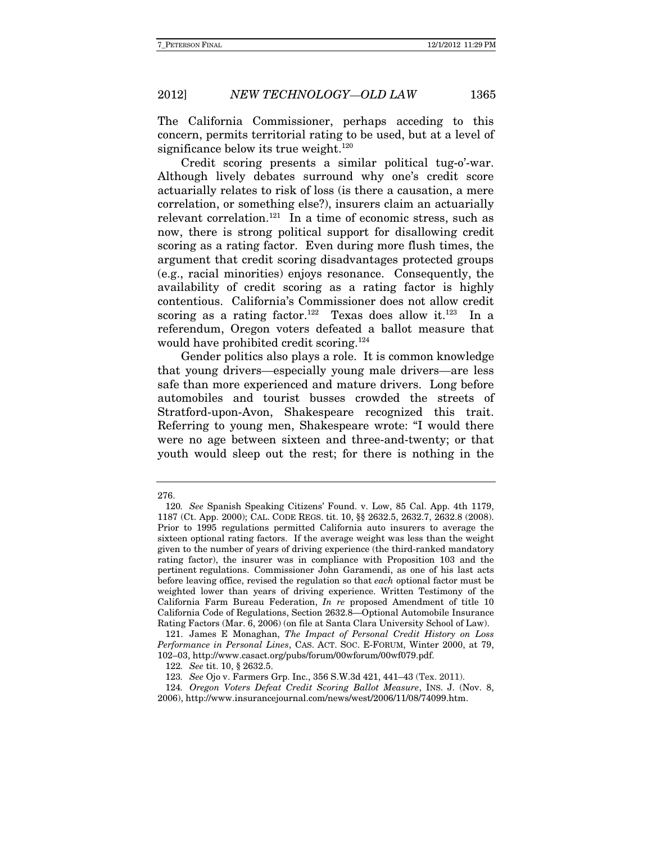The California Commissioner, perhaps acceding to this concern, permits territorial rating to be used, but at a level of significance below its true weight.<sup>120</sup>

Credit scoring presents a similar political tug-o'-war. Although lively debates surround why one's credit score actuarially relates to risk of loss (is there a causation, a mere correlation, or something else?), insurers claim an actuarially relevant correlation.<sup>121</sup> In a time of economic stress, such as now, there is strong political support for disallowing credit scoring as a rating factor. Even during more flush times, the argument that credit scoring disadvantages protected groups (e.g., racial minorities) enjoys resonance. Consequently, the availability of credit scoring as a rating factor is highly contentious. California's Commissioner does not allow credit scoring as a rating factor.<sup>122</sup> Texas does allow it.<sup>123</sup> In a referendum, Oregon voters defeated a ballot measure that would have prohibited credit scoring.<sup>124</sup>

Gender politics also plays a role. It is common knowledge that young drivers—especially young male drivers—are less safe than more experienced and mature drivers. Long before automobiles and tourist busses crowded the streets of Stratford-upon-Avon, Shakespeare recognized this trait. Referring to young men, Shakespeare wrote: "I would there were no age between sixteen and three-and-twenty; or that youth would sleep out the rest; for there is nothing in the

<sup>276.</sup>

<sup>120</sup>. See Spanish Speaking Citizens' Found. v. Low, 85 Cal. App. 4th 1179, 1187 (Ct. App. 2000); CAL. CODE REGS. tit. 10, §§ 2632.5, 2632.7, 2632.8 (2008). Prior to 1995 regulations permitted California auto insurers to average the sixteen optional rating factors. If the average weight was less than the weight given to the number of years of driving experience (the third-ranked mandatory rating factor), the insurer was in compliance with Proposition 103 and the pertinent regulations. Commissioner John Garamendi, as one of his last acts before leaving office, revised the regulation so that each optional factor must be weighted lower than years of driving experience. Written Testimony of the California Farm Bureau Federation, In re proposed Amendment of title 10 California Code of Regulations, Section 2632.8—Optional Automobile Insurance Rating Factors (Mar. 6, 2006) (on file at Santa Clara University School of Law).

 <sup>121.</sup> James E Monaghan, The Impact of Personal Credit History on Loss Performance in Personal Lines, CAS. ACT. SOC. E-FORUM, Winter 2000, at 79, 102–03, http://www.casact.org/pubs/forum/00wforum/00wf079.pdf.

<sup>122</sup>. See tit. 10, § 2632.5.

<sup>123</sup>. See Ojo v. Farmers Grp. Inc., 356 S.W.3d 421, 441–43 (Tex. 2011).

<sup>124</sup>. Oregon Voters Defeat Credit Scoring Ballot Measure, INS. J. (Nov. 8, 2006), http://www.insurancejournal.com/news/west/2006/11/08/74099.htm.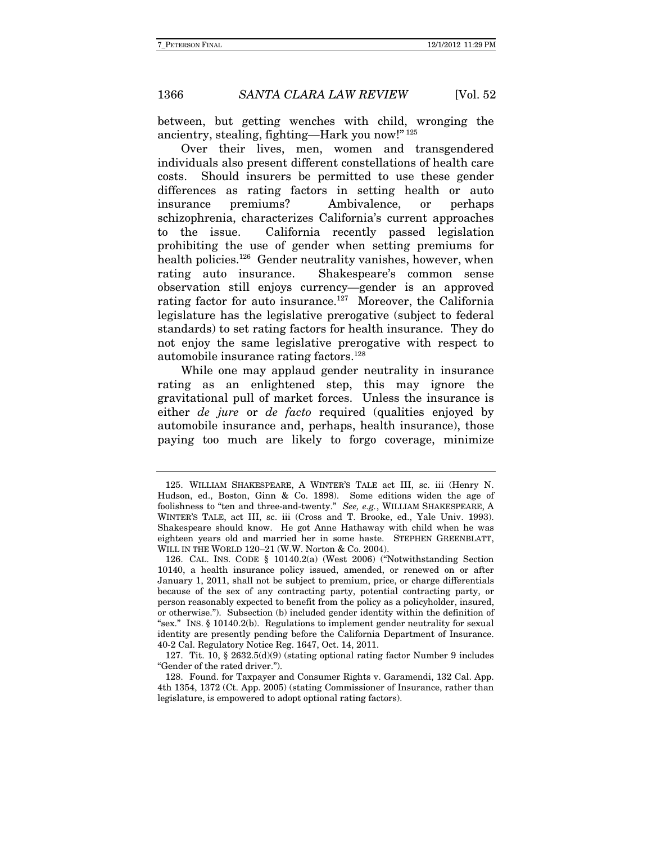between, but getting wenches with child, wronging the ancientry, stealing, fighting—Hark you now!" 125

Over their lives, men, women and transgendered individuals also present different constellations of health care costs. Should insurers be permitted to use these gender differences as rating factors in setting health or auto insurance premiums? Ambivalence, or perhaps schizophrenia, characterizes California's current approaches to the issue. California recently passed legislation prohibiting the use of gender when setting premiums for health policies.<sup>126</sup> Gender neutrality vanishes, however, when rating auto insurance. Shakespeare's common sense observation still enjoys currency—gender is an approved rating factor for auto insurance.<sup>127</sup> Moreover, the California legislature has the legislative prerogative (subject to federal standards) to set rating factors for health insurance. They do not enjoy the same legislative prerogative with respect to automobile insurance rating factors.128

While one may applaud gender neutrality in insurance rating as an enlightened step, this may ignore the gravitational pull of market forces. Unless the insurance is either de jure or de facto required (qualities enjoyed by automobile insurance and, perhaps, health insurance), those paying too much are likely to forgo coverage, minimize

 <sup>125.</sup> WILLIAM SHAKESPEARE, A WINTER'S TALE act III, sc. iii (Henry N. Hudson, ed., Boston, Ginn & Co. 1898). Some editions widen the age of foolishness to "ten and three-and-twenty." See, e.g., WILLIAM SHAKESPEARE, A WINTER'S TALE, act III, sc. iii (Cross and T. Brooke, ed., Yale Univ. 1993). Shakespeare should know. He got Anne Hathaway with child when he was eighteen years old and married her in some haste. STEPHEN GREENBLATT, WILL IN THE WORLD 120–21 (W.W. Norton & Co. 2004).

 <sup>126.</sup> CAL. INS. CODE § 10140.2(a) (West 2006) ("Notwithstanding Section 10140, a health insurance policy issued, amended, or renewed on or after January 1, 2011, shall not be subject to premium, price, or charge differentials because of the sex of any contracting party, potential contracting party, or person reasonably expected to benefit from the policy as a policyholder, insured, or otherwise."). Subsection (b) included gender identity within the definition of "sex."INS. § 10140.2(b). Regulations to implement gender neutrality for sexual identity are presently pending before the California Department of Insurance. 40-2 Cal. Regulatory Notice Reg. 1647, Oct. 14, 2011.

 <sup>127.</sup> Tit. 10, § 2632.5(d)(9) (stating optional rating factor Number 9 includes "Gender of the rated driver.").

 <sup>128.</sup> Found. for Taxpayer and Consumer Rights v. Garamendi, 132 Cal. App. 4th 1354, 1372 (Ct. App. 2005) (stating Commissioner of Insurance, rather than legislature, is empowered to adopt optional rating factors).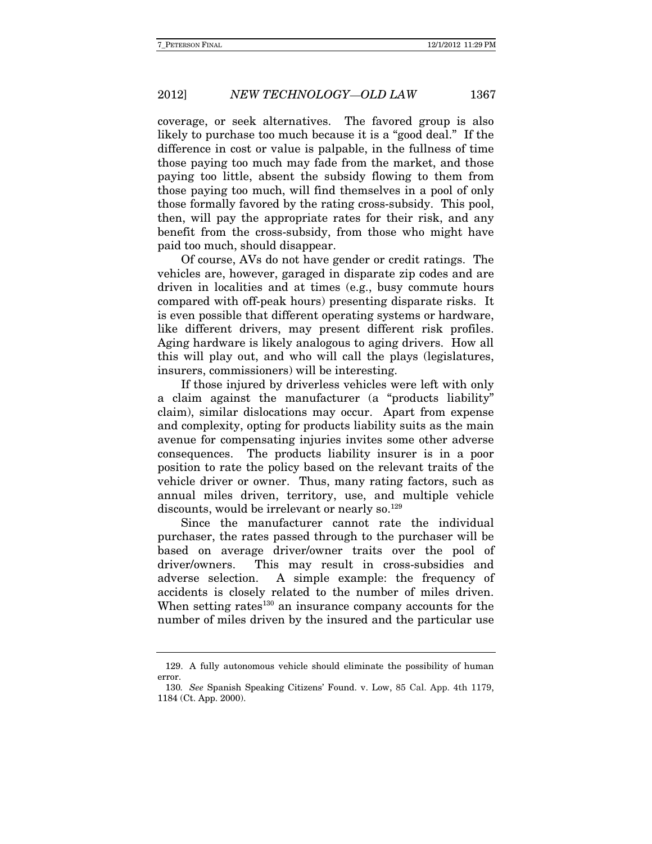coverage, or seek alternatives. The favored group is also likely to purchase too much because it is a "good deal." If the difference in cost or value is palpable, in the fullness of time those paying too much may fade from the market, and those paying too little, absent the subsidy flowing to them from those paying too much, will find themselves in a pool of only those formally favored by the rating cross-subsidy. This pool, then, will pay the appropriate rates for their risk, and any benefit from the cross-subsidy, from those who might have paid too much, should disappear.

Of course, AVs do not have gender or credit ratings. The vehicles are, however, garaged in disparate zip codes and are driven in localities and at times (e.g., busy commute hours compared with off-peak hours) presenting disparate risks. It is even possible that different operating systems or hardware, like different drivers, may present different risk profiles. Aging hardware is likely analogous to aging drivers. How all this will play out, and who will call the plays (legislatures, insurers, commissioners) will be interesting.

If those injured by driverless vehicles were left with only a claim against the manufacturer (a "products liability" claim), similar dislocations may occur. Apart from expense and complexity, opting for products liability suits as the main avenue for compensating injuries invites some other adverse consequences. The products liability insurer is in a poor position to rate the policy based on the relevant traits of the vehicle driver or owner. Thus, many rating factors, such as annual miles driven, territory, use, and multiple vehicle discounts, would be irrelevant or nearly so.<sup>129</sup>

Since the manufacturer cannot rate the individual purchaser, the rates passed through to the purchaser will be based on average driver/owner traits over the pool of driver/owners. This may result in cross-subsidies and adverse selection. A simple example: the frequency of accidents is closely related to the number of miles driven. When setting rates $130$  an insurance company accounts for the number of miles driven by the insured and the particular use

 <sup>129.</sup> A fully autonomous vehicle should eliminate the possibility of human error.

<sup>130</sup>. See Spanish Speaking Citizens' Found. v. Low, 85 Cal. App. 4th 1179, 1184 (Ct. App. 2000).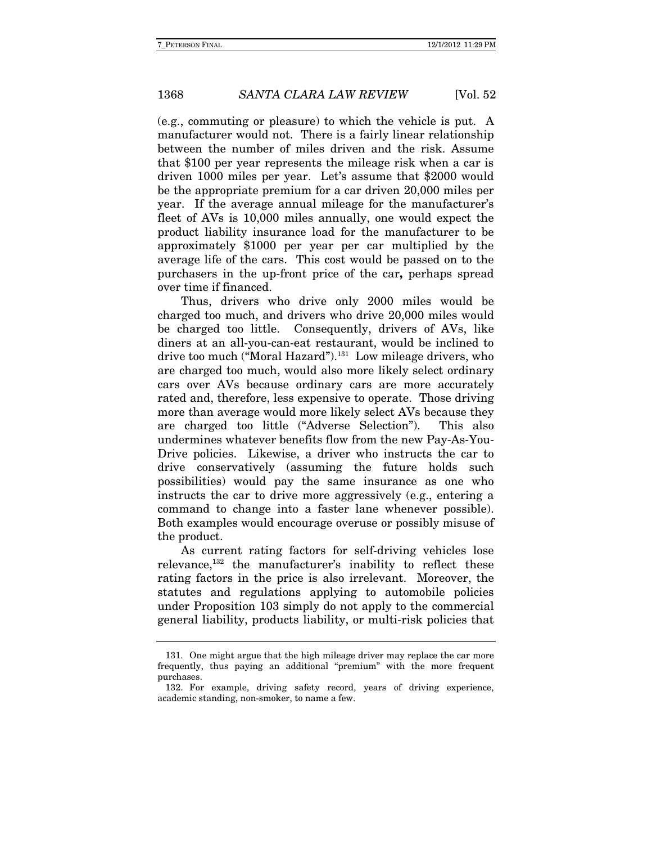(e.g., commuting or pleasure) to which the vehicle is put. A manufacturer would not. There is a fairly linear relationship between the number of miles driven and the risk. Assume that \$100 per year represents the mileage risk when a car is driven 1000 miles per year. Let's assume that \$2000 would be the appropriate premium for a car driven 20,000 miles per year. If the average annual mileage for the manufacturer's fleet of AVs is 10,000 miles annually, one would expect the product liability insurance load for the manufacturer to be approximately \$1000 per year per car multiplied by the average life of the cars. This cost would be passed on to the purchasers in the up-front price of the car**,** perhaps spread over time if financed.

Thus, drivers who drive only 2000 miles would be charged too much, and drivers who drive 20,000 miles would be charged too little. Consequently, drivers of AVs, like diners at an all-you-can-eat restaurant, would be inclined to drive too much ("Moral Hazard").<sup>131</sup> Low mileage drivers, who are charged too much, would also more likely select ordinary cars over AVs because ordinary cars are more accurately rated and, therefore, less expensive to operate. Those driving more than average would more likely select AVs because they are charged too little ("Adverse Selection"). This also undermines whatever benefits flow from the new Pay-As-You-Drive policies. Likewise, a driver who instructs the car to drive conservatively (assuming the future holds such possibilities) would pay the same insurance as one who instructs the car to drive more aggressively (e.g., entering a command to change into a faster lane whenever possible). Both examples would encourage overuse or possibly misuse of the product.

As current rating factors for self-driving vehicles lose relevance,132 the manufacturer's inability to reflect these rating factors in the price is also irrelevant. Moreover, the statutes and regulations applying to automobile policies under Proposition 103 simply do not apply to the commercial general liability, products liability, or multi-risk policies that

 <sup>131.</sup> One might argue that the high mileage driver may replace the car more frequently, thus paying an additional "premium" with the more frequent purchases.

 <sup>132.</sup> For example, driving safety record, years of driving experience, academic standing, non-smoker, to name a few.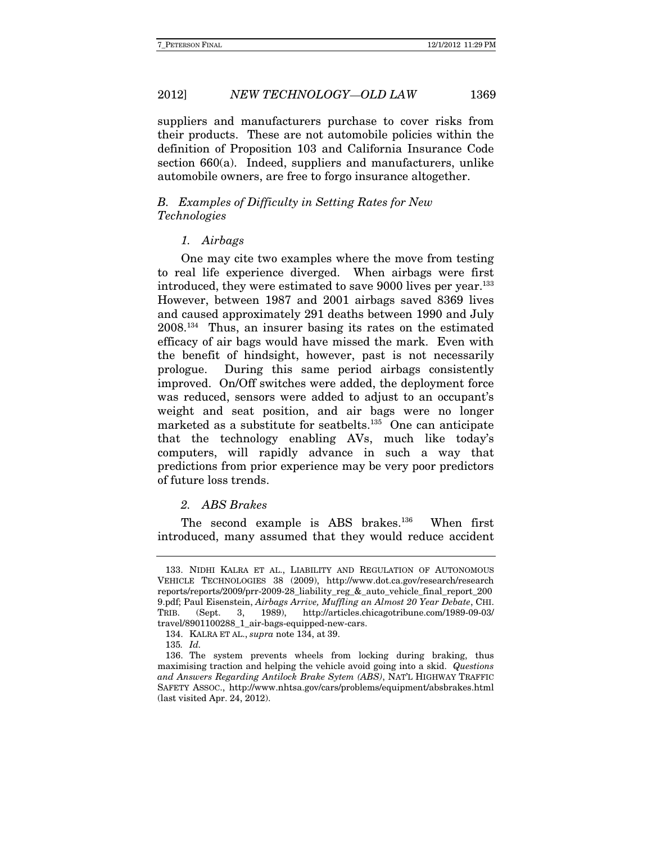suppliers and manufacturers purchase to cover risks from their products. These are not automobile policies within the definition of Proposition 103 and California Insurance Code section 660(a). Indeed, suppliers and manufacturers, unlike automobile owners, are free to forgo insurance altogether.

#### B. Examples of Difficulty in Setting Rates for New Technologies

#### 1. Airbags

One may cite two examples where the move from testing to real life experience diverged. When airbags were first introduced, they were estimated to save 9000 lives per year.133 However, between 1987 and 2001 airbags saved 8369 lives and caused approximately 291 deaths between 1990 and July 2008.134 Thus, an insurer basing its rates on the estimated efficacy of air bags would have missed the mark. Even with the benefit of hindsight, however, past is not necessarily prologue. During this same period airbags consistently improved. On/Off switches were added, the deployment force was reduced, sensors were added to adjust to an occupant's weight and seat position, and air bags were no longer marketed as a substitute for seatbelts.<sup>135</sup> One can anticipate that the technology enabling AVs, much like today's computers, will rapidly advance in such a way that predictions from prior experience may be very poor predictors of future loss trends.

#### 2. ABS Brakes

The second example is ABS brakes.<sup>136</sup> When first introduced, many assumed that they would reduce accident

 <sup>133.</sup> NIDHI KALRA ET AL., LIABILITY AND REGULATION OF AUTONOMOUS VEHICLE TECHNOLOGIES 38 (2009), http://www.dot.ca.gov/research/research reports/reports/2009/prr-2009-28\_liability\_reg\_&\_auto\_vehicle\_final\_report\_200 9.pdf; Paul Eisenstein, Airbags Arrive, Muffling an Almost 20 Year Debate, CHI. TRIB. (Sept. 3, 1989), http://articles.chicagotribune.com/1989-09-03/ travel/8901100288\_1\_air-bags-equipped-new-cars.

 <sup>134.</sup> KALRA ET AL., supra note 134, at 39.

<sup>135</sup>. Id.

 <sup>136.</sup> The system prevents wheels from locking during braking, thus maximising traction and helping the vehicle avoid going into a skid. Questions and Answers Regarding Antilock Brake Sytem (ABS), NAT'L HIGHWAY TRAFFIC SAFETY ASSOC., http://www.nhtsa.gov/cars/problems/equipment/absbrakes.html (last visited Apr. 24, 2012).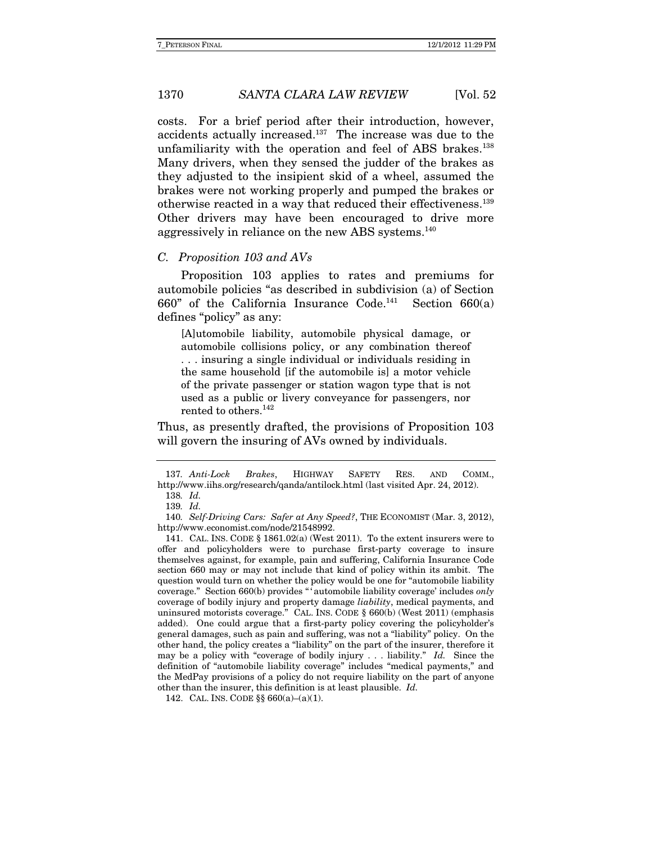costs. For a brief period after their introduction, however, accidents actually increased.137 The increase was due to the unfamiliarity with the operation and feel of ABS brakes.<sup>138</sup> Many drivers, when they sensed the judder of the brakes as they adjusted to the insipient skid of a wheel, assumed the brakes were not working properly and pumped the brakes or otherwise reacted in a way that reduced their effectiveness.139 Other drivers may have been encouraged to drive more aggressively in reliance on the new ABS systems.<sup>140</sup>

#### C. Proposition 103 and AVs

Proposition 103 applies to rates and premiums for automobile policies "as described in subdivision (a) of Section 660" of the California Insurance Code.<sup>141</sup> Section 660(a) defines "policy" as any:

[A]utomobile liability, automobile physical damage, or automobile collisions policy, or any combination thereof . . . insuring a single individual or individuals residing in the same household [if the automobile is] a motor vehicle of the private passenger or station wagon type that is not used as a public or livery conveyance for passengers, nor rented to others.<sup>142</sup>

Thus, as presently drafted, the provisions of Proposition 103 will govern the insuring of AVs owned by individuals.

<sup>137</sup>. Anti-Lock Brakes, HIGHWAY SAFETY RES. AND COMM., http://www.iihs.org/research/qanda/antilock.html (last visited Apr. 24, 2012). 138. Id.

<sup>139</sup>. Id.

<sup>140</sup>. Self-Driving Cars: Safer at Any Speed?, THE ECONOMIST (Mar. 3, 2012), http://www.economist.com/node/21548992.

 <sup>141.</sup> CAL. INS. CODE § 1861.02(a) (West 2011). To the extent insurers were to offer and policyholders were to purchase first-party coverage to insure themselves against, for example, pain and suffering, California Insurance Code section 660 may or may not include that kind of policy within its ambit. The question would turn on whether the policy would be one for "automobile liability coverage." Section 660(b) provides " ' automobile liability coverage' includes only coverage of bodily injury and property damage liability, medical payments, and uninsured motorists coverage." CAL. INS. CODE § 660(b) (West 2011) (emphasis added). One could argue that a first-party policy covering the policyholder's general damages, such as pain and suffering, was not a "liability" policy. On the other hand, the policy creates a "liability" on the part of the insurer, therefore it may be a policy with "coverage of bodily injury  $\ldots$  liability." Id. Since the definition of "automobile liability coverage" includes "medical payments," and the MedPay provisions of a policy do not require liability on the part of anyone other than the insurer, this definition is at least plausible. Id.

 <sup>142.</sup> CAL. INS. CODE §§ 660(a)–(a)(1).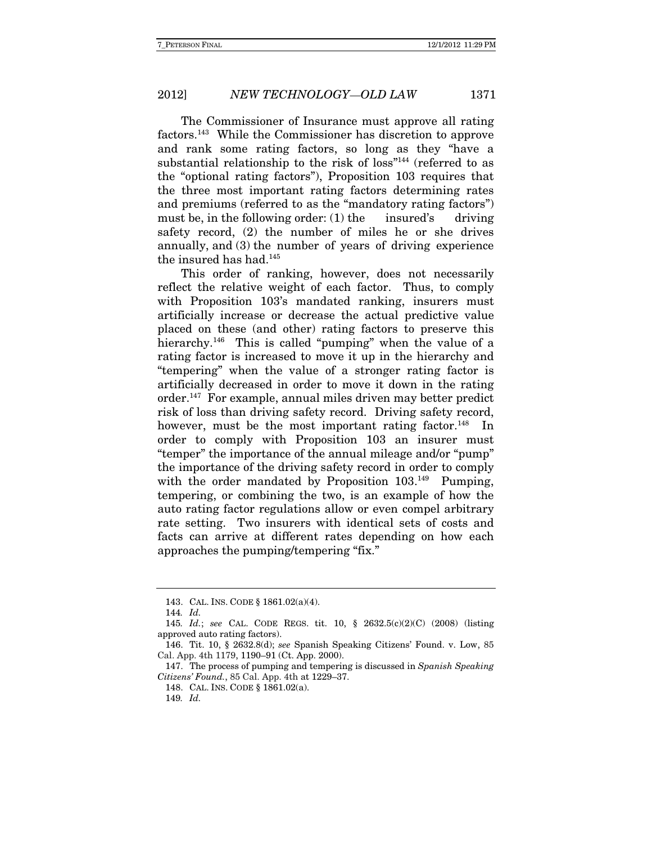The Commissioner of Insurance must approve all rating factors.143 While the Commissioner has discretion to approve and rank some rating factors, so long as they "have a substantial relationship to the risk of loss"<sup>144</sup> (referred to as the "optional rating factors"), Proposition 103 requires that the three most important rating factors determining rates and premiums (referred to as the "mandatory rating factors") must be, in the following order:  $(1)$  the insured's driving safety record, (2) the number of miles he or she drives annually, and (3) the number of years of driving experience the insured has had.<sup>145</sup>

This order of ranking, however, does not necessarily reflect the relative weight of each factor. Thus, to comply with Proposition 103's mandated ranking, insurers must artificially increase or decrease the actual predictive value placed on these (and other) rating factors to preserve this hierarchy.<sup>146</sup> This is called "pumping" when the value of a rating factor is increased to move it up in the hierarchy and "tempering" when the value of a stronger rating factor is artificially decreased in order to move it down in the rating order.147 For example, annual miles driven may better predict risk of loss than driving safety record. Driving safety record, however, must be the most important rating factor.<sup>148</sup> In order to comply with Proposition 103 an insurer must "temper" the importance of the annual mileage and/or "pump" the importance of the driving safety record in order to comply with the order mandated by Proposition 103.<sup>149</sup> Pumping, tempering, or combining the two, is an example of how the auto rating factor regulations allow or even compel arbitrary rate setting. Two insurers with identical sets of costs and facts can arrive at different rates depending on how each approaches the pumping/tempering "fix."

 <sup>143.</sup> CAL. INS. CODE § 1861.02(a)(4).

<sup>144</sup>. Id.

<sup>145</sup>. Id.; see CAL. CODE REGS. tit. 10, § 2632.5(c)(2)(C) (2008) (listing approved auto rating factors).

 <sup>146.</sup> Tit. 10, § 2632.8(d); see Spanish Speaking Citizens' Found. v. Low, 85 Cal. App. 4th 1179, 1190–91 (Ct. App. 2000).

 <sup>147.</sup> The process of pumping and tempering is discussed in Spanish Speaking Citizens' Found., 85 Cal. App. 4th at 1229–37.

 <sup>148.</sup> CAL. INS. CODE § 1861.02(a).

<sup>149</sup>. Id.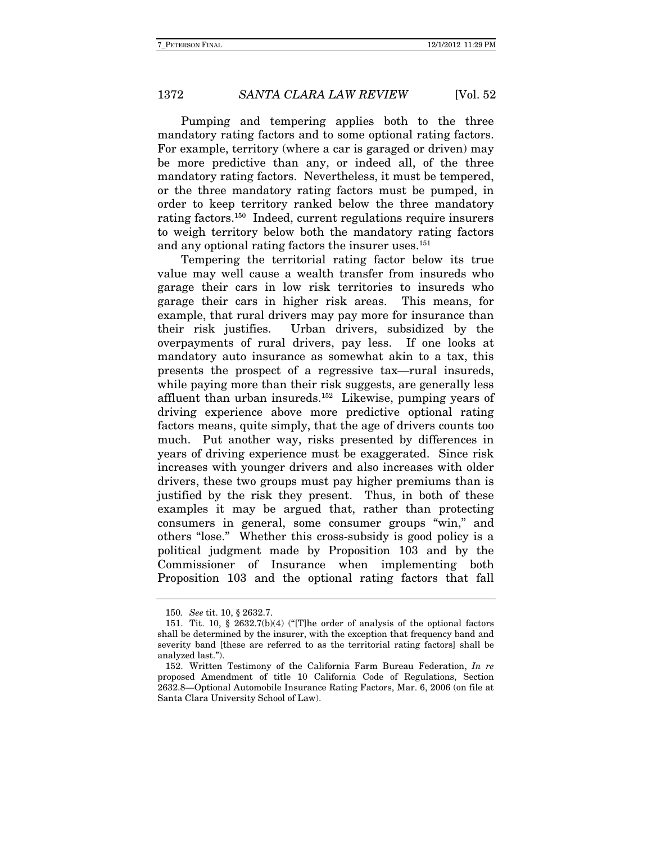Pumping and tempering applies both to the three mandatory rating factors and to some optional rating factors. For example, territory (where a car is garaged or driven) may be more predictive than any, or indeed all, of the three mandatory rating factors. Nevertheless, it must be tempered, or the three mandatory rating factors must be pumped, in order to keep territory ranked below the three mandatory rating factors.150 Indeed, current regulations require insurers to weigh territory below both the mandatory rating factors and any optional rating factors the insurer uses.<sup>151</sup>

Tempering the territorial rating factor below its true value may well cause a wealth transfer from insureds who garage their cars in low risk territories to insureds who garage their cars in higher risk areas. This means, for example, that rural drivers may pay more for insurance than their risk justifies. Urban drivers, subsidized by the overpayments of rural drivers, pay less. If one looks at mandatory auto insurance as somewhat akin to a tax, this presents the prospect of a regressive tax—rural insureds, while paying more than their risk suggests, are generally less affluent than urban insureds.152 Likewise, pumping years of driving experience above more predictive optional rating factors means, quite simply, that the age of drivers counts too much. Put another way, risks presented by differences in years of driving experience must be exaggerated. Since risk increases with younger drivers and also increases with older drivers, these two groups must pay higher premiums than is justified by the risk they present. Thus, in both of these examples it may be argued that, rather than protecting consumers in general, some consumer groups "win," and others "lose." Whether this cross-subsidy is good policy is a political judgment made by Proposition 103 and by the Commissioner of Insurance when implementing both Proposition 103 and the optional rating factors that fall

<sup>150</sup>. See tit. 10, § 2632.7.

 <sup>151.</sup> Tit. 10, § 2632.7(b)(4) ("[T]he order of analysis of the optional factors shall be determined by the insurer, with the exception that frequency band and severity band [these are referred to as the territorial rating factors] shall be analyzed last.").

 <sup>152.</sup> Written Testimony of the California Farm Bureau Federation, In re proposed Amendment of title 10 California Code of Regulations, Section 2632.8—Optional Automobile Insurance Rating Factors, Mar. 6, 2006 (on file at Santa Clara University School of Law).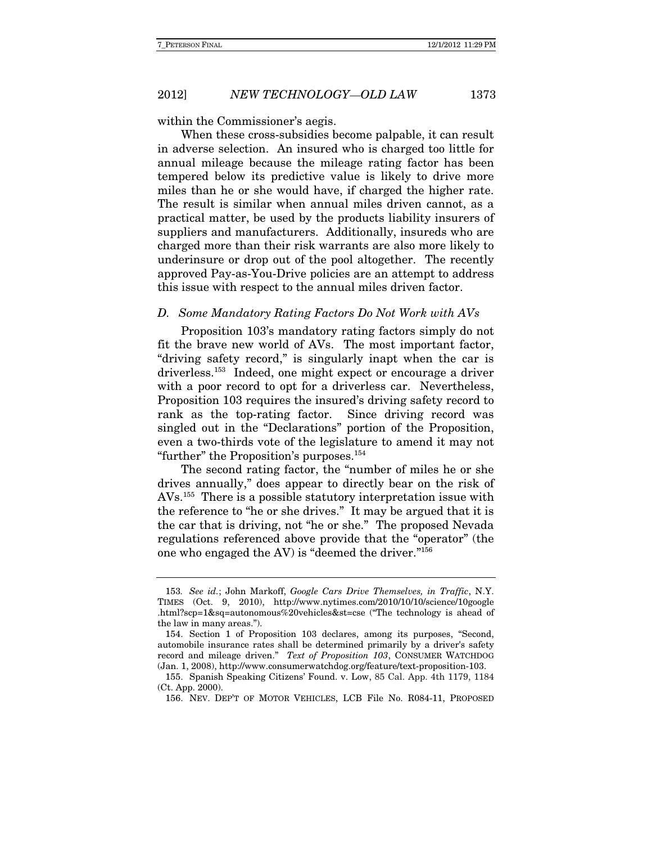within the Commissioner's aegis.

When these cross-subsidies become palpable, it can result in adverse selection. An insured who is charged too little for annual mileage because the mileage rating factor has been tempered below its predictive value is likely to drive more miles than he or she would have, if charged the higher rate. The result is similar when annual miles driven cannot, as a practical matter, be used by the products liability insurers of suppliers and manufacturers. Additionally, insureds who are charged more than their risk warrants are also more likely to underinsure or drop out of the pool altogether. The recently approved Pay-as-You-Drive policies are an attempt to address this issue with respect to the annual miles driven factor.

#### D. Some Mandatory Rating Factors Do Not Work with AVs

Proposition 103's mandatory rating factors simply do not fit the brave new world of AVs. The most important factor, "driving safety record," is singularly inapt when the car is driverless.153 Indeed, one might expect or encourage a driver with a poor record to opt for a driverless car. Nevertheless, Proposition 103 requires the insured's driving safety record to rank as the top-rating factor. Since driving record was singled out in the "Declarations" portion of the Proposition, even a two-thirds vote of the legislature to amend it may not "further" the Proposition's purposes.154

The second rating factor, the "number of miles he or she drives annually," does appear to directly bear on the risk of AVs.155 There is a possible statutory interpretation issue with the reference to "he or she drives." It may be argued that it is the car that is driving, not "he or she." The proposed Nevada regulations referenced above provide that the "operator" (the one who engaged the AV) is "deemed the driver."156

<sup>153.</sup> See id.; John Markoff, Google Cars Drive Themselves, in Traffic, N.Y. TIMES (Oct. 9, 2010), http://www.nytimes.com/2010/10/10/science/10google .html?scp=1&sq=autonomous%20vehicles&st=cse ("The technology is ahead of the law in many areas.").

 <sup>154.</sup> Section 1 of Proposition 103 declares, among its purposes, "Second, automobile insurance rates shall be determined primarily by a driver's safety record and mileage driven." Text of Proposition 103, CONSUMER WATCHDOG (Jan. 1, 2008), http://www.consumerwatchdog.org/feature/text-proposition-103.

 <sup>155.</sup> Spanish Speaking Citizens' Found. v. Low, 85 Cal. App. 4th 1179, 1184 (Ct. App. 2000).

 <sup>156.</sup> NEV. DEP'T OF MOTOR VEHICLES, LCB File No. R084-11, PROPOSED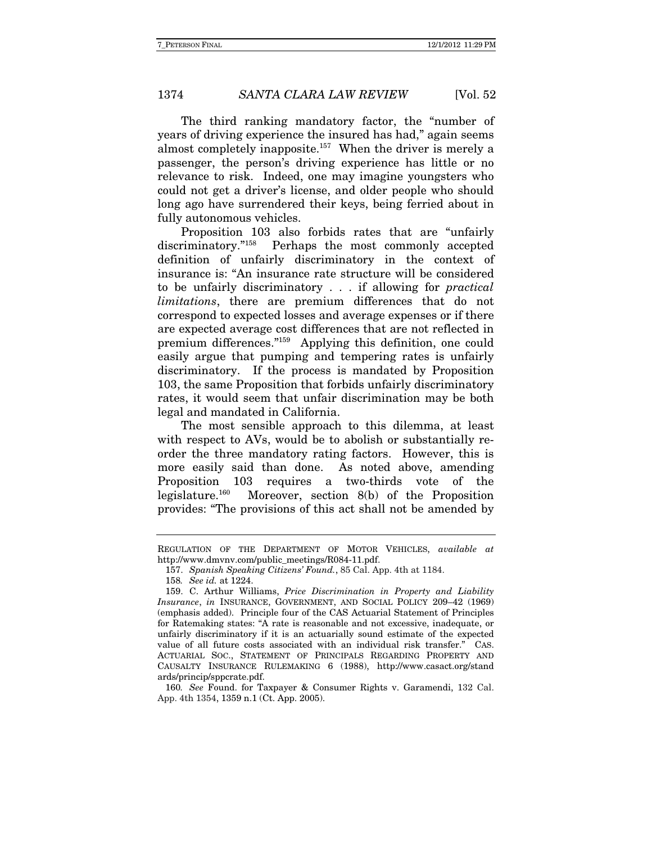The third ranking mandatory factor, the "number of years of driving experience the insured has had," again seems almost completely inapposite.157 When the driver is merely a passenger, the person's driving experience has little or no relevance to risk. Indeed, one may imagine youngsters who could not get a driver's license, and older people who should long ago have surrendered their keys, being ferried about in fully autonomous vehicles.

Proposition 103 also forbids rates that are "unfairly discriminatory."<sup>158</sup> Perhaps the most commonly accepted definition of unfairly discriminatory in the context of insurance is: "An insurance rate structure will be considered to be unfairly discriminatory . . . if allowing for practical limitations, there are premium differences that do not correspond to expected losses and average expenses or if there are expected average cost differences that are not reflected in premium differences."159 Applying this definition, one could easily argue that pumping and tempering rates is unfairly discriminatory. If the process is mandated by Proposition 103, the same Proposition that forbids unfairly discriminatory rates, it would seem that unfair discrimination may be both legal and mandated in California.

The most sensible approach to this dilemma, at least with respect to AVs, would be to abolish or substantially reorder the three mandatory rating factors. However, this is more easily said than done. As noted above, amending Proposition 103 requires a two-thirds vote of the legislature.160 Moreover, section 8(b) of the Proposition provides: "The provisions of this act shall not be amended by

REGULATION OF THE DEPARTMENT OF MOTOR VEHICLES, available at http://www.dmvnv.com/public\_meetings/R084-11.pdf.

 <sup>157.</sup> Spanish Speaking Citizens' Found., 85 Cal. App. 4th at 1184.

<sup>158</sup>. See id. at 1224.

 <sup>159.</sup> C. Arthur Williams, Price Discrimination in Property and Liability Insurance, in INSURANCE, GOVERNMENT, AND SOCIAL POLICY 209–42 (1969) (emphasis added).Principle four of the CAS Actuarial Statement of Principles for Ratemaking states: "A rate is reasonable and not excessive, inadequate, or unfairly discriminatory if it is an actuarially sound estimate of the expected value of all future costs associated with an individual risk transfer." CAS. ACTUARIAL SOC., STATEMENT OF PRINCIPALS REGARDING PROPERTY AND CAUSALTY INSURANCE RULEMAKING 6 (1988), http://www.casact.org/stand ards/princip/sppcrate.pdf.

<sup>160</sup>. See Found. for Taxpayer & Consumer Rights v. Garamendi, 132 Cal. App. 4th 1354, 1359 n.1 (Ct. App. 2005).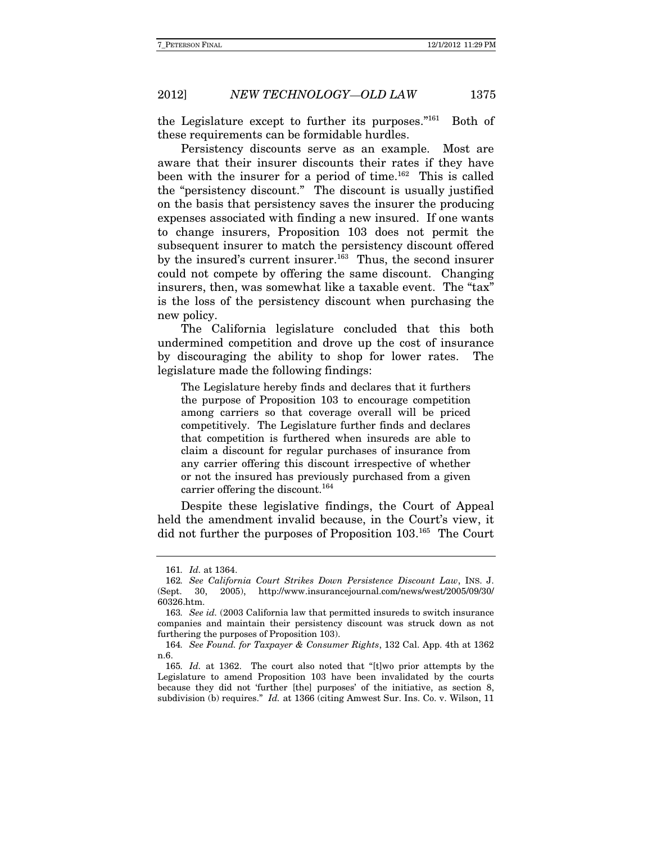the Legislature except to further its purposes."<sup>161</sup> Both of these requirements can be formidable hurdles.

Persistency discounts serve as an example. Most are aware that their insurer discounts their rates if they have been with the insurer for a period of time.<sup>162</sup> This is called the "persistency discount." The discount is usually justified on the basis that persistency saves the insurer the producing expenses associated with finding a new insured. If one wants to change insurers, Proposition 103 does not permit the subsequent insurer to match the persistency discount offered by the insured's current insurer.<sup>163</sup> Thus, the second insurer could not compete by offering the same discount. Changing insurers, then, was somewhat like a taxable event. The "tax" is the loss of the persistency discount when purchasing the new policy.

The California legislature concluded that this both undermined competition and drove up the cost of insurance by discouraging the ability to shop for lower rates. The legislature made the following findings:

The Legislature hereby finds and declares that it furthers the purpose of Proposition 103 to encourage competition among carriers so that coverage overall will be priced competitively. The Legislature further finds and declares that competition is furthered when insureds are able to claim a discount for regular purchases of insurance from any carrier offering this discount irrespective of whether or not the insured has previously purchased from a given carrier offering the discount.<sup>164</sup>

Despite these legislative findings, the Court of Appeal held the amendment invalid because, in the Court's view, it did not further the purposes of Proposition 103.165 The Court

<sup>161</sup>. Id. at 1364.

<sup>162</sup>. See California Court Strikes Down Persistence Discount Law, INS. J. (Sept. 30, 2005), http://www.insurancejournal.com/news/west/2005/09/30/ 60326.htm.

<sup>163</sup>. See id. (2003 California law that permitted insureds to switch insurance companies and maintain their persistency discount was struck down as not furthering the purposes of Proposition 103).

<sup>164</sup>. See Found. for Taxpayer & Consumer Rights, 132 Cal. App. 4th at 1362 n.6.

<sup>165</sup>. Id. at 1362. The court also noted that "[t]wo prior attempts by the Legislature to amend Proposition 103 have been invalidated by the courts because they did not 'further [the] purposes' of the initiative, as section 8, subdivision (b) requires." Id. at 1366 (citing Amwest Sur. Ins. Co. v. Wilson, 11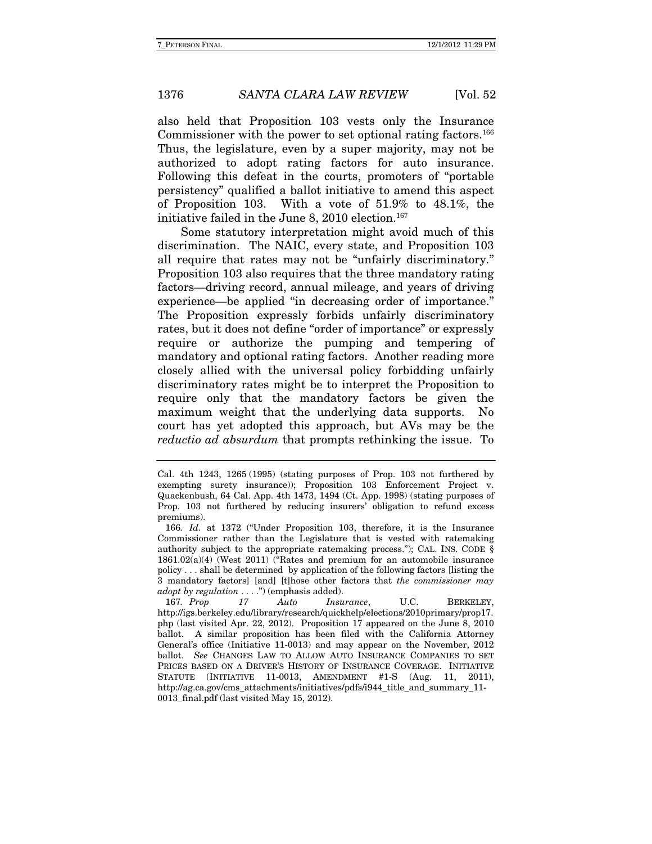also held that Proposition 103 vests only the Insurance Commissioner with the power to set optional rating factors.<sup>166</sup> Thus, the legislature, even by a super majority, may not be authorized to adopt rating factors for auto insurance. Following this defeat in the courts, promoters of "portable persistency" qualified a ballot initiative to amend this aspect of Proposition 103. With a vote of 51.9% to 48.1%, the initiative failed in the June 8, 2010 election. $167$ 

Some statutory interpretation might avoid much of this discrimination. The NAIC, every state, and Proposition 103 all require that rates may not be "unfairly discriminatory." Proposition 103 also requires that the three mandatory rating factors—driving record, annual mileage, and years of driving experience—be applied "in decreasing order of importance." The Proposition expressly forbids unfairly discriminatory rates, but it does not define "order of importance" or expressly require or authorize the pumping and tempering of mandatory and optional rating factors. Another reading more closely allied with the universal policy forbidding unfairly discriminatory rates might be to interpret the Proposition to require only that the mandatory factors be given the maximum weight that the underlying data supports. No court has yet adopted this approach, but AVs may be the reductio ad absurdum that prompts rethinking the issue. To

Cal. 4th 1243, 1265 (1995) (stating purposes of Prop. 103 not furthered by exempting surety insurance)); Proposition 103 Enforcement Project v. Quackenbush, 64 Cal. App. 4th 1473, 1494 (Ct. App. 1998) (stating purposes of Prop. 103 not furthered by reducing insurers' obligation to refund excess premiums).

<sup>166</sup>. Id. at 1372 ("Under Proposition 103, therefore, it is the Insurance Commissioner rather than the Legislature that is vested with ratemaking authority subject to the appropriate ratemaking process."); CAL. INS. CODE  $\S$ 1861.02(a)(4) (West 2011) ("Rates and premium for an automobile insurance policy . . . shall be determined by application of the following factors [listing the 3 mandatory factors] [and] [t]hose other factors that the commissioner may adopt by regulation . . . .") (emphasis added).

<sup>167.</sup> Prop 17 Auto Insurance, U.C. BERKELEY, http://igs.berkeley.edu/library/research/quickhelp/elections/2010primary/prop17. php (last visited Apr. 22, 2012). Proposition 17 appeared on the June 8, 2010 ballot. A similar proposition has been filed with the California Attorney General's office (Initiative 11-0013) and may appear on the November, 2012 ballot. See CHANGES LAW TO ALLOW AUTO INSURANCE COMPANIES TO SET PRICES BASED ON A DRIVER'S HISTORY OF INSURANCE COVERAGE. INITIATIVE STATUTE (INITIATIVE 11-0013, AMENDMENT #1-S (Aug. 11, 2011), http://ag.ca.gov/cms\_attachments/initiatives/pdfs/i944\_title\_and\_summary\_11- 0013 final.pdf (last visited May 15, 2012).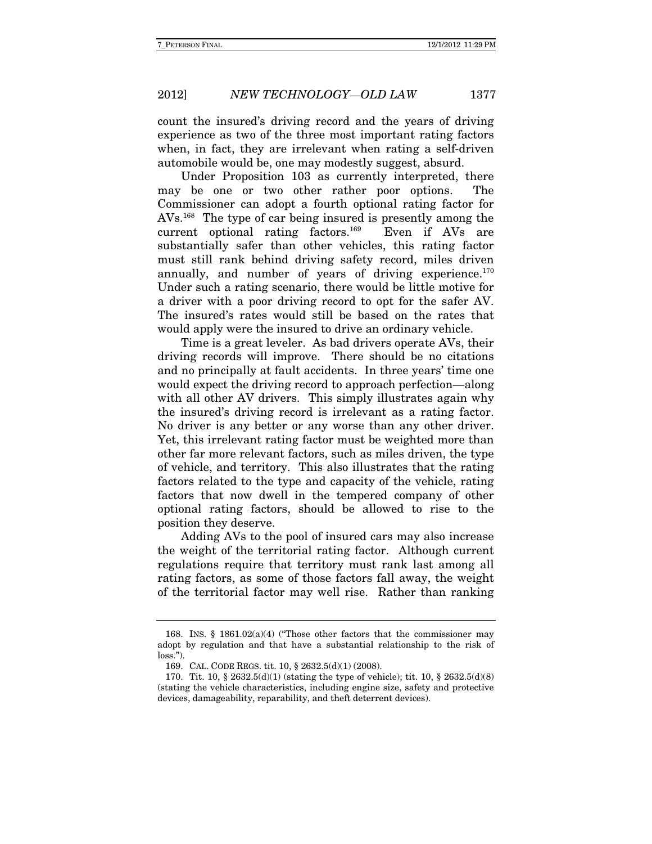count the insured's driving record and the years of driving experience as two of the three most important rating factors when, in fact, they are irrelevant when rating a self-driven automobile would be, one may modestly suggest, absurd.

Under Proposition 103 as currently interpreted, there may be one or two other rather poor options. The Commissioner can adopt a fourth optional rating factor for AVs.168 The type of car being insured is presently among the current optional rating factors.169 Even if AVs are substantially safer than other vehicles, this rating factor must still rank behind driving safety record, miles driven annually, and number of years of driving experience.<sup>170</sup> Under such a rating scenario, there would be little motive for a driver with a poor driving record to opt for the safer AV. The insured's rates would still be based on the rates that would apply were the insured to drive an ordinary vehicle.

Time is a great leveler. As bad drivers operate AVs, their driving records will improve. There should be no citations and no principally at fault accidents. In three years' time one would expect the driving record to approach perfection—along with all other AV drivers. This simply illustrates again why the insured's driving record is irrelevant as a rating factor. No driver is any better or any worse than any other driver. Yet, this irrelevant rating factor must be weighted more than other far more relevant factors, such as miles driven, the type of vehicle, and territory. This also illustrates that the rating factors related to the type and capacity of the vehicle, rating factors that now dwell in the tempered company of other optional rating factors, should be allowed to rise to the position they deserve.

Adding AVs to the pool of insured cars may also increase the weight of the territorial rating factor. Although current regulations require that territory must rank last among all rating factors, as some of those factors fall away, the weight of the territorial factor may well rise. Rather than ranking

 <sup>168.</sup> INS. § 1861.02(a)(4) ("Those other factors that the commissioner may adopt by regulation and that have a substantial relationship to the risk of loss.").

 <sup>169.</sup> CAL. CODE REGS. tit. 10, § 2632.5(d)(1) (2008).

<sup>170.</sup> Tit. 10, § 2632.5(d)(1) (stating the type of vehicle); tit. 10, § 2632.5(d)(8) (stating the vehicle characteristics, including engine size, safety and protective devices, damageability, reparability, and theft deterrent devices).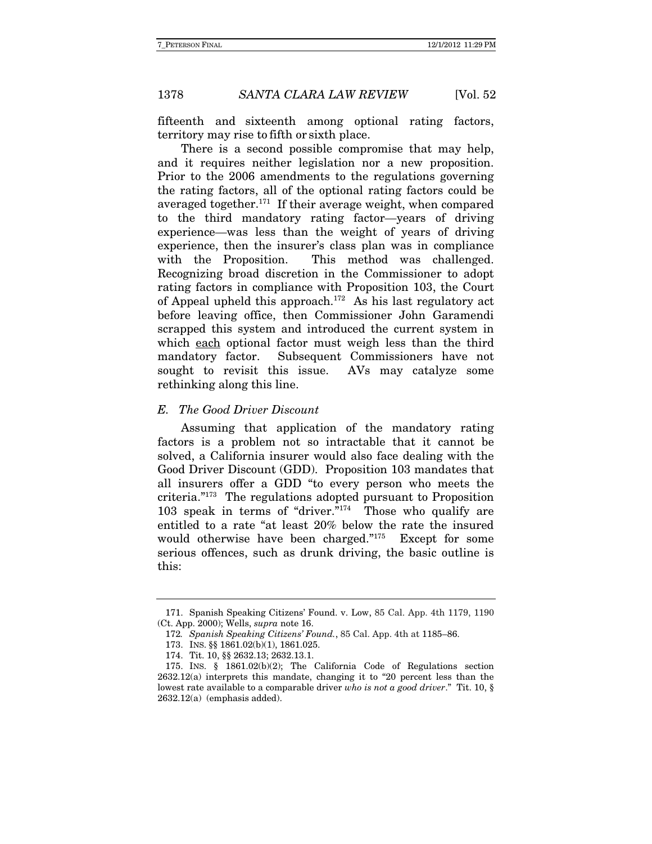fifteenth and sixteenth among optional rating factors, territory may rise to fifth or sixth place.

There is a second possible compromise that may help, and it requires neither legislation nor a new proposition. Prior to the 2006 amendments to the regulations governing the rating factors, all of the optional rating factors could be averaged together.171 If their average weight, when compared to the third mandatory rating factor—years of driving experience—was less than the weight of years of driving experience, then the insurer's class plan was in compliance with the Proposition. This method was challenged. Recognizing broad discretion in the Commissioner to adopt rating factors in compliance with Proposition 103, the Court of Appeal upheld this approach.<sup>172</sup> As his last regulatory act before leaving office, then Commissioner John Garamendi scrapped this system and introduced the current system in which each optional factor must weigh less than the third mandatory factor. Subsequent Commissioners have not sought to revisit this issue. AVs may catalyze some rethinking along this line.

#### E. The Good Driver Discount

Assuming that application of the mandatory rating factors is a problem not so intractable that it cannot be solved, a California insurer would also face dealing with the Good Driver Discount (GDD). Proposition 103 mandates that all insurers offer a GDD "to every person who meets the criteria."173 The regulations adopted pursuant to Proposition 103 speak in terms of "driver."174 Those who qualify are entitled to a rate "at least 20% below the rate the insured would otherwise have been charged."175 Except for some serious offences, such as drunk driving, the basic outline is this:

 <sup>171.</sup> Spanish Speaking Citizens' Found. v. Low, 85 Cal. App. 4th 1179, 1190 (Ct. App. 2000); Wells, supra note 16.

<sup>172</sup>. Spanish Speaking Citizens' Found., 85 Cal. App. 4th at 1185–86.

 <sup>173.</sup> INS. §§ 1861.02(b)(1), 1861.025.

 <sup>174.</sup> Tit. 10, §§ 2632.13; 2632.13.1.

 <sup>175.</sup> INS. § 1861.02(b)(2); The California Code of Regulations section 2632.12(a) interprets this mandate, changing it to "20 percent less than the lowest rate available to a comparable driver who is not a good driver." Tit. 10,  $\S$ 2632.12(a) (emphasis added).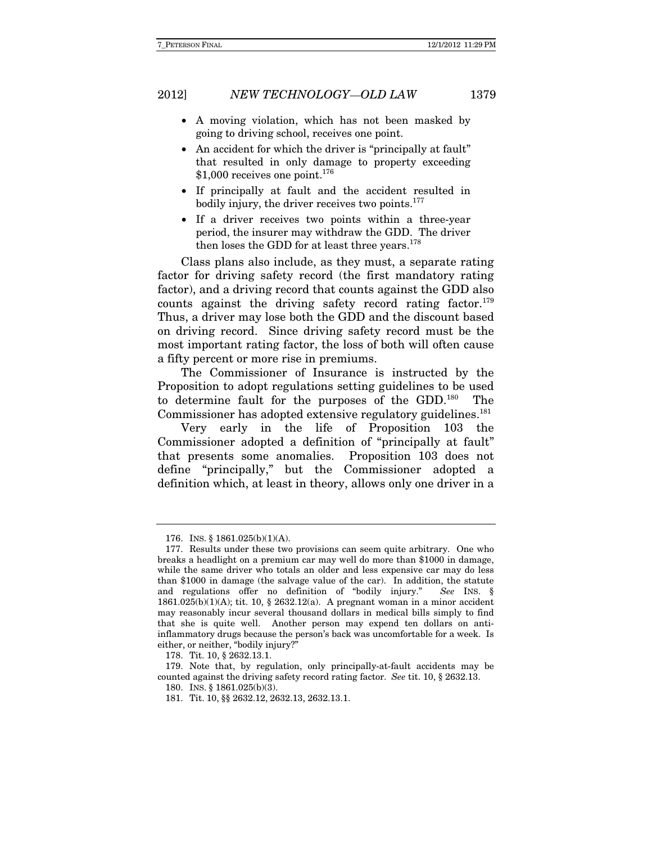- A moving violation, which has not been masked by going to driving school, receives one point.
- An accident for which the driver is "principally at fault" that resulted in only damage to property exceeding  $$1,000$  receives one point.<sup>176</sup>
- If principally at fault and the accident resulted in bodily injury, the driver receives two points.<sup>177</sup>
- If a driver receives two points within a three-year period, the insurer may withdraw the GDD. The driver then loses the GDD for at least three years.<sup>178</sup>

Class plans also include, as they must, a separate rating factor for driving safety record (the first mandatory rating factor), and a driving record that counts against the GDD also counts against the driving safety record rating factor.<sup>179</sup> Thus, a driver may lose both the GDD and the discount based on driving record. Since driving safety record must be the most important rating factor, the loss of both will often cause a fifty percent or more rise in premiums.

The Commissioner of Insurance is instructed by the Proposition to adopt regulations setting guidelines to be used to determine fault for the purposes of the GDD.180 The Commissioner has adopted extensive regulatory guidelines.<sup>181</sup>

Very early in the life of Proposition 103 the Commissioner adopted a definition of "principally at fault" that presents some anomalies. Proposition 103 does not define "principally," but the Commissioner adopted a definition which, at least in theory, allows only one driver in a

 <sup>176.</sup> INS. § 1861.025(b)(1)(A).

 <sup>177.</sup> Results under these two provisions can seem quite arbitrary. One who breaks a headlight on a premium car may well do more than \$1000 in damage, while the same driver who totals an older and less expensive car may do less than \$1000 in damage (the salvage value of the car). In addition, the statute and regulations offer no definition of "bodily injury." See INS. § 1861.025(b)(1)(A); tit. 10, § 2632.12(a). A pregnant woman in a minor accident may reasonably incur several thousand dollars in medical bills simply to find that she is quite well. Another person may expend ten dollars on antiinflammatory drugs because the person's back was uncomfortable for a week. Is either, or neither, "bodily injury?"

 <sup>178.</sup> Tit. 10, § 2632.13.1.

 <sup>179.</sup> Note that, by regulation, only principally-at-fault accidents may be counted against the driving safety record rating factor. See tit. 10, § 2632.13.

 <sup>180.</sup> INS. § 1861.025(b)(3).

 <sup>181.</sup> Tit. 10, §§ 2632.12, 2632.13, 2632.13.1.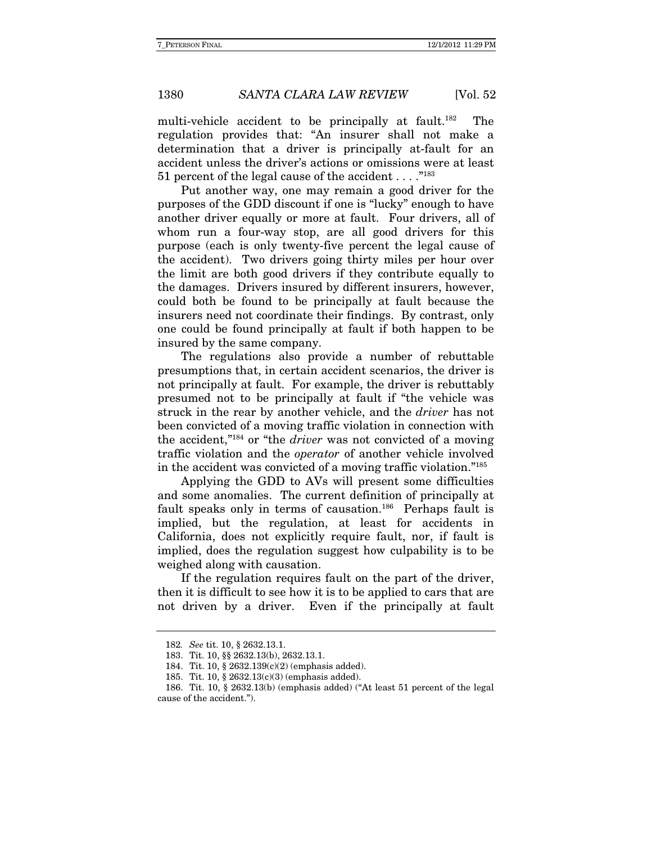multi-vehicle accident to be principally at fault.<sup>182</sup> The regulation provides that: "An insurer shall not make a determination that a driver is principally at-fault for an accident unless the driver's actions or omissions were at least 51 percent of the legal cause of the accident  $\dots$ ."<sup>183</sup>

Put another way, one may remain a good driver for the purposes of the GDD discount if one is "lucky" enough to have another driver equally or more at fault. Four drivers, all of whom run a four-way stop, are all good drivers for this purpose (each is only twenty-five percent the legal cause of the accident). Two drivers going thirty miles per hour over the limit are both good drivers if they contribute equally to the damages. Drivers insured by different insurers, however, could both be found to be principally at fault because the insurers need not coordinate their findings. By contrast, only one could be found principally at fault if both happen to be insured by the same company.

The regulations also provide a number of rebuttable presumptions that, in certain accident scenarios, the driver is not principally at fault. For example, the driver is rebuttably presumed not to be principally at fault if "the vehicle was struck in the rear by another vehicle, and the *driver* has not been convicted of a moving traffic violation in connection with the accident,"184 or "the driver was not convicted of a moving traffic violation and the operator of another vehicle involved in the accident was convicted of a moving traffic violation."185

Applying the GDD to AVs will present some difficulties and some anomalies. The current definition of principally at fault speaks only in terms of causation.<sup>186</sup> Perhaps fault is implied, but the regulation, at least for accidents in California, does not explicitly require fault, nor, if fault is implied, does the regulation suggest how culpability is to be weighed along with causation.

If the regulation requires fault on the part of the driver, then it is difficult to see how it is to be applied to cars that are not driven by a driver. Even if the principally at fault

<sup>182</sup>. See tit. 10, § 2632.13.1.

 <sup>183.</sup> Tit. 10, §§ 2632.13(b), 2632.13.1.

 <sup>184.</sup> Tit. 10, § 2632.139(c)(2) (emphasis added).

 <sup>185.</sup> Tit. 10, § 2632.13(c)(3) (emphasis added).

 <sup>186.</sup> Tit. 10, § 2632.13(b) (emphasis added) ("At least 51 percent of the legal cause of the accident.").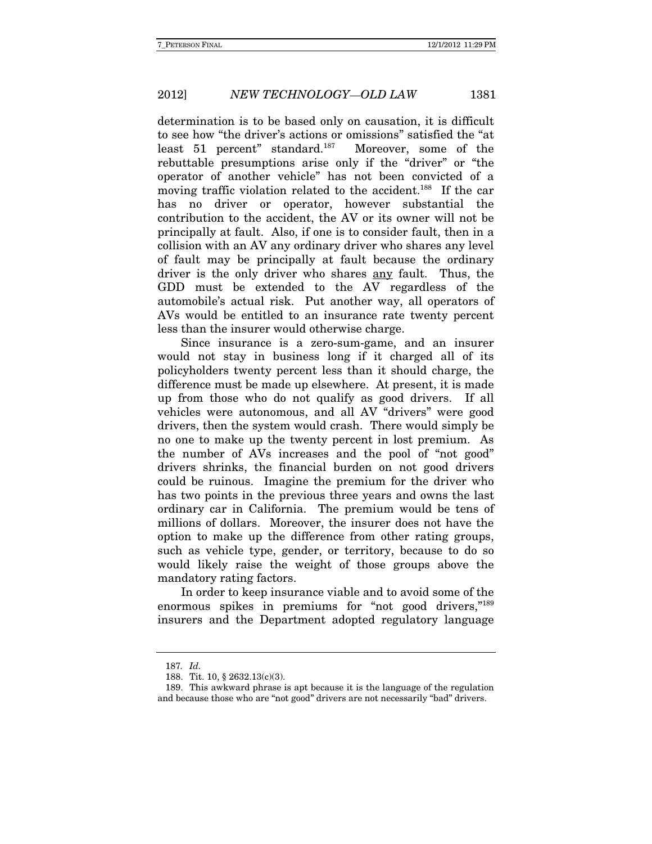determination is to be based only on causation, it is difficult to see how "the driver's actions or omissions" satisfied the "at least 51 percent" standard.187 Moreover, some of the rebuttable presumptions arise only if the "driver" or "the operator of another vehicle" has not been convicted of a moving traffic violation related to the accident.<sup>188</sup> If the car has no driver or operator, however substantial the contribution to the accident, the AV or its owner will not be principally at fault. Also, if one is to consider fault, then in a collision with an AV any ordinary driver who shares any level of fault may be principally at fault because the ordinary driver is the only driver who shares <u>any</u> fault. Thus, the GDD must be extended to the AV regardless of the automobile's actual risk. Put another way, all operators of AVs would be entitled to an insurance rate twenty percent less than the insurer would otherwise charge.

Since insurance is a zero-sum-game, and an insurer would not stay in business long if it charged all of its policyholders twenty percent less than it should charge, the difference must be made up elsewhere. At present, it is made up from those who do not qualify as good drivers. If all vehicles were autonomous, and all AV "drivers" were good drivers, then the system would crash. There would simply be no one to make up the twenty percent in lost premium. As the number of AVs increases and the pool of "not good" drivers shrinks, the financial burden on not good drivers could be ruinous. Imagine the premium for the driver who has two points in the previous three years and owns the last ordinary car in California.The premium would be tens of millions of dollars. Moreover, the insurer does not have the option to make up the difference from other rating groups, such as vehicle type, gender, or territory, because to do so would likely raise the weight of those groups above the mandatory rating factors.

In order to keep insurance viable and to avoid some of the enormous spikes in premiums for "not good drivers,"<sup>189</sup> insurers and the Department adopted regulatory language

<sup>187</sup>. Id.

 <sup>188.</sup> Tit. 10, § 2632.13(c)(3).

 <sup>189.</sup> This awkward phrase is apt because it is the language of the regulation and because those who are "not good" drivers are not necessarily "bad" drivers.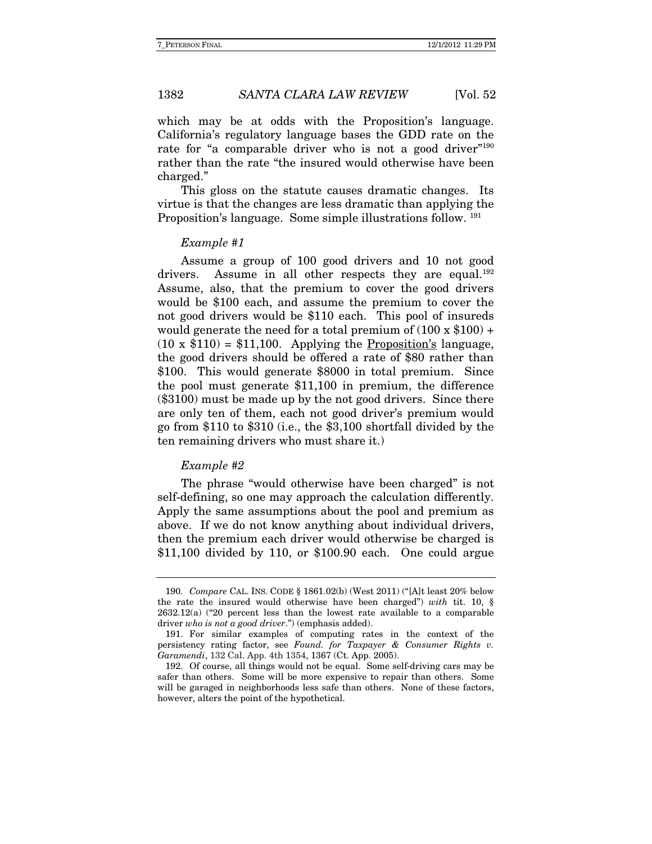which may be at odds with the Proposition's language. California's regulatory language bases the GDD rate on the rate for "a comparable driver who is not a good driver"<sup>190</sup> rather than the rate "the insured would otherwise have been charged."

This gloss on the statute causes dramatic changes.Its virtue is that the changes are less dramatic than applying the Proposition's language. Some simple illustrations follow. 191

#### Example #1

Assume a group of 100 good drivers and 10 not good drivers. Assume in all other respects they are equal.<sup>192</sup> Assume, also, that the premium to cover the good drivers would be \$100 each, and assume the premium to cover the not good drivers would be \$110 each. This pool of insureds would generate the need for a total premium of  $(100 \times $100) +$  $(10 \times $110) = $11,100$ . Applying the Proposition's language, the good drivers should be offered a rate of \$80 rather than \$100. This would generate \$8000 in total premium. Since the pool must generate \$11,100 in premium, the difference (\$3100) must be made up by the not good drivers. Since there are only ten of them, each not good driver's premium would go from \$110 to \$310 (i.e., the \$3,100 shortfall divided by the ten remaining drivers who must share it.)

#### Example #2

The phrase "would otherwise have been charged" is not self-defining, so one may approach the calculation differently. Apply the same assumptions about the pool and premium as above. If we do not know anything about individual drivers, then the premium each driver would otherwise be charged is \$11,100 divided by 110, or \$100.90 each. One could argue

<sup>190</sup>. Compare CAL. INS. CODE § 1861.02(b) (West 2011) ("[A]t least 20% below the rate the insured would otherwise have been charged") with tit. 10,  $\S$ 2632.12(a) ("20 percent less than the lowest rate available to a comparable driver who is not a good driver.") (emphasis added).

 <sup>191.</sup> For similar examples of computing rates in the context of the persistency rating factor, see Found. for Taxpayer & Consumer Rights v. Garamendi, 132 Cal. App. 4th 1354, 1367 (Ct. App. 2005).

 <sup>192.</sup> Of course, all things would not be equal. Some self-driving cars may be safer than others. Some will be more expensive to repair than others. Some will be garaged in neighborhoods less safe than others. None of these factors, however, alters the point of the hypothetical.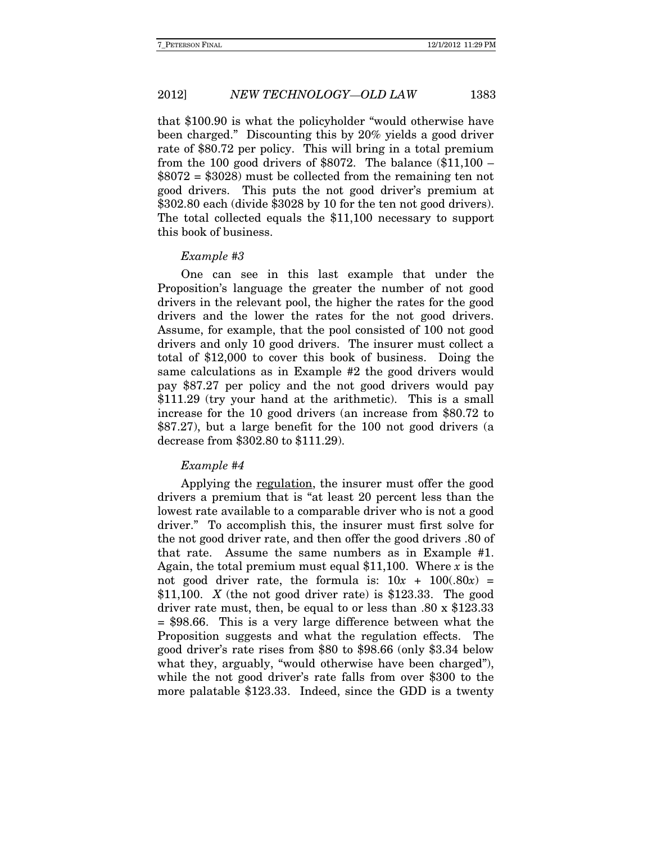that \$100.90 is what the policyholder "would otherwise have been charged." Discounting this by 20% yields a good driver rate of \$80.72 per policy. This will bring in a total premium from the 100 good drivers of  $$8072$ . The balance  $$11,100$  –  $$8072 = $3028$  must be collected from the remaining ten not good drivers. This puts the not good driver's premium at \$302.80 each (divide \$3028 by 10 for the ten not good drivers). The total collected equals the \$11,100 necessary to support this book of business.

#### Example #3

One can see in this last example that under the Proposition's language the greater the number of not good drivers in the relevant pool, the higher the rates for the good drivers and the lower the rates for the not good drivers. Assume, for example, that the pool consisted of 100 not good drivers and only 10 good drivers. The insurer must collect a total of \$12,000 to cover this book of business. Doing the same calculations as in Example #2 the good drivers would pay \$87.27 per policy and the not good drivers would pay \$111.29 (try your hand at the arithmetic). This is a small increase for the 10 good drivers (an increase from \$80.72 to \$87.27), but a large benefit for the 100 not good drivers (a decrease from \$302.80 to \$111.29).

#### Example #4

Applying the regulation, the insurer must offer the good drivers a premium that is "at least 20 percent less than the lowest rate available to a comparable driver who is not a good driver." To accomplish this, the insurer must first solve for the not good driver rate, and then offer the good drivers .80 of that rate. Assume the same numbers as in Example #1. Again, the total premium must equal \$11,100. Where  $x$  is the not good driver rate, the formula is:  $10x + 100(.80x) =$ \$11,100. X (the not good driver rate) is \$123.33. The good driver rate must, then, be equal to or less than .80 x \$123.33 = \$98.66. This is a very large difference between what the Proposition suggests and what the regulation effects. The good driver's rate rises from \$80 to \$98.66 (only \$3.34 below what they, arguably, "would otherwise have been charged"), while the not good driver's rate falls from over \$300 to the more palatable \$123.33. Indeed, since the GDD is a twenty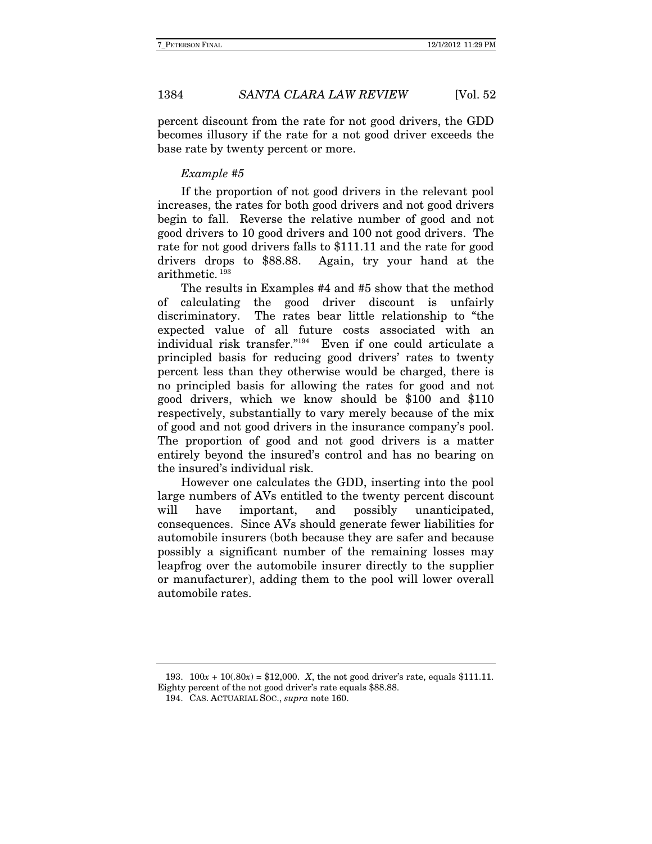percent discount from the rate for not good drivers, the GDD becomes illusory if the rate for a not good driver exceeds the base rate by twenty percent or more.

#### Example #5

If the proportion of not good drivers in the relevant pool increases, the rates for both good drivers and not good drivers begin to fall. Reverse the relative number of good and not good drivers to 10 good drivers and 100 not good drivers. The rate for not good drivers falls to \$111.11 and the rate for good drivers drops to \$88.88. Again, try your hand at the arithmetic. 193

The results in Examples #4 and #5 show that the method of calculating the good driver discount is unfairly discriminatory. The rates bear little relationship to "the expected value of all future costs associated with an individual risk transfer."194 Even if one could articulate a principled basis for reducing good drivers' rates to twenty percent less than they otherwise would be charged, there is no principled basis for allowing the rates for good and not good drivers, which we know should be \$100 and \$110 respectively, substantially to vary merely because of the mix of good and not good drivers in the insurance company's pool. The proportion of good and not good drivers is a matter entirely beyond the insured's control and has no bearing on the insured's individual risk.

However one calculates the GDD, inserting into the pool large numbers of AVs entitled to the twenty percent discount will have important, and possibly unanticipated, consequences. Since AVs should generate fewer liabilities for automobile insurers (both because they are safer and because possibly a significant number of the remaining losses may leapfrog over the automobile insurer directly to the supplier or manufacturer), adding them to the pool will lower overall automobile rates.

193.  $100x + 10(.80x) = $12,000$ . *X*, the not good driver's rate, equals \$111.11. Eighty percent of the not good driver's rate equals \$88.88.

 <sup>194.</sup> CAS. ACTUARIAL SOC., supra note 160.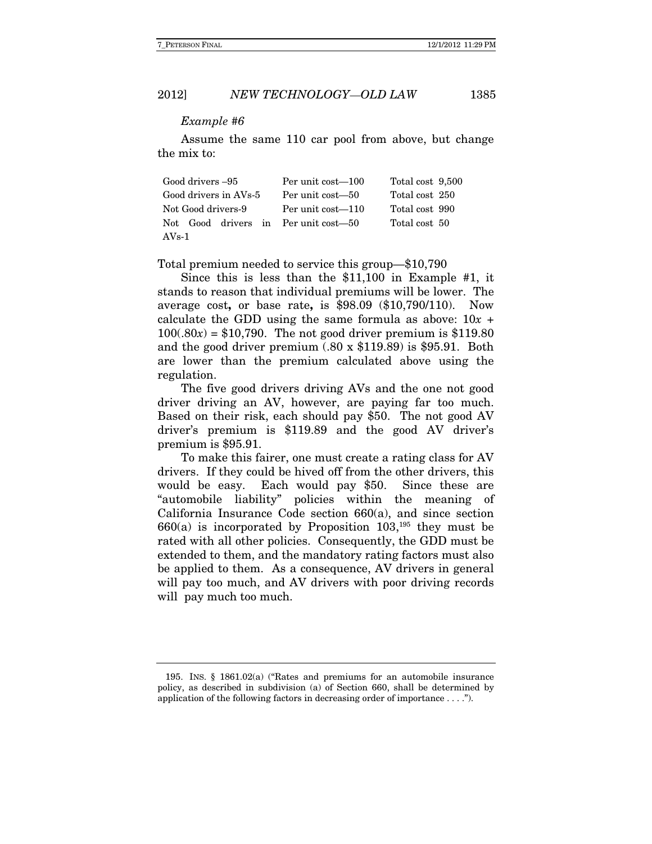#### Example #6

Assume the same 110 car pool from above, but change the mix to:

| Good drivers -95                     | Per unit cost—100 | Total cost 9,500 |  |
|--------------------------------------|-------------------|------------------|--|
| Good drivers in AVs-5                | Per unit cost—50  | Total cost 250   |  |
| Not Good drivers-9                   | Per unit cost—110 | Total cost 990   |  |
| Not Good drivers in Per unit cost—50 |                   | Total cost 50    |  |
| $AVs-1$                              |                   |                  |  |

Total premium needed to service this group—\$10,790

Since this is less than the \$11,100 in Example #1, it stands to reason that individual premiums will be lower. The average cost**,** or base rate**,** is \$98.09 (\$10,790/110). Now calculate the GDD using the same formula as above:  $10x +$  $100(.80x) = $10,790$ . The not good driver premium is \$119.80 and the good driver premium (.80 x \$119.89) is \$95.91. Both are lower than the premium calculated above using the regulation.

The five good drivers driving AVs and the one not good driver driving an AV, however, are paying far too much. Based on their risk, each should pay \$50. The not good AV driver's premium is \$119.89 and the good AV driver's premium is \$95.91.

To make this fairer, one must create a rating class for AV drivers. If they could be hived off from the other drivers, this would be easy. Each would pay \$50. Since these are "automobile liability" policies within the meaning of California Insurance Code section 660(a), and since section  $660(a)$  is incorporated by Proposition 103,<sup>195</sup> they must be rated with all other policies. Consequently, the GDD must be extended to them, and the mandatory rating factors must also be applied to them. As a consequence, AV drivers in general will pay too much, and AV drivers with poor driving records will pay much too much.

 <sup>195.</sup> INS. § 1861.02(a) ("Rates and premiums for an automobile insurance policy, as described in subdivision (a) of Section 660, shall be determined by application of the following factors in decreasing order of importance . . . .").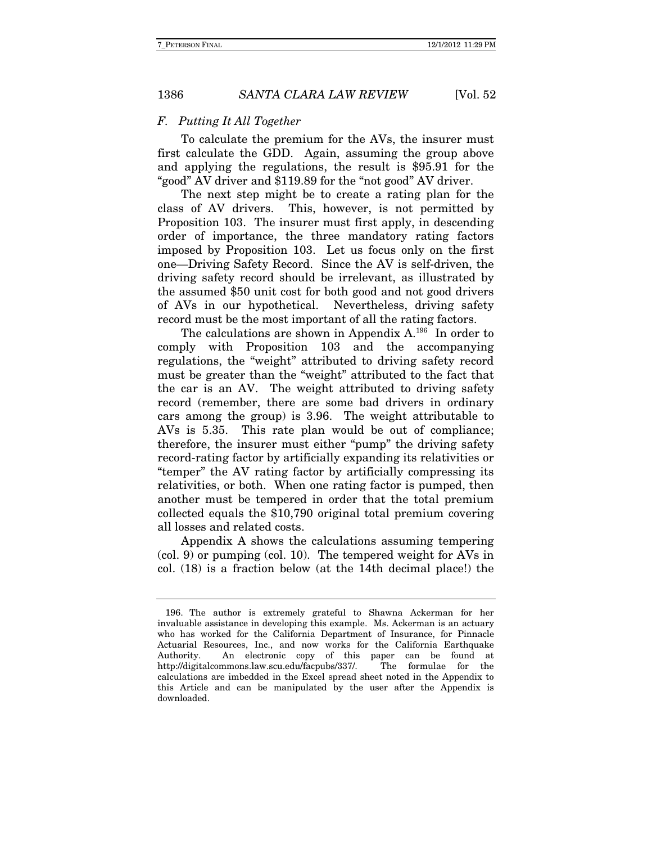#### F. Putting It All Together

To calculate the premium for the AVs, the insurer must first calculate the GDD. Again, assuming the group above and applying the regulations, the result is \$95.91 for the "good" AV driver and \$119.89 for the "not good" AV driver.

The next step might be to create a rating plan for the class of AV drivers. This, however, is not permitted by Proposition 103. The insurer must first apply, in descending order of importance, the three mandatory rating factors imposed by Proposition 103. Let us focus only on the first one—Driving Safety Record. Since the AV is self-driven, the driving safety record should be irrelevant, as illustrated by the assumed \$50 unit cost for both good and not good drivers of AVs in our hypothetical. Nevertheless, driving safety record must be the most important of all the rating factors.

The calculations are shown in Appendix A.<sup>196</sup> In order to comply with Proposition 103 and the accompanying regulations, the "weight" attributed to driving safety record must be greater than the "weight" attributed to the fact that the car is an AV. The weight attributed to driving safety record (remember, there are some bad drivers in ordinary cars among the group) is 3.96. The weight attributable to AVs is 5.35. This rate plan would be out of compliance; therefore, the insurer must either "pump" the driving safety record-rating factor by artificially expanding its relativities or "temper" the AV rating factor by artificially compressing its relativities, or both. When one rating factor is pumped, then another must be tempered in order that the total premium collected equals the \$10,790 original total premium covering all losses and related costs.

Appendix A shows the calculations assuming tempering (col. 9) or pumping (col. 10). The tempered weight for AVs in col. (18) is a fraction below (at the 14th decimal place!) the

 <sup>196.</sup> The author is extremely grateful to Shawna Ackerman for her invaluable assistance in developing this example. Ms. Ackerman is an actuary who has worked for the California Department of Insurance, for Pinnacle Actuarial Resources, Inc., and now works for the California Earthquake Authority. An electronic copy of this paper can be found at http://digitalcommons.law.scu.edu/facpubs/337/. The formulae for the calculations are imbedded in the Excel spread sheet noted in the Appendix to this Article and can be manipulated by the user after the Appendix is downloaded.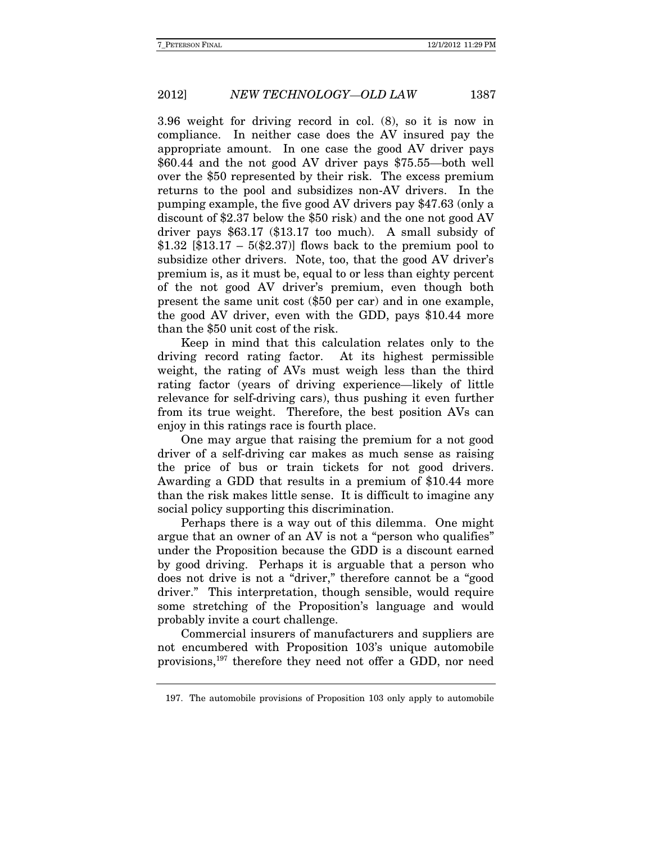3.96 weight for driving record in col. (8), so it is now in compliance. In neither case does the AV insured pay the appropriate amount. In one case the good AV driver pays \$60.44 and the not good AV driver pays \$75.55—both well over the \$50 represented by their risk. The excess premium returns to the pool and subsidizes non-AV drivers. In the pumping example, the five good AV drivers pay \$47.63 (only a discount of \$2.37 below the \$50 risk) and the one not good AV driver pays \$63.17 (\$13.17 too much). A small subsidy of \$1.32 [\$13.17 –  $5(\$2.37)$ ] flows back to the premium pool to subsidize other drivers. Note, too, that the good AV driver's premium is, as it must be, equal to or less than eighty percent of the not good AV driver's premium, even though both present the same unit cost (\$50 per car) and in one example, the good AV driver, even with the GDD, pays \$10.44 more than the \$50 unit cost of the risk.

Keep in mind that this calculation relates only to the driving record rating factor. At its highest permissible weight, the rating of AVs must weigh less than the third rating factor (years of driving experience—likely of little relevance for self-driving cars), thus pushing it even further from its true weight. Therefore, the best position AVs can enjoy in this ratings race is fourth place.

One may argue that raising the premium for a not good driver of a self-driving car makes as much sense as raising the price of bus or train tickets for not good drivers. Awarding a GDD that results in a premium of \$10.44 more than the risk makes little sense. It is difficult to imagine any social policy supporting this discrimination.

Perhaps there is a way out of this dilemma. One might argue that an owner of an AV is not a "person who qualifies" under the Proposition because the GDD is a discount earned by good driving. Perhaps it is arguable that a person who does not drive is not a "driver," therefore cannot be a "good driver." This interpretation, though sensible, would require some stretching of the Proposition's language and would probably invite a court challenge.

Commercial insurers of manufacturers and suppliers are not encumbered with Proposition 103's unique automobile provisions,197 therefore they need not offer a GDD, nor need

 <sup>197.</sup> The automobile provisions of Proposition 103 only apply to automobile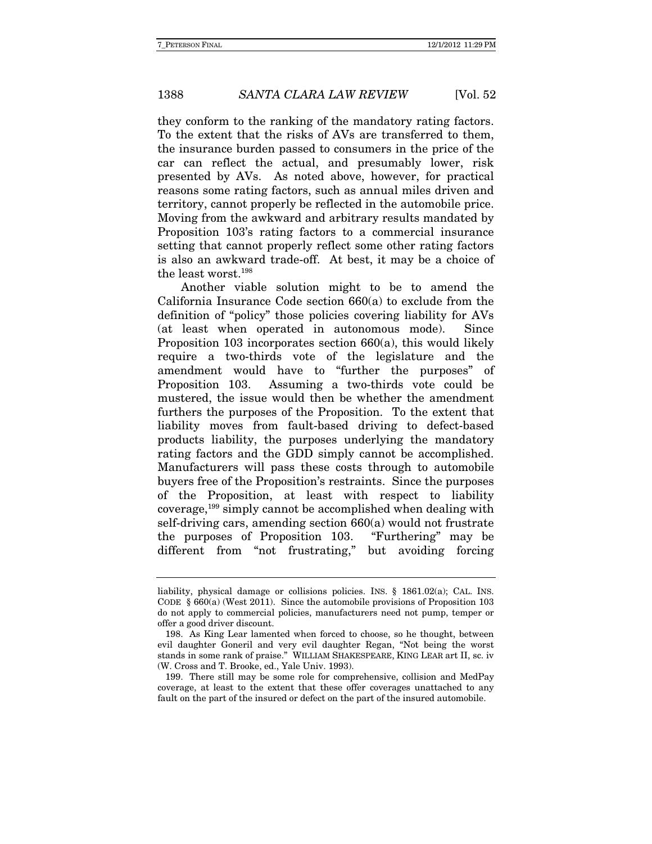they conform to the ranking of the mandatory rating factors. To the extent that the risks of AVs are transferred to them, the insurance burden passed to consumers in the price of the car can reflect the actual, and presumably lower, risk presented by AVs. As noted above, however, for practical reasons some rating factors, such as annual miles driven and territory, cannot properly be reflected in the automobile price. Moving from the awkward and arbitrary results mandated by Proposition 103's rating factors to a commercial insurance setting that cannot properly reflect some other rating factors is also an awkward trade-off. At best, it may be a choice of the least worst.198

Another viable solution might to be to amend the California Insurance Code section 660(a) to exclude from the definition of "policy" those policies covering liability for AVs (at least when operated in autonomous mode). Since Proposition 103 incorporates section 660(a), this would likely require a two-thirds vote of the legislature and the amendment would have to "further the purposes" of Proposition 103. Assuming a two-thirds vote could be mustered, the issue would then be whether the amendment furthers the purposes of the Proposition. To the extent that liability moves from fault-based driving to defect-based products liability, the purposes underlying the mandatory rating factors and the GDD simply cannot be accomplished. Manufacturers will pass these costs through to automobile buyers free of the Proposition's restraints. Since the purposes of the Proposition, at least with respect to liability coverage,199 simply cannot be accomplished when dealing with self-driving cars, amending section 660(a) would not frustrate the purposes of Proposition 103. "Furthering" may be different from "not frustrating," but avoiding forcing

liability, physical damage or collisions policies. INS. § 1861.02(a); CAL. INS. CODE  $\S$  660(a) (West 2011). Since the automobile provisions of Proposition 103 do not apply to commercial policies, manufacturers need not pump, temper or offer a good driver discount.

 <sup>198.</sup> As King Lear lamented when forced to choose, so he thought, between evil daughter Goneril and very evil daughter Regan, "Not being the worst stands in some rank of praise." WILLIAM SHAKESPEARE, KING LEAR art II, sc. iv (W. Cross and T. Brooke, ed., Yale Univ. 1993).

 <sup>199.</sup> There still may be some role for comprehensive, collision and MedPay coverage, at least to the extent that these offer coverages unattached to any fault on the part of the insured or defect on the part of the insured automobile.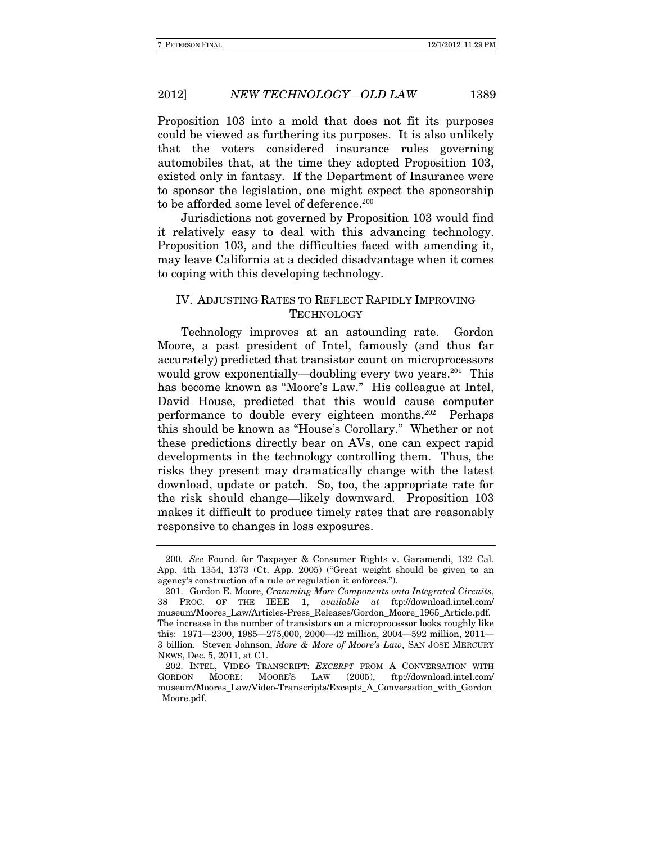Proposition 103 into a mold that does not fit its purposes could be viewed as furthering its purposes. It is also unlikely that the voters considered insurance rules governing automobiles that, at the time they adopted Proposition 103, existed only in fantasy. If the Department of Insurance were to sponsor the legislation, one might expect the sponsorship to be afforded some level of deference.<sup>200</sup>

Jurisdictions not governed by Proposition 103 would find it relatively easy to deal with this advancing technology. Proposition 103, and the difficulties faced with amending it, may leave California at a decided disadvantage when it comes to coping with this developing technology.

### IV. ADJUSTING RATES TO REFLECT RAPIDLY IMPROVING **TECHNOLOGY**

Technology improves at an astounding rate. Gordon Moore, a past president of Intel, famously (and thus far accurately) predicted that transistor count on microprocessors would grow exponentially—doubling every two years.<sup>201</sup> This has become known as "Moore's Law." His colleague at Intel, David House, predicted that this would cause computer performance to double every eighteen months.202 Perhaps this should be known as "House's Corollary." Whether or not these predictions directly bear on AVs, one can expect rapid developments in the technology controlling them. Thus, the risks they present may dramatically change with the latest download, update or patch. So, too, the appropriate rate for the risk should change—likely downward. Proposition 103 makes it difficult to produce timely rates that are reasonably responsive to changes in loss exposures.

<sup>200</sup>. See Found. for Taxpayer & Consumer Rights v. Garamendi, 132 Cal. App. 4th 1354, 1373 (Ct. App. 2005) ("Great weight should be given to an agency's construction of a rule or regulation it enforces.").

 <sup>201.</sup> Gordon E. Moore, Cramming More Components onto Integrated Circuits, 38 PROC. OF THE IEEE 1, available at ftp://download.intel.com/ museum/Moores\_Law/Articles-Press\_Releases/Gordon\_Moore\_1965\_Article.pdf. The increase in the number of transistors on a microprocessor looks roughly like this: 1971—2300, 1985—275,000, 2000—42 million, 2004—592 million, 2011— 3 billion. Steven Johnson, More & More of Moore's Law, SAN JOSE MERCURY NEWS, Dec. 5, 2011, at C1.

 <sup>202.</sup> INTEL, VIDEO TRANSCRIPT: EXCERPT FROM A CONVERSATION WITH GORDON MOORE: MOORE'S LAW (2005), ftp://download.intel.com/ museum/Moores\_Law/Video-Transcripts/Excepts\_A\_Conversation\_with\_Gordon \_Moore.pdf.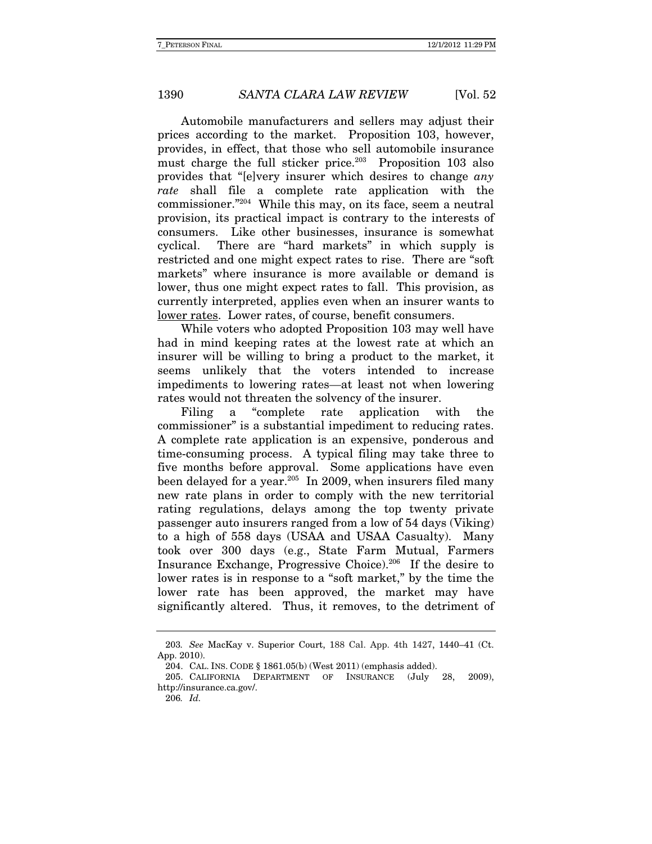Automobile manufacturers and sellers may adjust their prices according to the market. Proposition 103, however, provides, in effect, that those who sell automobile insurance must charge the full sticker price.<sup>203</sup> Proposition 103 also provides that "[e]very insurer which desires to change any rate shall file a complete rate application with the commissioner."204 While this may, on its face, seem a neutral provision, its practical impact is contrary to the interests of consumers. Like other businesses, insurance is somewhat cyclical. There are "hard markets" in which supply is restricted and one might expect rates to rise. There are "soft markets" where insurance is more available or demand is lower, thus one might expect rates to fall. This provision, as currently interpreted, applies even when an insurer wants to lower rates. Lower rates, of course, benefit consumers.

 While voters who adopted Proposition 103 may well have had in mind keeping rates at the lowest rate at which an insurer will be willing to bring a product to the market, it seems unlikely that the voters intended to increase impediments to lowering rates—at least not when lowering rates would not threaten the solvency of the insurer.

Filing a "complete rate application with the commissioner" is a substantial impediment to reducing rates. A complete rate application is an expensive, ponderous and time-consuming process. A typical filing may take three to five months before approval. Some applications have even been delayed for a year.<sup>205</sup> In 2009, when insurers filed many new rate plans in order to comply with the new territorial rating regulations, delays among the top twenty private passenger auto insurers ranged from a low of 54 days (Viking) to a high of 558 days (USAA and USAA Casualty). Many took over 300 days (e.g., State Farm Mutual, Farmers Insurance Exchange, Progressive Choice).206If the desire to lower rates is in response to a "soft market," by the time the lower rate has been approved, the market may have significantly altered. Thus, it removes, to the detriment of

<sup>203</sup>. See MacKay v. Superior Court, 188 Cal. App. 4th 1427, 1440–41 (Ct. App. 2010).

 <sup>204.</sup> CAL. INS. CODE § 1861.05(b) (West 2011) (emphasis added).

 <sup>205.</sup> CALIFORNIA DEPARTMENT OF INSURANCE (July 28, 2009), http://insurance.ca.gov/.

<sup>206</sup>. Id.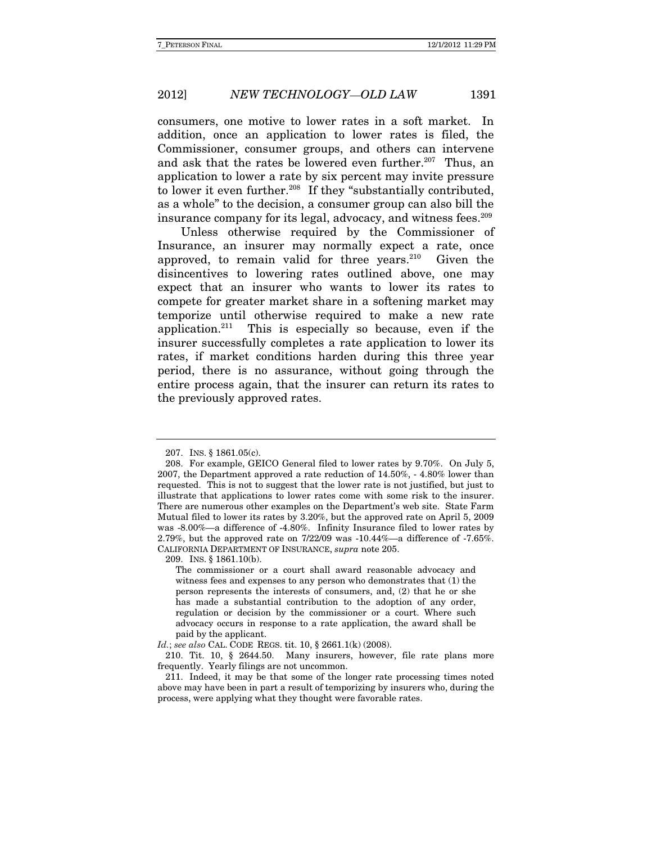consumers, one motive to lower rates in a soft market. In addition, once an application to lower rates is filed, the Commissioner, consumer groups, and others can intervene and ask that the rates be lowered even further.<sup>207</sup> Thus, an application to lower a rate by six percent may invite pressure to lower it even further.<sup>208</sup> If they "substantially contributed, as a whole" to the decision, a consumer group can also bill the insurance company for its legal, advocacy, and witness fees.<sup>209</sup>

Unless otherwise required by the Commissioner of Insurance, an insurer may normally expect a rate, once approved, to remain valid for three years. $210$  Given the disincentives to lowering rates outlined above, one may expect that an insurer who wants to lower its rates to compete for greater market share in a softening market may temporize until otherwise required to make a new rate application.211 This is especially so because, even if the insurer successfully completes a rate application to lower its rates, if market conditions harden during this three year period, there is no assurance, without going through the entire process again, that the insurer can return its rates to the previously approved rates.

209. INS. § 1861.10(b).

 <sup>207.</sup> INS. § 1861.05(c).

 <sup>208.</sup> For example, GEICO General filed to lower rates by 9.70%. On July 5, 2007, the Department approved a rate reduction of 14.50%, - 4.80% lower than requested. This is not to suggest that the lower rate is not justified, but just to illustrate that applications to lower rates come with some risk to the insurer. There are numerous other examples on the Department's web site. State Farm Mutual filed to lower its rates by 3.20%, but the approved rate on April 5, 2009 was -8.00%—a difference of -4.80%. Infinity Insurance filed to lower rates by 2.79%, but the approved rate on 7/22/09 was -10.44%—a difference of -7.65%. CALIFORNIA DEPARTMENT OF INSURANCE, supra note 205.

The commissioner or a court shall award reasonable advocacy and witness fees and expenses to any person who demonstrates that (1) the person represents the interests of consumers, and, (2) that he or she has made a substantial contribution to the adoption of any order, regulation or decision by the commissioner or a court. Where such advocacy occurs in response to a rate application, the award shall be paid by the applicant.

Id.; see also CAL. CODE REGS. tit. 10, § 2661.1(k) (2008).

 <sup>210.</sup> Tit. 10, § 2644.50. Many insurers, however, file rate plans more frequently. Yearly filings are not uncommon.

 <sup>211.</sup> Indeed, it may be that some of the longer rate processing times noted above may have been in part a result of temporizing by insurers who, during the process, were applying what they thought were favorable rates.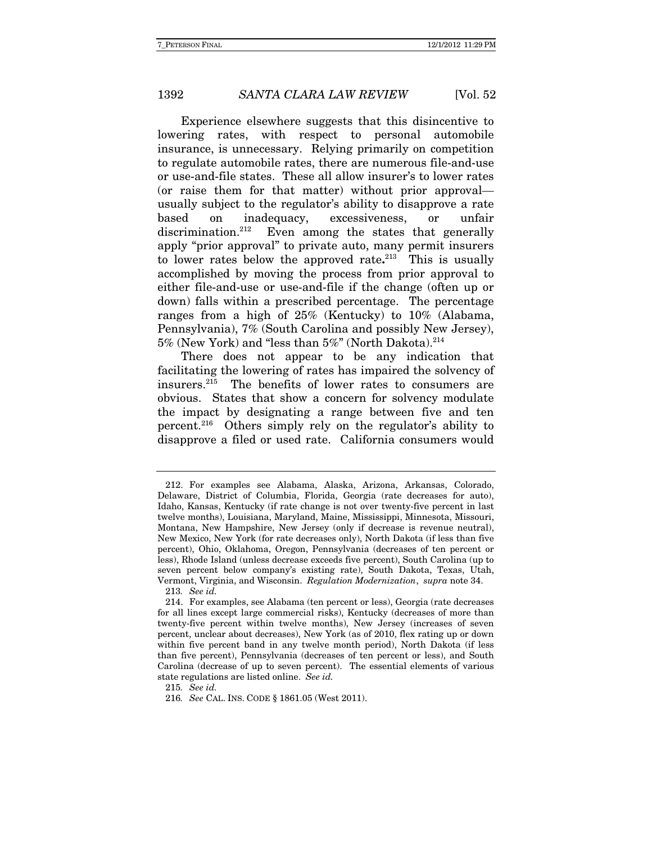Experience elsewhere suggests that this disincentive to lowering rates, with respect to personal automobile insurance, is unnecessary. Relying primarily on competition to regulate automobile rates, there are numerous file-and-use or use-and-file states. These all allow insurer's to lower rates (or raise them for that matter) without prior approval usually subject to the regulator's ability to disapprove a rate based on inadequacy, excessiveness, or unfair discrimination.<sup>212</sup> Even among the states that generally apply "prior approval" to private auto, many permit insurers to lower rates below the approved rate**.** 213 This is usually accomplished by moving the process from prior approval to either file-and-use or use-and-file if the change (often up or down) falls within a prescribed percentage. The percentage ranges from a high of 25% (Kentucky) to 10% (Alabama, Pennsylvania), 7% (South Carolina and possibly New Jersey), 5% (New York) and "less than 5%" (North Dakota).214

There does not appear to be any indication that facilitating the lowering of rates has impaired the solvency of insurers.215 The benefits of lower rates to consumers are obvious. States that show a concern for solvency modulate the impact by designating a range between five and ten percent.216 Others simply rely on the regulator's ability to disapprove a filed or used rate. California consumers would

215. See id.

 <sup>212.</sup> For examples see Alabama, Alaska, Arizona, Arkansas, Colorado, Delaware, District of Columbia, Florida, Georgia (rate decreases for auto), Idaho, Kansas, Kentucky (if rate change is not over twenty-five percent in last twelve months), Louisiana, Maryland, Maine, Mississippi, Minnesota, Missouri, Montana, New Hampshire, New Jersey (only if decrease is revenue neutral), New Mexico, New York (for rate decreases only), North Dakota (if less than five percent), Ohio, Oklahoma, Oregon, Pennsylvania (decreases of ten percent or less), Rhode Island (unless decrease exceeds five percent), South Carolina (up to seven percent below company's existing rate), South Dakota, Texas, Utah, Vermont, Virginia, and Wisconsin. Regulation Modernization, supra note 34.

<sup>213</sup>. See id.

 <sup>214.</sup> For examples, see Alabama (ten percent or less), Georgia (rate decreases for all lines except large commercial risks), Kentucky (decreases of more than twenty-five percent within twelve months), New Jersey (increases of seven percent, unclear about decreases), New York (as of 2010, flex rating up or down within five percent band in any twelve month period), North Dakota (if less than five percent), Pennsylvania (decreases of ten percent or less), and South Carolina (decrease of up to seven percent). The essential elements of various state regulations are listed online. See id.

<sup>216</sup>. See CAL. INS. CODE § 1861.05 (West 2011).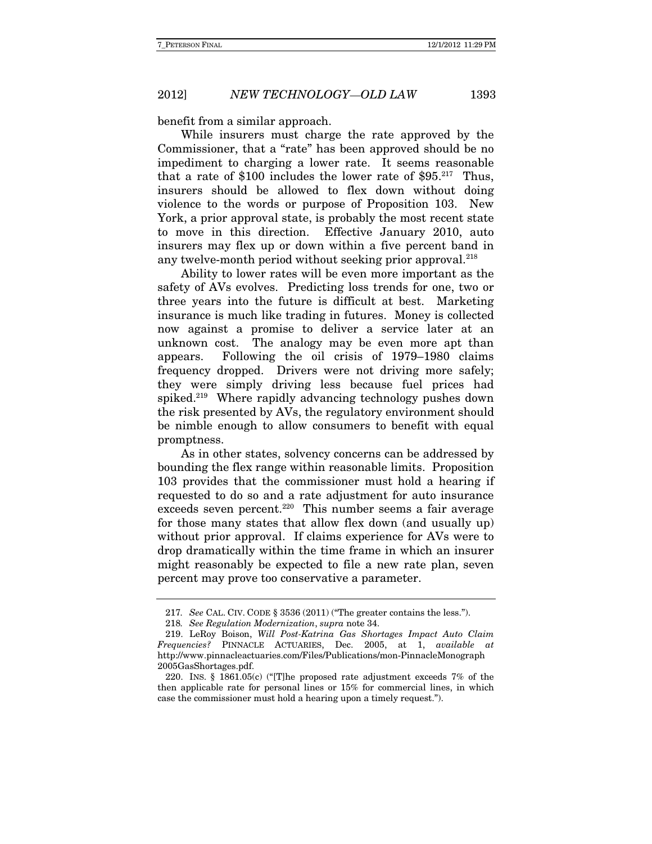benefit from a similar approach.

While insurers must charge the rate approved by the Commissioner, that a "rate" has been approved should be no impediment to charging a lower rate. It seems reasonable that a rate of \$100 includes the lower rate of  $$95.<sup>217</sup>$  Thus, insurers should be allowed to flex down without doing violence to the words or purpose of Proposition 103. New York, a prior approval state, is probably the most recent state to move in this direction. Effective January 2010, auto insurers may flex up or down within a five percent band in any twelve-month period without seeking prior approval.<sup>218</sup>

Ability to lower rates will be even more important as the safety of AVs evolves.Predicting loss trends for one, two or three years into the future is difficult at best.Marketing insurance is much like trading in futures. Money is collected now against a promise to deliver a service later at an unknown cost. The analogy may be even more apt than appears. Following the oil crisis of 1979–1980 claims frequency dropped. Drivers were not driving more safely; they were simply driving less because fuel prices had spiked.219 Where rapidly advancing technology pushes down the risk presented by AVs, the regulatory environment should be nimble enough to allow consumers to benefit with equal promptness.

As in other states, solvency concerns can be addressed by bounding the flex range within reasonable limits. Proposition 103 provides that the commissioner must hold a hearing if requested to do so and a rate adjustment for auto insurance exceeds seven percent.<sup>220</sup> This number seems a fair average for those many states that allow flex down (and usually up) without prior approval. If claims experience for AVs were to drop dramatically within the time frame in which an insurer might reasonably be expected to file a new rate plan, seven percent may prove too conservative a parameter.

<sup>217</sup>. See CAL. CIV. CODE § 3536 (2011) ("The greater contains the less.").

<sup>218</sup>. See Regulation Modernization, supra note 34.

 <sup>219.</sup> LeRoy Boison, Will Post-Katrina Gas Shortages Impact Auto Claim Frequencies? PINNACLE ACTUARIES, Dec. 2005, at 1, available at http://www.pinnacleactuaries.com/Files/Publications/mon-PinnacleMonograph 2005GasShortages.pdf.

 <sup>220.</sup> INS. § 1861.05(c) ("[T]he proposed rate adjustment exceeds 7% of the then applicable rate for personal lines or 15% for commercial lines, in which case the commissioner must hold a hearing upon a timely request.").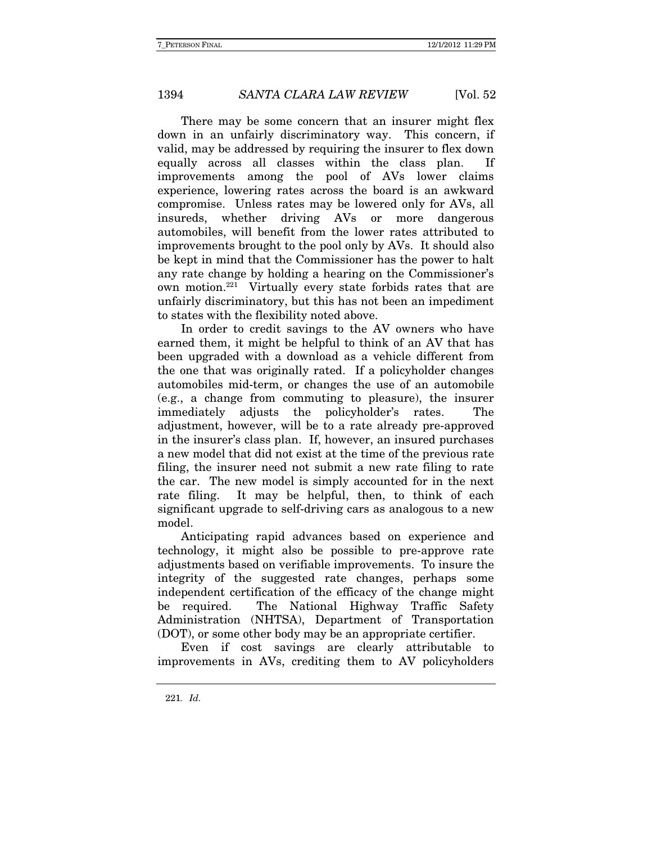There may be some concern that an insurer might flex down in an unfairly discriminatory way. This concern, if valid, may be addressed by requiring the insurer to flex down equally across all classes within the class plan. If improvements among the pool of AVs lower claims experience, lowering rates across the board is an awkward compromise. Unless rates may be lowered only for AVs, all insureds, whether driving AVs or more dangerous automobiles, will benefit from the lower rates attributed to improvements brought to the pool only by AVs. It should also be kept in mind that the Commissioner has the power to halt any rate change by holding a hearing on the Commissioner's own motion.221 Virtually every state forbids rates that are unfairly discriminatory, but this has not been an impediment to states with the flexibility noted above.

In order to credit savings to the AV owners who have earned them, it might be helpful to think of an AV that has been upgraded with a download as a vehicle different from the one that was originally rated. If a policyholder changes automobiles mid-term, or changes the use of an automobile (e.g., a change from commuting to pleasure), the insurer immediately adjusts the policyholder's rates. The adjustment, however, will be to a rate already pre-approved in the insurer's class plan. If, however, an insured purchases a new model that did not exist at the time of the previous rate filing, the insurer need not submit a new rate filing to rate the car. The new model is simply accounted for in the next rate filing. It may be helpful, then, to think of each significant upgrade to self-driving cars as analogous to a new model.

Anticipating rapid advances based on experience and technology, it might also be possible to pre-approve rate adjustments based on verifiable improvements. To insure the integrity of the suggested rate changes, perhaps some independent certification of the efficacy of the change might be required. The National Highway Traffic Safety Administration (NHTSA), Department of Transportation (DOT), or some other body may be an appropriate certifier.

Even if cost savings are clearly attributable to improvements in AVs, crediting them to AV policyholders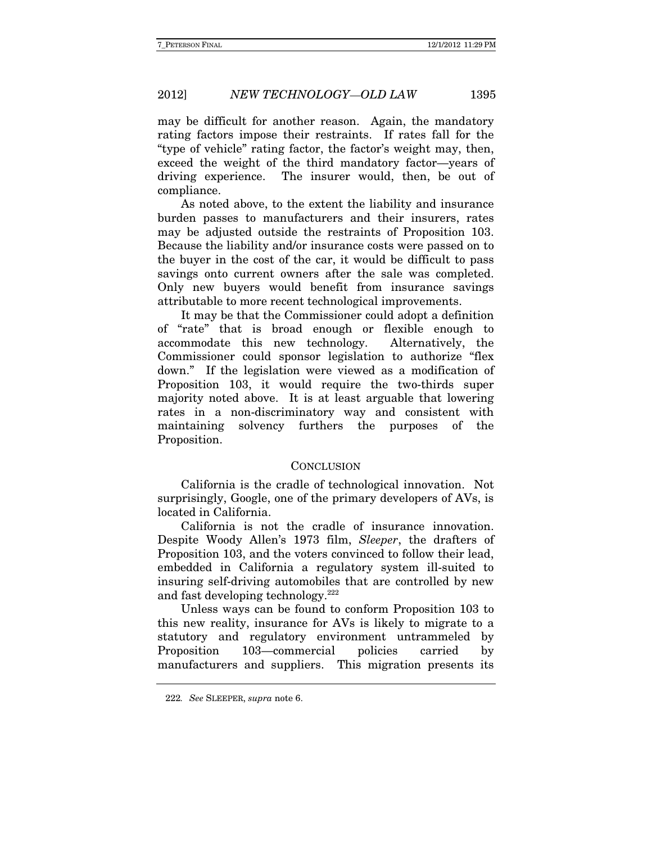may be difficult for another reason. Again, the mandatory rating factors impose their restraints. If rates fall for the "type of vehicle" rating factor, the factor's weight may, then, exceed the weight of the third mandatory factor—years of driving experience. The insurer would, then, be out of compliance.

As noted above, to the extent the liability and insurance burden passes to manufacturers and their insurers, rates may be adjusted outside the restraints of Proposition 103. Because the liability and/or insurance costs were passed on to the buyer in the cost of the car, it would be difficult to pass savings onto current owners after the sale was completed. Only new buyers would benefit from insurance savings attributable to more recent technological improvements.

It may be that the Commissioner could adopt a definition of "rate" that is broad enough or flexible enough to accommodate this new technology. Alternatively, the Commissioner could sponsor legislation to authorize "flex down." If the legislation were viewed as a modification of Proposition 103, it would require the two-thirds super majority noted above. It is at least arguable that lowering rates in a non-discriminatory way and consistent with maintaining solvency furthers the purposes of the Proposition.

#### **CONCLUSION**

California is the cradle of technological innovation. Not surprisingly, Google, one of the primary developers of AVs, is located in California.

California is not the cradle of insurance innovation. Despite Woody Allen's 1973 film, Sleeper, the drafters of Proposition 103, and the voters convinced to follow their lead, embedded in California a regulatory system ill-suited to insuring self-driving automobiles that are controlled by new and fast developing technology.222

Unless ways can be found to conform Proposition 103 to this new reality, insurance for AVs is likely to migrate to a statutory and regulatory environment untrammeled by Proposition 103—commercial policies carried by manufacturers and suppliers. This migration presents its

<sup>222</sup>. See SLEEPER, supra note 6.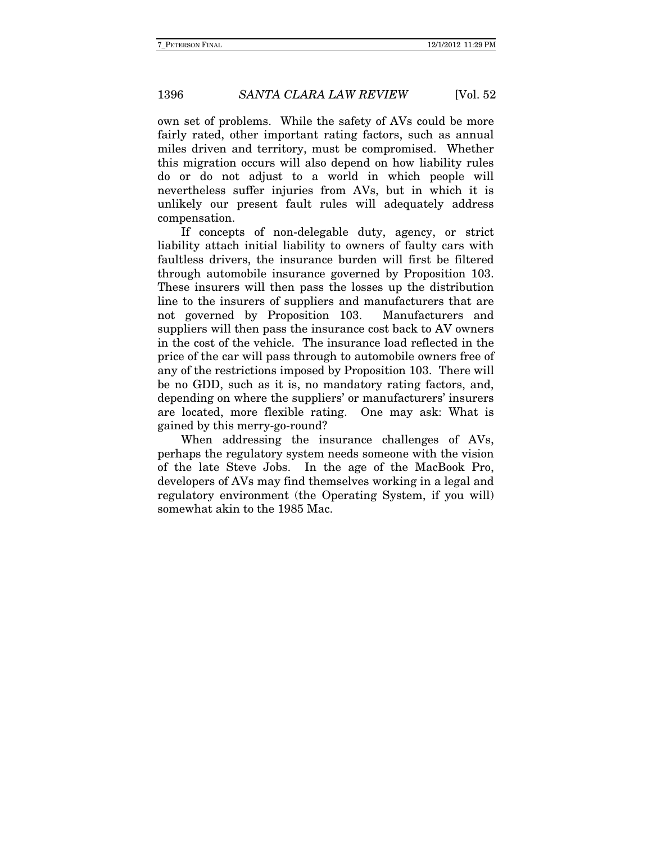own set of problems. While the safety of AVs could be more fairly rated, other important rating factors, such as annual miles driven and territory, must be compromised. Whether this migration occurs will also depend on how liability rules do or do not adjust to a world in which people will nevertheless suffer injuries from AVs, but in which it is unlikely our present fault rules will adequately address compensation.

If concepts of non-delegable duty, agency, or strict liability attach initial liability to owners of faulty cars with faultless drivers, the insurance burden will first be filtered through automobile insurance governed by Proposition 103. These insurers will then pass the losses up the distribution line to the insurers of suppliers and manufacturers that are not governed by Proposition 103. Manufacturers and suppliers will then pass the insurance cost back to AV owners in the cost of the vehicle. The insurance load reflected in the price of the car will pass through to automobile owners free of any of the restrictions imposed by Proposition 103. There will be no GDD, such as it is, no mandatory rating factors, and, depending on where the suppliers' or manufacturers' insurers are located, more flexible rating. One may ask: What is gained by this merry-go-round?

When addressing the insurance challenges of AVs, perhaps the regulatory system needs someone with the vision of the late Steve Jobs. In the age of the MacBook Pro, developers of AVs may find themselves working in a legal and regulatory environment (the Operating System, if you will) somewhat akin to the 1985 Mac.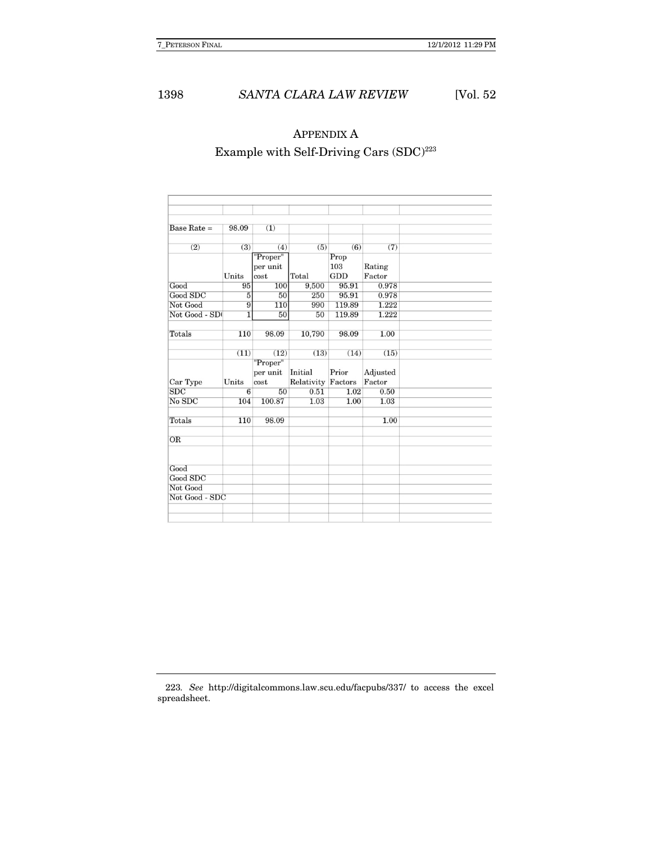# APPENDIX A Example with Self-Driving Cars  $(SDC)^{223}$

| Base Rate $=$        | 98.09          | (1)      |            |         |          |  |
|----------------------|----------------|----------|------------|---------|----------|--|
| (2)                  | (3)            | (4)      | (5)        | (6)     | (7)      |  |
|                      |                | "Proper" |            | Prop    |          |  |
|                      |                | per unit |            | 103     | Rating   |  |
|                      | Units          | cost     | Total      | GDD     | Factor   |  |
| Good                 | 95             | 100      | 9,500      | 95.91   | 0.978    |  |
| Good SDC             | $\overline{5}$ | 50       | 250        | 95.91   | 0.978    |  |
| Not Good             | 9              | 110      | 990        | 119.89  | 1.222    |  |
| Not Good - SD        | $\overline{1}$ | 50       | 50         | 119.89  | 1.222    |  |
| Totals               | 110            | 98.09    | 10,790     | 98.09   | 1.00     |  |
|                      |                |          |            |         |          |  |
|                      | (11)           | (12)     | (13)       | (14)    | (15)     |  |
|                      |                | "Proper" |            |         |          |  |
|                      |                | per unit | Initial    | Prior   | Adjusted |  |
| Car Type             | Units          | cost     | Relativity | Factors | Factor   |  |
| SDC                  | $\overline{6}$ | 50       | 0.51       | 1.02    | 0.50     |  |
| No SDC               | 104            | 100.87   | 1.03       | 1.00    | 1.03     |  |
| Totals               | 110            | 98.09    |            |         | 1.00     |  |
|                      |                |          |            |         |          |  |
| OR                   |                |          |            |         |          |  |
|                      |                |          |            |         |          |  |
| Good                 |                |          |            |         |          |  |
|                      |                |          |            |         |          |  |
|                      |                |          |            |         |          |  |
| Good SDC<br>Not Good |                |          |            |         |          |  |

223. See http://digitalcommons.law.scu.edu/facpubs/337/ to access the excel spreadsheet.